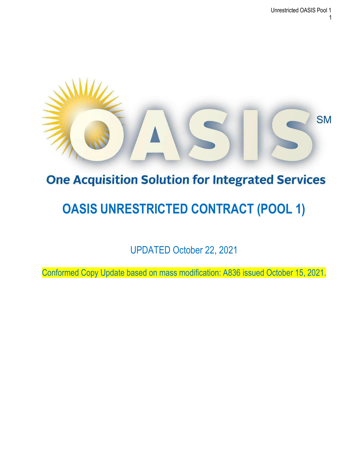

# **One Acquisition Solution for Integrated Services**

# **OASIS UNRESTRICTED CONTRACT (POOL 1)**

UPDATED October 22, 2021

Conformed Copy Update based on mass modification: A836 issued October 15, 2021.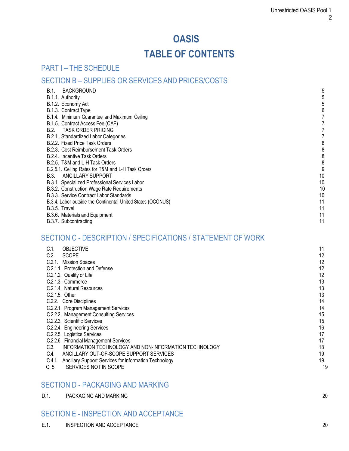## **OASIS TABLE OF CONTENTS**

## PART I – THE SCHEDULE

### SECTION B – SUPPLIES OR SERVICES AND PRICES/COSTS

| <b>BACKGROUND</b><br>B.1.                                   |    |
|-------------------------------------------------------------|----|
| B.1.1. Authority                                            |    |
| B.1.2. Economy Act                                          |    |
| B.1.3. Contract Type                                        |    |
| B.1.4. Minimum Guarantee and Maximum Ceiling                |    |
| B.1.5. Contract Access Fee (CAF)                            |    |
| <b>TASK ORDER PRICING</b><br>B.2.                           |    |
| B.2.1. Standardized Labor Categories                        |    |
| B.2.2. Fixed Price Task Orders                              |    |
| B.2.3. Cost Reimbursement Task Orders                       |    |
| B.2.4. Incentive Task Orders                                |    |
| B.2.5. T&M and L-H Task Orders                              | 8  |
| B.2.5.1. Ceiling Rates for T&M and L-H Task Orders          | 9  |
| ANCILLARY SUPPORT<br>B.3.                                   | 10 |
| B.3.1. Specialized Professional Services Labor              | 10 |
| B.3.2. Construction Wage Rate Requirements                  | 10 |
| B.3.3. Service Contract Labor Standards                     | 10 |
| B.3.4. Labor outside the Continental United States (OCONUS) | 11 |
| B.3.5. Travel                                               | 11 |
| B.3.6. Materials and Equipment                              | 11 |
| B.3.7. Subcontracting                                       | 11 |

## SECTION C - DESCRIPTION / SPECIFICATIONS / STATEMENT OF WORK

| C.1<br><b>OBJECTIVE</b>                                         | 11 |
|-----------------------------------------------------------------|----|
| C.2.<br><b>SCOPE</b>                                            | 12 |
| C.2.1.<br><b>Mission Spaces</b>                                 | 12 |
| C.2.1.1. Protection and Defense                                 | 12 |
| C.2.1.2. Quality of Life                                        | 12 |
| C.2.1.3. Commerce                                               | 13 |
| C.2.1.4. Natural Resources                                      | 13 |
| C.2.1.5. Other                                                  | 13 |
| C.2.2. Core Disciplines                                         | 14 |
| C.2.2.1. Program Management Services                            | 14 |
| C.2.2.2. Management Consulting Services                         | 15 |
| C.2.2.3. Scientific Services                                    | 15 |
| C.2.2.4. Engineering Services                                   | 16 |
| C.2.2.5. Logistics Services                                     | 17 |
| C.2.2.6. Financial Management Services                          | 17 |
| INFORMATION TECHNOLOGY AND NON-INFORMATION TECHNOLOGY<br>C.3.   | 18 |
| ANCILLARY OUT-OF-SCOPE SUPPORT SERVICES<br>C.4.                 | 19 |
| C.4.1.<br>Ancillary Support Services for Information Technology | 19 |
| SERVICES NOT IN SCOPE<br>C.5.                                   | 19 |
|                                                                 |    |

### SECTION D - PACKAGING AND MARKING

| D.1. | PACKAGING AND MARKING                 | 20 |
|------|---------------------------------------|----|
|      | SECTION E - INSPECTION AND ACCEPTANCE |    |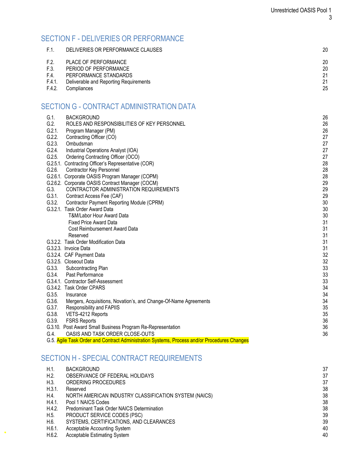## SECTION F - DELIVERIES OR PERFORMANCE

| F.1.   | DELIVERIES OR PERFORMANCE CLAUSES      | 20 |
|--------|----------------------------------------|----|
| F.2.   | PLACE OF PERFORMANCE                   | 20 |
| F.3.   | PERIOD OF PERFORMANCE                  | 20 |
| F.4.   | PERFORMANCE STANDARDS                  | 21 |
| F.4.1. | Deliverable and Reporting Requirements | 21 |
| F.4.2. | Compliances                            | 25 |
|        |                                        |    |

## SECTION G - CONTRACT ADMINISTRATION DATA

| G.1    | <b>BACKGROUND</b>                                                                            | 26 |
|--------|----------------------------------------------------------------------------------------------|----|
| G.2.   | ROLES AND RESPONSIBILITIES OF KEY PERSONNEL                                                  | 26 |
| G.2.1. | Program Manager (PM)                                                                         | 26 |
| G.2.2. | Contracting Officer (CO)                                                                     | 27 |
| G.2.3. | Ombudsman                                                                                    | 27 |
| G.2.4. | Industrial Operations Analyst (IOA)                                                          | 27 |
| G.2.5. | Ordering Contracting Officer (OCO)                                                           | 27 |
|        | G.2.5.1. Contracting Officer's Representative (COR)                                          | 28 |
| G.2.6. | Contractor Key Personnel                                                                     | 28 |
|        | G.2.6.1. Corporate OASIS Program Manager (COPM)                                              | 28 |
|        | G.2.6.2. Corporate OASIS Contract Manager (COCM)                                             | 29 |
| G.3.   | CONTRACTOR ADMINISTRATION REQUIREMENTS                                                       | 29 |
| G.3.1. | Contract Access Fee (CAF)                                                                    | 29 |
| G.3.2. | Contractor Payment Reporting Module (CPRM)                                                   | 30 |
|        | G.3.2.1. Task Order Award Data                                                               | 30 |
|        | T&M/Labor Hour Award Data                                                                    | 30 |
|        | <b>Fixed Price Award Data</b>                                                                | 31 |
|        | <b>Cost Reimbursement Award Data</b>                                                         | 31 |
|        | Reserved                                                                                     | 31 |
|        | G.3.2.2. Task Order Modification Data                                                        | 31 |
|        | G.3.2.3. Invoice Data                                                                        | 31 |
|        | G.3.2.4. CAF Payment Data                                                                    | 32 |
|        | G.3.2.5. Closeout Data                                                                       | 32 |
| G.3.3. | Subcontracting Plan                                                                          | 33 |
| G.3.4. | Past Performance                                                                             | 33 |
|        | G.3.4.1. Contractor Self-Assessment                                                          | 33 |
|        | G.3.4.2. Task Order CPARS                                                                    | 34 |
| G.3.5. | Insurance                                                                                    | 34 |
| G.3.6. | Mergers, Acquisitions, Novation's, and Change-Of-Name Agreements                             | 34 |
| G.3.7. | Responsibility and FAPIIS                                                                    | 35 |
| G.3.8. | VETS-4212 Reports                                                                            | 35 |
| G.3.9. | <b>FSRS Reports</b>                                                                          | 36 |
|        | G.3.10. Post Award Small Business Program Re-Representation                                  | 36 |
| G.4.   | OASIS AND TASK ORDER CLOSE-OUTS                                                              | 36 |
|        | G.5. Agile Task Order and Contract Administration Systems, Process and/or Procedures Changes |    |

## SECTION H - SPECIAL CONTRACT REQUIREMENTS

| H.1.   | <b>BACKGROUND</b>                                     | 37 |
|--------|-------------------------------------------------------|----|
| H.2.   | OBSERVANCE OF FEDERAL HOLIDAYS                        | 37 |
| H.3.   | ORDERING PROCEDURES                                   | 37 |
| H.3.1  | Reserved                                              | 38 |
| H.4.   | NORTH AMERICAN INDUSTRY CLASSIFICATION SYSTEM (NAICS) | 38 |
| H.4.1. | Pool 1 NAICS Codes                                    | 38 |
| H.4.2. | Predominant Task Order NAICS Determination            | 38 |
| H.5.   | PRODUCT SERVICE CODES (PSC)                           | 39 |
| H.6.   | SYSTEMS, CERTIFICATIONS, AND CLEARANCES               | 39 |
| H.6.1. | Acceptable Accounting System                          | 40 |
| H.6.2. | <b>Acceptable Estimating System</b>                   | 40 |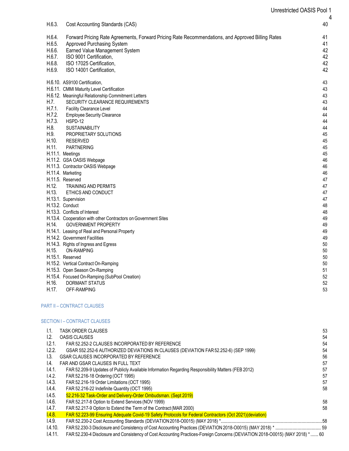| 4<br>H.6.3.<br>Cost Accounting Standards (CAS)<br>40<br>H.6.4.<br>Forward Pricing Rate Agreements, Forward Pricing Rate Recommendations, and Approved Billing Rates<br>41<br>H.6.5.<br>Approved Purchasing System<br>41<br>42<br>H.6.6.<br>Earned Value Management System<br>H.6.7.<br>42<br>ISO 9001 Certification,<br>H.6.8.<br>42<br>ISO 17025 Certification,<br>H.6.9.<br>42<br>ISO 14001 Certification,<br>H.6.10. AS9100 Certification,<br>43<br>H.6.11. CMMI Maturity Level Certification<br>43 |
|--------------------------------------------------------------------------------------------------------------------------------------------------------------------------------------------------------------------------------------------------------------------------------------------------------------------------------------------------------------------------------------------------------------------------------------------------------------------------------------------------------|
|                                                                                                                                                                                                                                                                                                                                                                                                                                                                                                        |
|                                                                                                                                                                                                                                                                                                                                                                                                                                                                                                        |
|                                                                                                                                                                                                                                                                                                                                                                                                                                                                                                        |
|                                                                                                                                                                                                                                                                                                                                                                                                                                                                                                        |
|                                                                                                                                                                                                                                                                                                                                                                                                                                                                                                        |
|                                                                                                                                                                                                                                                                                                                                                                                                                                                                                                        |
|                                                                                                                                                                                                                                                                                                                                                                                                                                                                                                        |
|                                                                                                                                                                                                                                                                                                                                                                                                                                                                                                        |
|                                                                                                                                                                                                                                                                                                                                                                                                                                                                                                        |
| H.6.12. Meaningful Relationship Commitment Letters<br>43                                                                                                                                                                                                                                                                                                                                                                                                                                               |
| H.7.<br>SECURITY CLEARANCE REQUIREMENTS<br>43                                                                                                                                                                                                                                                                                                                                                                                                                                                          |
| H.7.1.<br><b>Facility Clearance Level</b><br>44                                                                                                                                                                                                                                                                                                                                                                                                                                                        |
| H.7.2.<br><b>Employee Security Clearance</b><br>44                                                                                                                                                                                                                                                                                                                                                                                                                                                     |
| H.7.3.<br>HSPD-12<br>44                                                                                                                                                                                                                                                                                                                                                                                                                                                                                |
| H.8.<br>SUSTAINABILITY<br>44                                                                                                                                                                                                                                                                                                                                                                                                                                                                           |
| H.9.<br>PROPRIETARY SOLUTIONS<br>45                                                                                                                                                                                                                                                                                                                                                                                                                                                                    |
| H.10.<br><b>RESERVED</b><br>45                                                                                                                                                                                                                                                                                                                                                                                                                                                                         |
| H.11.<br><b>PARTNERING</b><br>45                                                                                                                                                                                                                                                                                                                                                                                                                                                                       |
| H.11.1. Meetings<br>45                                                                                                                                                                                                                                                                                                                                                                                                                                                                                 |
| H.11.2. GSA OASIS Webpage<br>46                                                                                                                                                                                                                                                                                                                                                                                                                                                                        |
| H.11.3. Contractor OASIS Webpage<br>46                                                                                                                                                                                                                                                                                                                                                                                                                                                                 |
| H.11.4. Marketing<br>46                                                                                                                                                                                                                                                                                                                                                                                                                                                                                |
| H.11.5. Reserved<br>47                                                                                                                                                                                                                                                                                                                                                                                                                                                                                 |
| H.12.<br><b>TRAINING AND PERMITS</b><br>47                                                                                                                                                                                                                                                                                                                                                                                                                                                             |
| H.13.<br>ETHICS AND CONDUCT<br>47                                                                                                                                                                                                                                                                                                                                                                                                                                                                      |
| H.13.1. Supervision<br>47                                                                                                                                                                                                                                                                                                                                                                                                                                                                              |
| H.13.2. Conduct<br>48                                                                                                                                                                                                                                                                                                                                                                                                                                                                                  |
| H.13.3. Conflicts of Interest<br>48                                                                                                                                                                                                                                                                                                                                                                                                                                                                    |
| H.13.4. Cooperation with other Contractors on Government Sites<br>49                                                                                                                                                                                                                                                                                                                                                                                                                                   |
| H.14.<br><b>GOVERNMENT PROPERTY</b><br>49                                                                                                                                                                                                                                                                                                                                                                                                                                                              |
| H.14.1. Leasing of Real and Personal Property<br>49                                                                                                                                                                                                                                                                                                                                                                                                                                                    |
| H.14.2. Government Facilities<br>49                                                                                                                                                                                                                                                                                                                                                                                                                                                                    |
| H.14.3. Rights of Ingress and Egress<br>50<br>H.15.                                                                                                                                                                                                                                                                                                                                                                                                                                                    |
| <b>ON-RAMPING</b><br>50<br>H.15.1. Reserved<br>50                                                                                                                                                                                                                                                                                                                                                                                                                                                      |
| H.15.2. Vertical Contract On-Ramping<br>50                                                                                                                                                                                                                                                                                                                                                                                                                                                             |
| H.15.3. Open Season On-Ramping<br>51                                                                                                                                                                                                                                                                                                                                                                                                                                                                   |
| H.15.4. Focused On-Ramping (SubPool Creation)<br>52                                                                                                                                                                                                                                                                                                                                                                                                                                                    |
| H.16.<br>52<br>DORMANT STATUS                                                                                                                                                                                                                                                                                                                                                                                                                                                                          |
| H.17.<br>53<br>OFF-RAMPING                                                                                                                                                                                                                                                                                                                                                                                                                                                                             |

#### PART II – CONTRACT CLAUSES

#### SECTION I – CONTRACT CLAUSES

| TASK ORDER CLAUSES                                                                                                                       | 53 |
|------------------------------------------------------------------------------------------------------------------------------------------|----|
| <b>OASIS CLAUSES</b>                                                                                                                     | 54 |
| FAR 52.252-2 CLAUSES INCORPORATED BY REFERENCE                                                                                           | 54 |
| GSAR 552.252-6 AUTHORIZED DEVIATIONS IN CLAUSES (DEVIATION FAR 52.252-6) (SEP 1999)                                                      | 54 |
| <b>GSAR CLAUSES INCORPORATED BY REFERENCE</b>                                                                                            | 56 |
| FAR AND GSAR CLAUSES IN FULL TEXT                                                                                                        | 57 |
| I.4.1.<br>FAR 52.209-9 Updates of Publicly Available Information Regarding Responsibility Matters (FEB 2012)                             | 57 |
| FAR 52.216-18 Ordering (OCT 1995)                                                                                                        | 57 |
| FAR 52.216-19 Order Limitations (OCT 1995)                                                                                               | 57 |
| FAR 52.216-22 Indefinite Quantity (OCT 1995)                                                                                             | 58 |
| 52.216-32 Task-Order and Delivery-Order Ombudsman. (Sept 2019)                                                                           |    |
| FAR 52.217-8 Option to Extend Services (NOV 1999)                                                                                        | 58 |
| I.4.7.<br>FAR 52.217-9 Option to Extend the Term of the Contract (MAR 2000)                                                              | 58 |
| 1.4.8.<br>FAR 52.223-99 Ensuring Adequate Covid-19 Safety Protocols for Federal Contractors (Oct 2021) (deviation)                       |    |
| I.4.9.                                                                                                                                   |    |
| 1.4.10.                                                                                                                                  |    |
| 1.4.11.<br>FAR 52.230-4 Disclosure and Consistency of Cost Accounting Practices-Foreign Concerns (DEVIATION 2018-O0015) (MAY 2018) *  60 |    |
|                                                                                                                                          |    |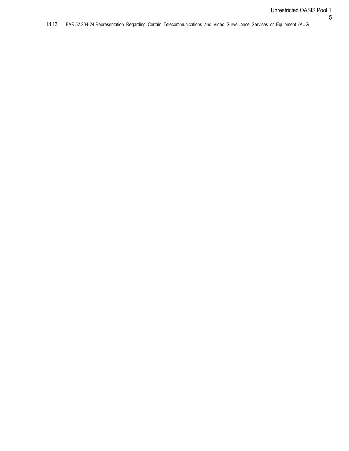I.4.12. FAR 52.204-24 Representation Regarding Certain Telecommunications and Video Surveillance Services or Equipment (AUG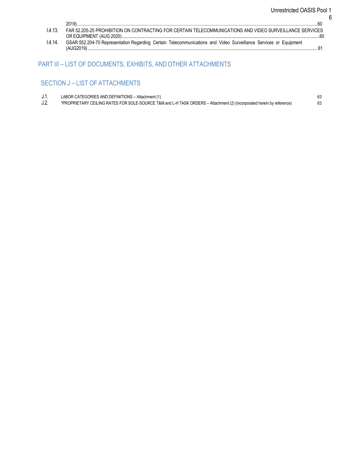| ×,                |
|-------------------|
| Ö,                |
| ×<br>i<br>×<br>۰. |

|        |                                                                                                                  | -60  |
|--------|------------------------------------------------------------------------------------------------------------------|------|
| 1.4.13 | FAR 52.205-25 PROHIBITION ON CONTRACTING FOR CERTAIN TELECOMMUNICATIONS AND VIDEO SURVEILLANCE SERVICES          |      |
|        |                                                                                                                  |      |
| 14.14  | GSAR 552.204-70 Representation Regarding Certain Telecommunications and Video Surveillance Services or Equipment | - 61 |

#### PART III – LIST OF DOCUMENTS, EXHIBITS, ANDOTHER ATTACHMENTS

#### SECTION J – LIST OF ATTACHMENTS

- 
- J.1. LABOR CATEGORIES AND DEFINITIONS Attachment (1)<br>J.2. \*PROPRIETARY CEILING RATES FOR SOLE-SOURCE T&M and L-H TASK ORDERS Attachment (2) (incorporated herein by reference) 63 \*PROPRIETARY CEILING RATES FOR SOLE-SOURCE T&M and L-H TASK ORDERS - Attachment (2) (incorporated herein by reference) 63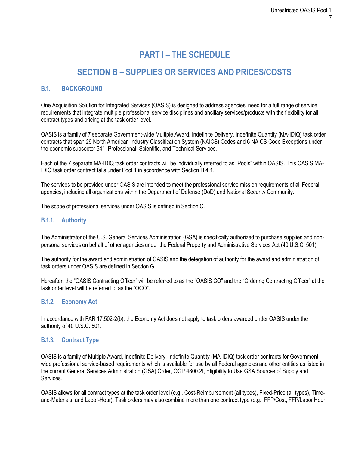## **PART I – THE SCHEDULE**

## **SECTION B – SUPPLIES OR SERVICES AND PRICES/COSTS**

#### **B.1. BACKGROUND**

One Acquisition Solution for Integrated Services (OASIS) is designed to address agencies' need for a full range of service requirements that integrate multiple professional service disciplines and ancillary services/products with the flexibility for all contract types and pricing at the task order level.

OASIS is a family of 7 separate Government-wide Multiple Award, Indefinite Delivery, Indefinite Quantity (MA-IDIQ) task order contracts that span 29 North American Industry Classification System (NAICS) Codes and 6 NAICS Code Exceptions under the economic subsector 541, Professional, Scientific, and Technical Services.

Each of the 7 separate MA-IDIQ task order contracts will be individually referred to as "Pools" within OASIS. This OASIS MA-IDIQ task order contract falls under Pool 1 in accordance with Section H.4.1.

The services to be provided under OASIS are intended to meet the professional service mission requirements of all Federal agencies, including all organizations within the Department of Defense (DoD) and National Security Community.

The scope of professional services under OASIS is defined in Section C.

#### **B.1.1. Authority**

The Administrator of the U.S. General Services Administration (GSA) is specifically authorized to purchase supplies and nonpersonal services on behalf of other agencies under the Federal Property and Administrative Services Act (40 U.S.C. 501).

The authority for the award and administration of OASIS and the delegation of authority for the award and administration of task orders under OASIS are defined in Section G.

Hereafter, the "OASIS Contracting Officer" will be referred to as the "OASIS CO" and the "Ordering Contracting Officer" at the task order level will be referred to as the "OCO".

#### **B.1.2. Economy Act**

In accordance with FAR 17.502-2(b), the Economy Act does not apply to task orders awarded under OASIS under the authority of 40 U.S.C. 501.

#### **B.1.3. Contract Type**

OASIS is a family of Multiple Award, Indefinite Delivery, Indefinite Quantity (MA-IDIQ) task order contracts for Governmentwide professional service-based requirements which is available for use by all Federal agencies and other entities as listed in the current General Services Administration (GSA) Order, OGP 4800.2I, Eligibility to Use GSA Sources of Supply and Services.

OASIS allows for all contract types at the task order level (e.g., Cost-Reimbursement (all types), Fixed-Price (all types), Timeand-Materials, and Labor-Hour). Task orders may also combine more than one contract type (e.g., FFP/Cost, FFP/Labor Hour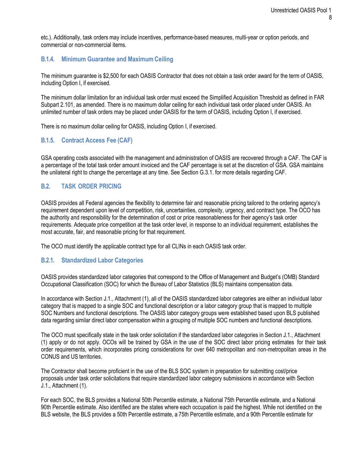etc.). Additionally, task orders may include incentives, performance-based measures, multi-year or option periods, and commercial or non-commercial items.

#### **B.1.4. Minimum Guarantee and Maximum Ceiling**

The minimum guarantee is \$2,500 for each OASIS Contractor that does not obtain a task order award for the term of OASIS, including Option I, if exercised.

The minimum dollar limitation for an individual task order must exceed the Simplified Acquisition Threshold as defined in FAR Subpart 2.101, as amended. There is no maximum dollar ceiling for each individual task order placed under OASIS. An unlimited number of task orders may be placed under OASIS for the term of OASIS, including Option I, if exercised.

There is no maximum dollar ceiling for OASIS, including Option I, if exercised.

#### **B.1.5. Contract Access Fee (CAF)**

GSA operating costs associated with the management and administration of OASIS are recovered through a CAF. The CAF is a percentage of the total task order amount invoiced and the CAF percentage is set at the discretion of GSA. GSA maintains the unilateral right to change the percentage at any time. See Section G.3.1. for more details regarding CAF.

#### **B.2. TASK ORDER PRICING**

OASIS provides all Federal agencies the flexibility to determine fair and reasonable pricing tailored to the ordering agency's requirement dependent upon level of competition, risk, uncertainties, complexity, urgency, and contract type. The OCO has the authority and responsibility for the determination of cost or price reasonableness for their agency's task order requirements. Adequate price competition at the task order level, in response to an individual requirement, establishes the most accurate, fair, and reasonable pricing for that requirement.

The OCO must identify the applicable contract type for all CLINs in each OASIS task order.

#### **B.2.1. Standardized Labor Categories**

OASIS provides standardized labor categories that correspond to the Office of Management and Budget's (OMB) Standard Occupational Classification (SOC) for which the Bureau of Labor Statistics (BLS) maintains compensation data.

In accordance with Section J.1., Attachment (1), all of the OASIS standardized labor categories are either an individual labor category that is mapped to a single SOC and functional description or a labor category group that is mapped to multiple SOC Numbers and functional descriptions. The OASIS labor category groups were established based upon BLS published data regarding similar direct labor compensation within a grouping of multiple SOC numbers and functional descriptions.

The OCO must specifically state in the task order solicitation if the standardized labor categories in Section J.1., Attachment (1) apply or do not apply. OCOs will be trained by GSA in the use of the SOC direct labor pricing estimates for their task order requirements, which incorporates pricing considerations for over 640 metropolitan and non-metropolitan areas in the CONUS and US territories.

The Contractor shall become proficient in the use of the BLS SOC system in preparation for submitting cost/price proposals under task order solicitations that require standardized labor category submissions in accordance with Section J.1., Attachment (1).

For each SOC, the BLS provides a National 50th Percentile estimate, a National 75th Percentile estimate, and a National 90th Percentile estimate. Also identified are the states where each occupation is paid the highest. While not identified on the BLS website, the BLS provides a 50th Percentile estimate, a 75th Percentile estimate, and a 90th Percentile estimate for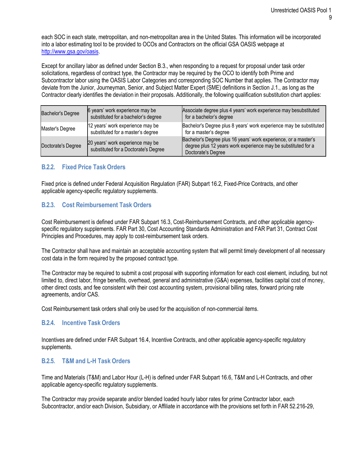each SOC in each state, metropolitan, and non-metropolitan area in the United States. This information will be incorporated into a labor estimating tool to be provided to OCOs and Contractors on the official GSA OASIS webpage at [http://www.gsa.gov/oasis.](http://www.gsa.gov/oasis)

Except for ancillary labor as defined under Section B.3., when responding to a request for proposal under task order solicitations, regardless of contract type, the Contractor may be required by the OCO to identify both Prime and Subcontractor labor using the OASIS Labor Categories and corresponding SOC Number that applies. The Contractor may deviate from the Junior, Journeyman, Senior, and Subject Matter Expert (SME) definitions in Section J.1., as long as the Contractor clearly identifies the deviation in their proposals. Additionally, the following qualification substitution chart applies:

| <b>Bachelor's Degree</b> | 6 years' work experience may be<br>substituted for a bachelor's degree   | Associate degree plus 4 years' work experience may besubstituted<br>for a bachelor's degree                                                            |
|--------------------------|--------------------------------------------------------------------------|--------------------------------------------------------------------------------------------------------------------------------------------------------|
| Master's Degree          | 12 years' work experience may be<br>substituted for a master's degree    | Bachelor's Degree plus 8 years' work experience may be substituted<br>for a master's degree                                                            |
| Doctorate's Degree       | 20 years' work experience may be<br>substituted for a Doctorate's Degree | Bachelor's Degree plus 16 years' work experience, or a master's<br>degree plus 12 years work experience may be substituted for a<br>Doctorate's Degree |

#### **B.2.2. Fixed Price Task Orders**

Fixed price is defined under Federal Acquisition Regulation (FAR) Subpart 16.2, Fixed-Price Contracts, and other applicable agency-specific regulatory supplements.

#### **B.2.3. Cost Reimbursement Task Orders**

Cost Reimbursement is defined under FAR Subpart 16.3, Cost-Reimbursement Contracts, and other applicable agencyspecific regulatory supplements. FAR Part 30, Cost Accounting Standards Administration and FAR Part 31, Contract Cost Principles and Procedures, may apply to cost-reimbursement task orders.

The Contractor shall have and maintain an acceptable accounting system that will permit timely development of all necessary cost data in the form required by the proposed contract type.

The Contractor may be required to submit a cost proposal with supporting information for each cost element, including, but not limited to, direct labor, fringe benefits, overhead, general and administrative (G&A) expenses, facilities capital cost of money, other direct costs, and fee consistent with their cost accounting system, provisional billing rates, forward pricing rate agreements, and/or CAS.

Cost Reimbursement task orders shall only be used for the acquisition of non-commercial items.

#### **B.2.4. Incentive Task Orders**

Incentives are defined under FAR Subpart 16.4, Incentive Contracts, and other applicable agency-specific regulatory supplements.

#### **B.2.5. T&M and L-H Task Orders**

Time and Materials (T&M) and Labor Hour (L-H) is defined under FAR Subpart 16.6, T&M and L-H Contracts, and other applicable agency-specific regulatory supplements.

The Contractor may provide separate and/or blended loaded hourly labor rates for prime Contractor labor, each Subcontractor, and/or each Division, Subsidiary, or Affiliate in accordance with the provisions set forth in FAR 52.216-29,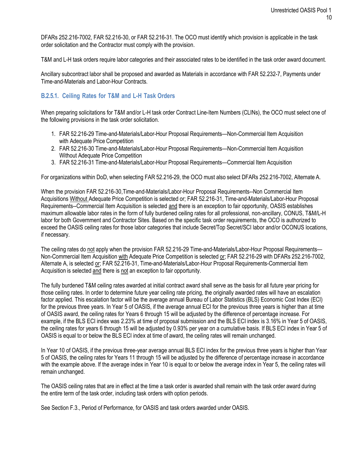DFARs 252.216-7002, FAR 52.216-30, or FAR 52.216-31. The OCO must identify which provision is applicable in the task order solicitation and the Contractor must comply with the provision.

T&M and L-H task orders require labor categories and their associated rates to be identified in the task order award document.

Ancillary subcontract labor shall be proposed and awarded as Materials in accordance with FAR 52.232-7, Payments under Time-and-Materials and Labor-Hour Contracts.

#### **B.2.5.1. Ceiling Rates for T&M and L-H Task Orders**

When preparing solicitations for T&M and/or L-H task order Contract Line-Item Numbers (CLINs), the OCO must select one of the following provisions in the task order solicitation.

- 1. FAR 52.216-29 Time-and-Materials/Labor-Hour Proposal Requirements—Non-Commercial Item Acquisition with Adequate Price Competition
- 2. FAR 52.216-30 Time-and-Materials/Labor-Hour Proposal Requirements—Non-Commercial Item Acquisition Without Adequate Price Competition
- 3. FAR 52.216-31 Time-and-Materials/Labor-Hour Proposal Requirements—Commercial Item Acquisition

For organizations within DoD, when selecting FAR 52.216-29, the OCO must also select DFARs 252.216-7002, Alternate A.

When the provision FAR 52.216-30,Time-and-Materials/Labor-Hour Proposal Requirements--Non Commercial Item Acquisitions Without Adequate Price Competition is selected or; FAR 52.216-31, Time-and-Materials/Labor-Hour Proposal Requirements--Commercial Item Acquisition is selected and there is an exception to fair opportunity, OASIS establishes maximum allowable labor rates in the form of fully burdened ceiling rates for all professional, non-ancillary, CONUS, T&M/L-H labor for both Government and Contractor Sites. Based on the specific task order requirements, the OCO is authorized to exceed the OASIS ceiling rates for those labor categories that include Secret/Top Secret/SCI labor and/or OCONUS locations, if necessary.

The ceiling rates do not apply when the provision FAR 52.216-29 Time-and-Materials/Labor-Hour Proposal Requirements— Non-Commercial Item Acquisition with Adequate Price Competition is selected or; FAR 52.216-29 with DFARs 252.216-7002, Alternate A, is selected or; FAR 52.216-31, Time-and-Materials/Labor-Hour Proposal Requirements-Commercial Item Acquisition is selected and there is not an exception to fair opportunity.

The fully burdened T&M ceiling rates awarded at initial contract award shall serve as the basis for all future year pricing for those ceiling rates. In order to determine future year ceiling rate pricing, the originally awarded rates will have an escalation factor applied. This escalation factor will be the average annual Bureau of Labor Statistics (BLS) Economic Cost Index (ECI) for the previous three years. In Year 5 of OASIS, if the average annual ECI for the previous three years is higher than at time of OASIS award, the ceiling rates for Years 6 through 15 will be adjusted by the difference of percentage increase. For example, if the BLS ECI index was 2.23% at time of proposal submission and the BLS ECI index is 3.16% in Year 5 of OASIS, the ceiling rates for years 6 through 15 will be adjusted by 0.93% per year on a cumulative basis. If BLS ECI index in Year 5 of OASIS is equal to or below the BLS ECI index at time of award, the ceiling rates will remain unchanged.

In Year 10 of OASIS, if the previous three-year average annual BLS ECI index for the previous three years is higher than Year 5 of OASIS, the ceiling rates for Years 11 through 15 will be adjusted by the difference of percentage increase in accordance with the example above. If the average index in Year 10 is equal to or below the average index in Year 5, the ceiling rates will remain unchanged.

The OASIS ceiling rates that are in effect at the time a task order is awarded shall remain with the task order award during the entire term of the task order, including task orders with option periods.

See Section F.3., Period of Performance, for OASIS and task orders awarded under OASIS.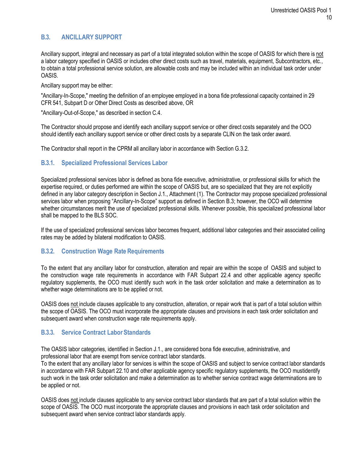#### **B.3. ANCILLARY SUPPORT**

Ancillary support, integral and necessary as part of a total integrated solution within the scope of OASIS for which there is not a labor category specified in OASIS or includes other direct costs such as travel, materials, equipment, Subcontractors, etc., to obtain a total professional service solution, are allowable costs and may be included within an individual task order under OASIS.

Ancillary support may be either:

"Ancillary-In-Scope," meeting the definition of an employee employed in a bona fide professional capacity contained in 29 CFR 541, Subpart D or Other Direct Costs as described above, OR

"Ancillary-Out-of-Scope," as described in section C.4.

The Contractor should propose and identify each ancillary support service or other direct costs separately and the OCO should identify each ancillary support service or other direct costs by a separate CLIN on the task order award.

The Contractor shall report in the CPRM all ancillary labor in accordance with Section G.3.2.

#### **B.3.1. Specialized Professional Services Labor**

Specialized professional services labor is defined as bona fide executive, administrative, or professional skills for which the expertise required, or duties performed are within the scope of OASIS but, are so specialized that they are not explicitly defined in any labor category description in Section J.1., Attachment (1). The Contractor may propose specialized professional services labor when proposing "Ancillary-In-Scope" support as defined in Section B.3; however, the OCO will determine whether circumstances merit the use of specialized professional skills. Whenever possible, this specialized professional labor shall be mapped to the BLS SOC.

If the use of specialized professional services labor becomes frequent, additional labor categories and their associated ceiling rates may be added by bilateral modification to OASIS.

#### **B.3.2. Construction Wage Rate Requirements**

To the extent that any ancillary labor for construction, alteration and repair are within the scope of OASIS and subject to the construction wage rate requirements in accordance with FAR Subpart 22.4 and other applicable agency specific regulatory supplements, the OCO must identify such work in the task order solicitation and make a determination as to whether wage determinations are to be applied or not.

OASIS does not include clauses applicable to any construction, alteration, or repair work that is part of a total solution within the scope of OASIS. The OCO must incorporate the appropriate clauses and provisions in each task order solicitation and subsequent award when construction wage rate requirements apply.

#### **B.3.3. Service Contract LaborStandards**

The OASIS labor categories, identified in Section J.1., are considered bona fide executive, administrative, and professional labor that are exempt from service contract labor standards.

To the extent that any ancillary labor for services is within the scope of OASIS and subject to service contract labor standards in accordance with FAR Subpart 22.10 and other applicable agency specific regulatory supplements, the OCO mustidentify such work in the task order solicitation and make a determination as to whether service contract wage determinations are to be applied or not.

OASIS does not include clauses applicable to any service contract labor standards that are part of a total solution within the scope of OASIS. The OCO must incorporate the appropriate clauses and provisions in each task order solicitation and subsequent award when service contract labor standards apply.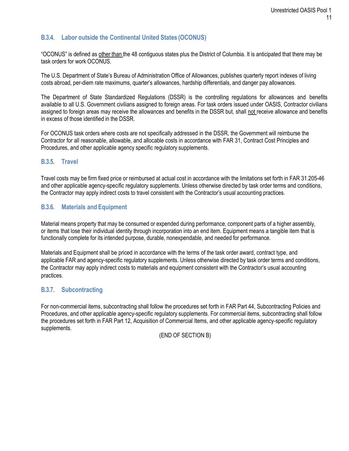#### **B.3.4. Labor outside the Continental United States (OCONUS)**

"OCONUS" is defined as other than the 48 contiguous states plus the District of Columbia. It is anticipated that there may be task orders for work OCONUS.

The U.S. Department of State's Bureau of Administration Office of Allowances, publishes quarterly report indexes of living costs abroad, per-diem rate maximums, quarter's allowances, hardship differentials, and danger pay allowances.

The Department of State Standardized Regulations (DSSR) is the controlling regulations for allowances and benefits available to all U.S. Government civilians assigned to foreign areas. For task orders issued under OASIS, Contractor civilians assigned to foreign areas may receive the allowances and benefits in the DSSR but, shall not receive allowance and benefits in excess of those identified in the DSSR.

For OCONUS task orders where costs are not specifically addressed in the DSSR, the Government will reimburse the Contractor for all reasonable, allowable, and allocable costs in accordance with FAR 31, Contract Cost Principles and Procedures, and other applicable agency specific regulatory supplements.

#### **B.3.5. Travel**

Travel costs may be firm fixed price or reimbursed at actual cost in accordance with the limitations set forth in FAR 31.205-46 and other applicable agency-specific regulatory supplements. Unless otherwise directed by task order terms and conditions, the Contractor may apply indirect costs to travel consistent with the Contractor's usual accounting practices.

#### **B.3.6. Materials and Equipment**

Material means property that may be consumed or expended during performance, component parts of a higher assembly, or items that lose their individual identity through incorporation into an end item. Equipment means a tangible item that is functionally complete for its intended purpose, durable, nonexpendable, and needed for performance.

Materials and Equipment shall be priced in accordance with the terms of the task order award, contract type, and applicable FAR and agency-specific regulatory supplements. Unless otherwise directed by task order terms and conditions, the Contractor may apply indirect costs to materials and equipment consistent with the Contractor's usual accounting practices.

#### **B.3.7. Subcontracting**

For non-commercial items, subcontracting shall follow the procedures set forth in FAR Part 44, Subcontracting Policies and Procedures, and other applicable agency-specific regulatory supplements. For commercial items, subcontracting shall follow the procedures set forth in FAR Part 12, Acquisition of Commercial Items, and other applicable agency-specific regulatory supplements.

(END OF SECTION B)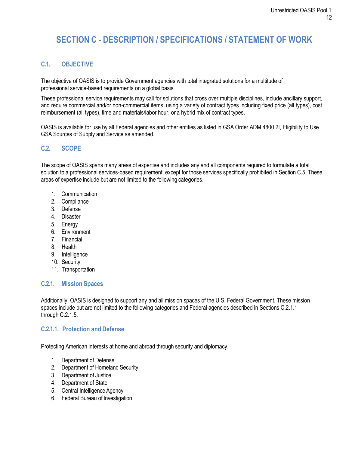## **SECTION C - DESCRIPTION / SPECIFICATIONS / STATEMENT OF WORK**

#### **C.1. OBJECTIVE**

The objective of OASIS is to provide Government agencies with total integrated solutions for a multitude of professional service-based requirements on a global basis.

These professional service requirements may call for solutions that cross over multiple disciplines, include ancillary support, and require commercial and/or non-commercial items, using a variety of contract types including fixed price (all types), cost reimbursement (all types), time and materials/labor hour, or a hybrid mix of contract types.

OASIS is available for use by all Federal agencies and other entities as listed in GSA Order ADM 4800.2I, Eligibility to Use GSA Sources of Supply and Service as amended.

#### **C.2. SCOPE**

The scope of OASIS spans many areas of expertise and includes any and all components required to formulate a total solution to a professional services-based requirement, except for those services specifically prohibited in Section C.5. These areas of expertise include but are not limited to the following categories.

- 1. Communication
- 2. Compliance
- 3. Defense
- 4. Disaster
- 5. Energy
- 6. Environment
- 7. Financial
- 8. Health
- 9. Intelligence
- 10. Security
- 11. Transportation

#### **C.2.1. Mission Spaces**

Additionally, OASIS is designed to support any and all mission spaces of the U.S. Federal Government. These mission spaces include but are not limited to the following categories and Federal agencies described in Sections C.2.1.1 through C.2.1.5.

#### **C.2.1.1. Protection and Defense**

Protecting American interests at home and abroad through security and diplomacy.

- 1. Department of Defense
- 2. Department of Homeland Security
- 3. Department of Justice
- 4. Department of State
- 5. Central Intelligence Agency
- 6. Federal Bureau of Investigation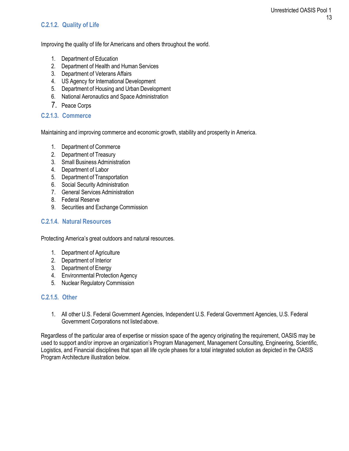#### **C.2.1.2. Quality of Life**

Improving the quality of life for Americans and others throughout the world.

- 1. Department of Education
- 2. Department of Health and Human Services
- 3. Department of Veterans Affairs
- 4. US Agency for International Development
- 5. Department of Housing and Urban Development
- 6. National Aeronautics and Space Administration
- 7. Peace Corps

#### **C.2.1.3. Commerce**

Maintaining and improving commerce and economic growth, stability and prosperity in America.

- 1. Department of Commerce
- 2. Department of Treasury
- 3. Small Business Administration
- 4. Department of Labor
- 5. Department of Transportation
- 6. Social Security Administration
- 7. General Services Administration
- 8. Federal Reserve
- 9. Securities and Exchange Commission

#### **C.2.1.4. Natural Resources**

Protecting America's great outdoors and natural resources.

- 1. Department of Agriculture
- 2. Department of Interior
- 3. Department of Energy
- 4. Environmental Protection Agency
- 5. Nuclear Regulatory Commission

#### **C.2.1.5. Other**

1. All other U.S. Federal Government Agencies, Independent U.S. Federal Government Agencies, U.S. Federal Government Corporations not listed above.

Regardless of the particular area of expertise or mission space of the agency originating the requirement, OASIS may be used to support and/or improve an organization's Program Management, Management Consulting, Engineering, Scientific, Logistics, and Financial disciplines that span all life cycle phases for a total integrated solution as depicted in the OASIS Program Architecture illustration below.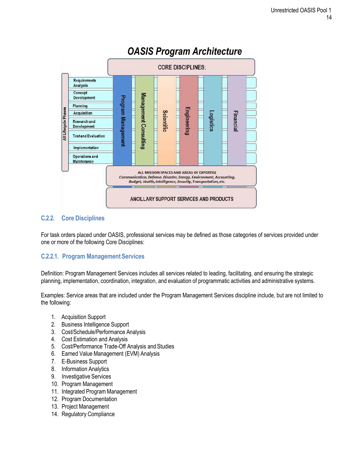

#### **C.2.2. Core Disciplines**

For task orders placed under OASIS, professional services may be defined as those categories of services provided under one or more of the following Core Disciplines:

#### **C.2.2.1. Program Management Services**

Definition: Program Management Services includes all services related to leading, facilitating, and ensuring the strategic planning, implementation, coordination, integration, and evaluation of programmatic activities and administrative systems.

Examples: Service areas that are included under the Program Management Services discipline include, but are not limited to the following:

- 1. Acquisition Support
- 2. Business Intelligence Support
- 3. Cost/Schedule/Performance Analysis
- 4. Cost Estimation and Analysis
- 5. Cost/Performance Trade-Off Analysis and Studies
- 6. Earned Value Management (EVM) Analysis
- 7. E-Business Support
- 8. Information Analytics
- 9. Investigative Services
- 10. Program Management
- 11. Integrated Program Management
- 12. Program Documentation
- 13. Project Management
- 14. Regulatory Compliance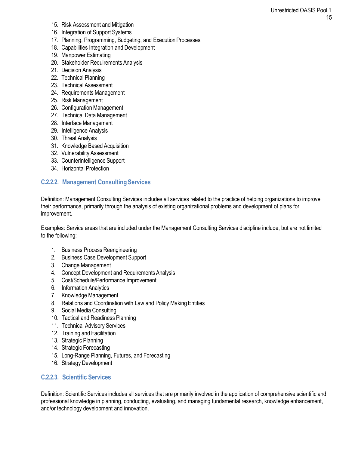- 15. Risk Assessment and Mitigation
- 16. Integration of Support Systems
- 17. Planning, Programming, Budgeting, and Execution Processes
- 18. Capabilities Integration and Development
- 19. Manpower Estimating
- 20. Stakeholder Requirements Analysis
- 21. Decision Analysis
- 22. Technical Planning
- 23. Technical Assessment
- 24. Requirements Management
- 25. Risk Management
- 26. Configuration Management
- 27. Technical Data Management
- 28. Interface Management
- 29. Intelligence Analysis
- 30. Threat Analysis
- 31. Knowledge Based Acquisition
- 32. Vulnerability Assessment
- 33. Counterintelligence Support
- 34. Horizontal Protection

#### **C.2.2.2. Management Consulting Services**

Definition: Management Consulting Services includes all services related to the practice of helping organizations to improve their performance, primarily through the analysis of existing organizational problems and development of plans for improvement.

Examples: Service areas that are included under the Management Consulting Services discipline include, but are not limited to the following:

- 1. Business Process Reengineering
- 2. Business Case Development Support
- 3. Change Management
- 4. Concept Development and Requirements Analysis
- 5. Cost/Schedule/Performance Improvement
- 6. Information Analytics
- 7. Knowledge Management
- 8. Relations and Coordination with Law and Policy Making Entities
- 9. Social Media Consulting
- 10. Tactical and Readiness Planning
- 11. Technical Advisory Services
- 12. Training and Facilitation
- 13. Strategic Planning
- 14. Strategic Forecasting
- 15. Long-Range Planning, Futures, and Forecasting
- 16. Strategy Development

#### **C.2.2.3. Scientific Services**

Definition: Scientific Services includes all services that are primarily involved in the application of comprehensive scientific and professional knowledge in planning, conducting, evaluating, and managing fundamental research, knowledge enhancement, and/or technology development and innovation.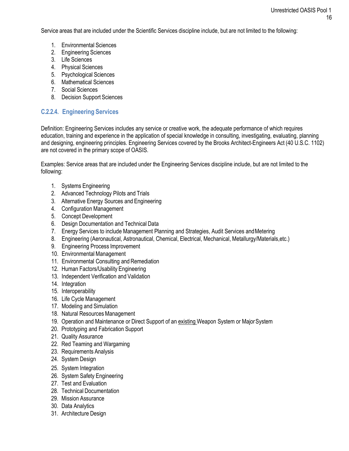Service areas that are included under the Scientific Services discipline include, but are not limited to the following:

- 1. Environmental Sciences
- 2. Engineering Sciences
- 3. Life Sciences
- 4. Physical Sciences
- 5. Psychological Sciences
- 6. Mathematical Sciences
- 7. Social Sciences
- 8. Decision Support Sciences

#### **C.2.2.4. Engineering Services**

Definition: Engineering Services includes any service or creative work, the adequate performance of which requires education, training and experience in the application of special knowledge in consulting, investigating, evaluating, planning and designing, engineering principles. Engineering Services covered by the Brooks Architect-Engineers Act (40 U.S.C. 1102) are not covered in the primary scope of OASIS.

Examples: Service areas that are included under the Engineering Services discipline include, but are not limited to the following:

- 1. Systems Engineering
- 2. Advanced Technology Pilots and Trials
- 3. Alternative Energy Sources and Engineering
- 4. Configuration Management
- 5. Concept Development
- 6. Design Documentation and Technical Data
- 7. Energy Services to include Management Planning and Strategies, Audit Services andMetering
- 8. Engineering (Aeronautical, Astronautical, Chemical, Electrical, Mechanical, Metallurgy/Materials,etc.)
- 9. Engineering Process Improvement
- 10. Environmental Management
- 11. Environmental Consulting and Remediation
- 12. Human Factors/Usability Engineering
- 13. Independent Verification and Validation
- 14. Integration
- 15. Interoperability
- 16. Life Cycle Management
- 17. Modeling and Simulation
- 18. Natural Resources Management
- 19. Operation and Maintenance or Direct Support of an existing Weapon System or MajorSystem
- 20. Prototyping and Fabrication Support
- 21. Quality Assurance
- 22. Red Teaming and Wargaming
- 23. Requirements Analysis
- 24. System Design
- 25. System Integration
- 26. System Safety Engineering
- 27. Test and Evaluation
- 28. Technical Documentation
- 29. Mission Assurance
- 30. Data Analytics
- 31. Architecture Design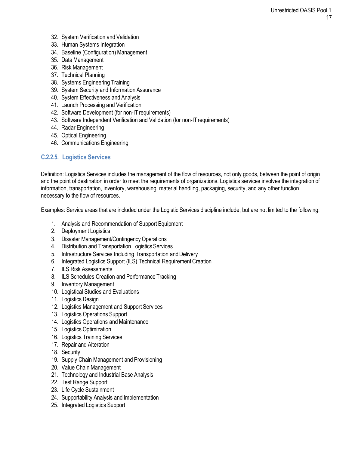- 32. System Verification and Validation
- 33. Human Systems Integration
- 34. Baseline (Configuration) Management
- 35. Data Management
- 36. Risk Management
- 37. Technical Planning
- 38. Systems Engineering Training
- 39. System Security and Information Assurance
- 40. System Effectiveness and Analysis
- 41. Launch Processing and Verification
- 42. Software Development (for non-IT requirements)
- 43. Software Independent Verification and Validation (for non-IT requirements)
- 44. Radar Engineering
- 45. Optical Engineering
- 46. Communications Engineering

#### **C.2.2.5. Logistics Services**

Definition: Logistics Services includes the management of the flow of resources, not only goods, between the point of origin and the point of destination in order to meet the requirements of organizations. Logistics services involves the integration of information, transportation, inventory, warehousing, material handling, packaging, security, and any other function necessary to the flow of resources.

Examples: Service areas that are included under the Logistic Services discipline include, but are not limited to the following:

- 1. Analysis and Recommendation of Support Equipment
- 2. Deployment Logistics
- 3. Disaster Management/Contingency Operations
- 4. Distribution and Transportation Logistics Services
- 5. Infrastructure Services Including Transportation and Delivery
- 6. Integrated Logistics Support (ILS) Technical Requirement Creation
- 7. ILS Risk Assessments
- 8. ILS Schedules Creation and Performance Tracking
- 9. Inventory Management
- 10. Logistical Studies and Evaluations
- 11. Logistics Design
- 12. Logistics Management and Support Services
- 13. Logistics Operations Support
- 14. Logistics Operations and Maintenance
- 15. Logistics Optimization
- 16. Logistics Training Services
- 17. Repair and Alteration
- 18. Security
- 19. Supply Chain Management and Provisioning
- 20. Value Chain Management
- 21. Technology and Industrial Base Analysis
- 22. Test Range Support
- 23. Life Cycle Sustainment
- 24. Supportability Analysis and Implementation
- 25. Integrated Logistics Support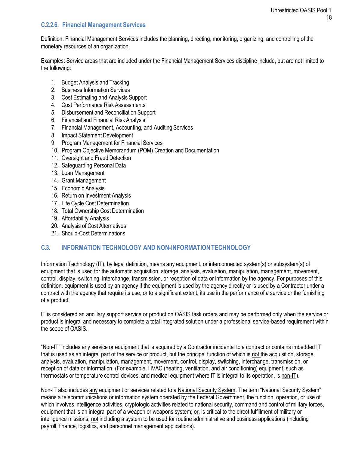#### **C.2.2.6. Financial Management Services**

Definition: Financial Management Services includes the planning, directing, monitoring, organizing, and controlling of the monetary resources of an organization.

Examples: Service areas that are included under the Financial Management Services discipline include, but are not limited to the following:

- 1. Budget Analysis and Tracking
- 2. Business Information Services
- 3. Cost Estimating and Analysis Support
- 4. Cost Performance Risk Assessments
- 5. Disbursement and Reconciliation Support
- 6. Financial and Financial Risk Analysis
- 7. Financial Management, Accounting, and Auditing Services
- 8. Impact Statement Development
- 9. Program Management for Financial Services
- 10. Program Objective Memorandum (POM) Creation and Documentation
- 11. Oversight and Fraud Detection
- 12. Safeguarding Personal Data
- 13. Loan Management
- 14. Grant Management
- 15. Economic Analysis
- 16. Return on Investment Analysis
- 17. Life Cycle Cost Determination
- 18. Total Ownership Cost Determination
- 19. Affordability Analysis
- 20. Analysis of Cost Alternatives
- 21. Should-Cost Determinations

#### **C.3. INFORMATION TECHNOLOGY AND NON-INFORMATIONTECHNOLOGY**

Information Technology (IT), by legal definition, means any equipment, or interconnected system(s) or subsystem(s) of equipment that is used for the automatic acquisition, storage, analysis, evaluation, manipulation, management, movement, control, display, switching, interchange, transmission, or reception of data or information by the agency. For purposes of this definition, equipment is used by an agency if the equipment is used by the agency directly or is used by a Contractor under a contract with the agency that require its use, or to a significant extent, its use in the performance of a service or the furnishing of a product.

IT is considered an ancillary support service or product on OASIS task orders and may be performed only when the service or product is integral and necessary to complete a total integrated solution under a professional service-based requirement within the scope of OASIS.

"Non-IT" includes any service or equipment that is acquired by a Contractor incidental to a contract or contains imbedded IT that is used as an integral part of the service or product, but the principal function of which is not the acquisition, storage, analysis, evaluation, manipulation, management, movement, control, display, switching, interchange, transmission, or reception of data or information. (For example, HVAC (heating, ventilation, and air conditioning) equipment, such as thermostats or temperature control devices, and medical equipment where IT is integral to its operation, is non-IT).

Non-IT also includes any equipment or services related to a National Security System. The term "National Security System" means a telecommunications or information system operated by the Federal Government, the function, operation, or use of which involves intelligence activities, cryptologic activities related to national security, command and control of military forces, equipment that is an integral part of a weapon or weapons system; or, is critical to the direct fulfillment of military or intelligence missions, not including a system to be used for routine administrative and business applications (including payroll, finance, logistics, and personnel management applications).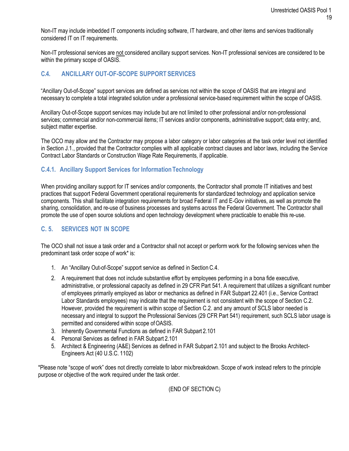Non-IT may include imbedded IT components including software, IT hardware, and other items and services traditionally considered IT on IT requirements.

Non-IT professional services are not considered ancillary support services. Non-IT professional services are considered to be within the primary scope of OASIS.

#### **C.4. ANCILLARY OUT-OF-SCOPE SUPPORT SERVICES**

"Ancillary Out-of-Scope" support services are defined as services not within the scope of OASIS that are integral and necessary to complete a total integrated solution under a professional service-based requirement within the scope of OASIS.

Ancillary Out-of-Scope support services may include but are not limited to other professional and/or non-professional services; commercial and/or non-commercial items; IT services and/or components, administrative support; data entry; and, subject matter expertise.

The OCO may allow and the Contractor may propose a labor category or labor categories at the task order level not identified in Section J.1., provided that the Contractor complies with all applicable contract clauses and labor laws, including the Service Contract Labor Standards or Construction Wage Rate Requirements, if applicable.

#### **C.4.1. Ancillary Support Services for InformationTechnology**

When providing ancillary support for IT services and/or components, the Contractor shall promote IT initiatives and best practices that support Federal Government operational requirements for standardized technology and application service components. This shall facilitate integration requirements for broad Federal IT and E-Gov initiatives, as well as promote the sharing, consolidation, and re-use of business processes and systems across the Federal Government. The Contractor shall promote the use of open source solutions and open technology development where practicable to enable this re-use.

#### **C. 5. SERVICES NOT IN SCOPE**

The OCO shall not issue a task order and a Contractor shall not accept or perform work for the following services when the predominant task order scope of work\* is:

- 1. An "Ancillary Out-of-Scope" support service as defined in Section C.4.
- 2. A requirement that does not include substantive effort by employees performing in a bona fide executive, administrative, or professional capacity as defined in 29 CFR Part 541. A requirement that utilizes a significant number of employees primarily employed as labor or mechanics as defined in FAR Subpart 22.401 (i.e., Service Contract Labor Standards employees) may indicate that the requirement is not consistent with the scope of Section C.2. However, provided the requirement is within scope of Section C.2. and any amount of SCLS labor needed is necessary and integral to support the Professional Services (29 CFR Part 541) requirement, such SCLS labor usage is permitted and considered within scope of OASIS.
- 3. Inherently Governmental Functions as defined in FAR Subpart 2.101
- 4. Personal Services as defined in FAR Subpart 2.101
- 5. Architect & Engineering (A&E) Services as defined in FAR Subpart 2.101 and subject to the Brooks Architect-Engineers Act (40 U.S.C. 1102)

\*Please note "scope of work" does not directly correlate to labor mix/breakdown. Scope of work instead refers to the principle purpose or objective of the work required under the task order.

(END OF SECTION C)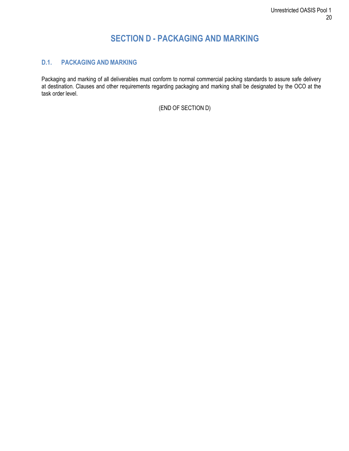## **SECTION D - PACKAGING AND MARKING**

#### **D.1. PACKAGING AND MARKING**

Packaging and marking of all deliverables must conform to normal commercial packing standards to assure safe delivery at destination. Clauses and other requirements regarding packaging and marking shall be designated by the OCO at the task order level.

(END OF SECTION D)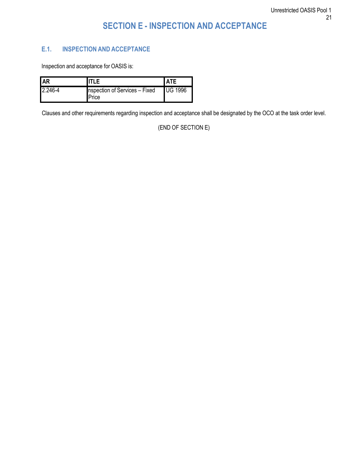## **SECTION E - INSPECTION AND ACCEPTANCE**

#### **E.1. INSPECTION AND ACCEPTANCE**

Inspection and acceptance for OASIS is:

| <b>AR</b> | <b>ITLE</b>                                      | <b>ATE</b>     |
|-----------|--------------------------------------------------|----------------|
| 2.246-4   | Inspection of Services - Fixed<br><b>I</b> Price | <b>UG 1996</b> |

Clauses and other requirements regarding inspection and acceptance shall be designated by the OCO at the task order level.

(END OF SECTION E)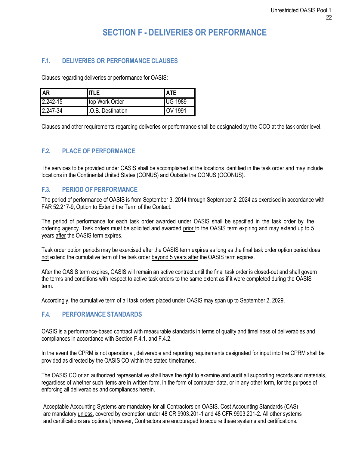## **SECTION F - DELIVERIES OR PERFORMANCE**

#### **F.1. DELIVERIES OR PERFORMANCE CLAUSES**

Clauses regarding deliveries or performance for OASIS:

| <b>IAR</b> | IITLE             | <b>ATE</b> |
|------------|-------------------|------------|
| 2.242-15   | top Work Order    | UG 1989    |
| 2.247-34   | .O.B. Destination | OV 1991    |

Clauses and other requirements regarding deliveries or performance shall be designated by the OCO at the task order level.

#### **F.2. PLACE OF PERFORMANCE**

The services to be provided under OASIS shall be accomplished at the locations identified in the task order and may include locations in the Continental United States (CONUS) and Outside the CONUS (OCONUS).

#### **F.3. PERIOD OF PERFORMANCE**

The period of performance of OASIS is from September 3, 2014 through September 2, 2024 as exercised in accordance with FAR 52.217-9, Option to Extend the Term of the Contact.

The period of performance for each task order awarded under OASIS shall be specified in the task order by the ordering agency. Task orders must be solicited and awarded prior to the OASIS term expiring and may extend up to 5 years after the OASIS term expires.

Task order option periods may be exercised after the OASIS term expires as long as the final task order option period does not extend the cumulative term of the task order beyond 5 years after the OASIS term expires.

After the OASIS term expires, OASIS will remain an active contract until the final task order is closed-out and shall govern the terms and conditions with respect to active task orders to the same extent as if it were completed during the OASIS term.

Accordingly, the cumulative term of all task orders placed under OASIS may span up to September 2, 2029.

#### **F.4. PERFORMANCE STANDARDS**

OASIS is a performance-based contract with measurable standards in terms of quality and timeliness of deliverables and compliances in accordance with Section F.4.1. and F.4.2.

In the event the CPRM is not operational, deliverable and reporting requirements designated for input into the CPRM shall be provided as directed by the OASIS CO within the stated timeframes.

The OASIS CO or an authorized representative shall have the right to examine and audit all supporting records and materials, regardless of whether such items are in written form, in the form of computer data, or in any other form, for the purpose of enforcing all deliverables and compliances herein.

Acceptable Accounting Systems are mandatory for all Contractors on OASIS. Cost Accounting Standards (CAS) are mandatory unless, covered by exemption under 48 CR 9903.201-1 and 48 CFR 9903.201-2. All other systems and certifications are optional; however, Contractors are encouraged to acquire these systems and certifications.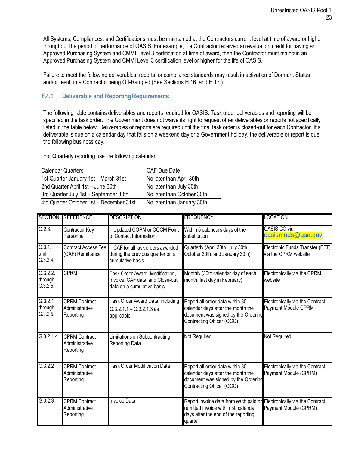All Systems, Compliances, and Certifications must be maintained at the Contractors current level at time of award or higher throughout the period of performance of OASIS. For example, if a Contractor received an evaluation credit for having an Approved Purchasing System and CMMI Level 3 certification at time of award, then the Contractor must maintain an Approved Purchasing System and CMMI Level 3 certification level or higher for the life of OASIS.

Failure to meet the following deliverables, reports, or compliance standards may result in activation of Dormant Status and/or result in a Contractor being Off-Ramped (See Sections H.16. and H.17.).

#### **F.4.1. Deliverable and ReportingRequirements**

The following table contains deliverables and reports required for OASIS. Task order deliverables and reporting will be specified in the task order. The Government does not waive its right to request other deliverables or reports not specifically listed in the table below. Deliverables or reports are required until the final task order is closed-out for each Contractor. If a deliverable is due on a calendar day that falls on a weekend day or a Government holiday, the deliverable or report is due the following business day.

For Quarterly reporting use the following calendar:

| <b>Calendar Quarters</b>                | <b>CAF Due Date</b>        |
|-----------------------------------------|----------------------------|
| 1st Quarter January 1st - March 31st    | No later than April 30th   |
| 2nd Quarter April 1st - June 30th       | No later than July 30th    |
| 3rd Quarter July 1st - September 30th   | No later than October 30th |
| 4th Quarter October 1st - December 31st | No later than January 30th |

| <b>SECTION</b>                  | <b>REFERENCE</b>                                    | <b>DESCRIPTION</b>                                                                                | <b>FREQUENCY</b>                                                                                                                                               | <b>LOCATION</b>                                          |
|---------------------------------|-----------------------------------------------------|---------------------------------------------------------------------------------------------------|----------------------------------------------------------------------------------------------------------------------------------------------------------------|----------------------------------------------------------|
| G.2.6.                          | Contractor Key<br>Personnel                         | Updated COPM or COCM Point<br>of Contact Information                                              | Within 5 calendars days of the<br>substitution                                                                                                                 | OASIS CO via<br><u>oasismods@gsa.gov</u>                 |
| G.3.1.<br>and<br>G.3.2.4.       | <b>Contract Access Fee</b><br>(CAF) Remittance      | CAF for all task orders awarded<br>during the previous quarter on a<br>cumulative basis           | Quarterly (April 30th, July 30th,<br>October 30th, and January 30th)                                                                                           | Electronic Funds Transfer (EFT)<br>via the CPRM website  |
| G.3.2.2.<br>through<br>G.3.2.5. | <b>CPRM</b>                                         | Task Order Award, Modification,<br>Invoice, CAF data, and Close-out<br>data on a cumulative basis | Monthly (30th calendar day of each<br>month, last day in February)                                                                                             | Electronically via the CPRM<br>website                   |
| G.3.2.1<br>through<br>G.3.2.5.  | <b>CPRM Contract</b><br>Administrative<br>Reporting | Task Order Award Data, including<br>$G.3.2.1.1 - G.3.2.1.3$ as<br>applicable                      | Report all order data within 30<br>calendar days after the month the<br>document was signed by the Ordering<br>Contracting Officer (OCO)                       | Electronically via the Contract<br>Payment Module CPRM   |
| G.3.2.1.4                       | <b>CPRM Contract</b><br>Administrative<br>Reporting | Limitations on Subcontracting<br>Reporting Data                                                   | <b>Not Required</b>                                                                                                                                            | <b>Not Required</b>                                      |
| G.3.2.2                         | <b>CPRM Contract</b><br>Administrative<br>Reporting | <b>Task Order Modification Data</b>                                                               | Report all order data within 30<br>calendar days after the month the<br>document was signed by the Ordering<br>Contracting Officer (OCO)                       | Electronically via the Contract<br>Payment Module (CPRM) |
| G.3.2.3                         | <b>CPRM Contract</b><br>Administrative<br>Reporting | <b>Invoice Data</b>                                                                               | Report invoice data from each paid or Electronically via the Contract<br>remitted invoice within 30 calendar<br>days after the end of the reporting<br>quarter | Payment Module (CPRM)                                    |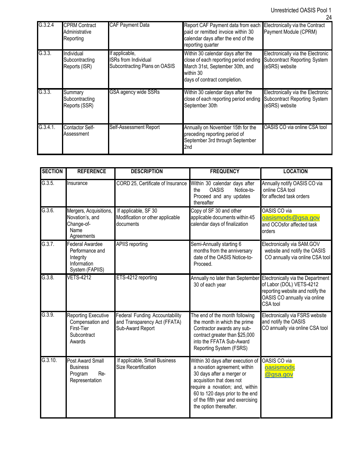| G.3.2.4  | <b>CPRM Contract</b><br>Administrative<br>Reporting | <b>CAF Payment Data</b>                                                        | Report CAF Payment data from each<br>paid or remitted invoice within 30<br>calendar days after the end of the<br>reporting quarter                         | Electronically via the Contract<br>Payment Module (CPRM)                            |
|----------|-----------------------------------------------------|--------------------------------------------------------------------------------|------------------------------------------------------------------------------------------------------------------------------------------------------------|-------------------------------------------------------------------------------------|
| G.3.3.   | Individual<br>Subcontracting<br>Reports (ISR)       | If applicable,<br><b>ISRs from Individual</b><br>Subcontracting Plans on OASIS | Within 30 calendar days after the<br>close of each reporting period ending<br>March 31st, September 30th, and<br>within 30<br>days of contract completion. | Electronically via the Electronic<br>Subcontract Reporting System<br>(eSRS) website |
| G.3.3.   | Summary<br>Subcontracting<br>Reports (SSR)          | <b>GSA agency wide SSRs</b>                                                    | Within 30 calendar days after the<br>close of each reporting period ending<br>September 30th                                                               | Electronically via the Electronic<br>Subcontract Reporting System<br>(eSRS) website |
| G.3.4.1. | Contactor Self-<br>Assessment                       | Self-Assessment Report                                                         | Annually on November 15th for the<br>preceding reporting period of<br>September 3rd through September<br>2nd                                               | OASIS CO via online CSA tool                                                        |

| <b>SECTION</b> | <b>REFERENCE</b>                                                                         | <b>DESCRIPTION</b>                                                                        | <b>FREQUENCY</b>                                                                                                                                                                                                                                                | <b>LOCATION</b>                                                                                                                                                                |
|----------------|------------------------------------------------------------------------------------------|-------------------------------------------------------------------------------------------|-----------------------------------------------------------------------------------------------------------------------------------------------------------------------------------------------------------------------------------------------------------------|--------------------------------------------------------------------------------------------------------------------------------------------------------------------------------|
| G.3.5.         | Insurance                                                                                | CORD 25, Certificate of Insurance                                                         | Within 30 calendar days after<br>Notice-to-<br><b>OASIS</b><br>the<br>Proceed and any updates<br>thereafter                                                                                                                                                     | Annually notify OASIS CO via<br>online CSA tool<br>for affected task orders                                                                                                    |
| G.3.6.         | Mergers, Acquisitions,<br>Novation's, and<br>Change-of-<br>Name<br>Agreements            | If applicable, SF 30<br>Modification or other applicable<br>documents                     | Copy of SF 30 and other<br>applicable documents within 45<br>calendar days of finalization                                                                                                                                                                      | OASIS CO via<br>oasismods@gsa.gov<br>and OCOsfor affected task<br>orders                                                                                                       |
| G.3.7.         | <b>Federal Awardee</b><br>Performance and<br>Integrity<br>Information<br>System (FAPIIS) | APIIS reporting                                                                           | Semi-Annually starting 6<br>months from the anniversary<br>date of the OASIS Notice-to-<br>Proceed.                                                                                                                                                             | Electronically via SAM.GOV<br>website and notify the OASIS<br>CO annually via online CSA tool                                                                                  |
| G.3.8.         | <b>VETS-4212</b>                                                                         | ETS-4212 reporting                                                                        | 30 of each year                                                                                                                                                                                                                                                 | Annually no later than September Electronically via the Department<br>of Labor (DOL) VETS-4212<br>reporting website and notify the<br>OASIS CO annually via online<br>CSA tool |
| G.3.9.         | <b>Reporting Executive</b><br>Compensation and<br>First-Tier<br>Subcontract<br>Awards    | <b>Federal Funding Accountability</b><br>and Transparency Act (FFATA)<br>Sub-Award Report | The end of the month following<br>the month in which the prime<br>Contractor awards any sub-<br>contract greater than \$25,000<br>into the FFATA Sub-Award<br>Reporting System (FSRS)                                                                           | Electronically via FSRS website<br>and notify the OASIS<br>CO annually via online CSA tool                                                                                     |
| G.3.10.        | Post Award Small<br><b>Business</b><br>Re-<br>Program<br>Representation                  | If applicable, Small Business<br><b>Size Recertification</b>                              | Within 30 days after execution of<br>a novation agreement; within<br>30 days after a merger or<br>acquisition that does not<br>require a novation; and, within<br>60 to 120 days prior to the end<br>of the fifth year and exercising<br>the option thereafter. | OASIS CO via<br>oasismods<br>@gsa.gov                                                                                                                                          |

24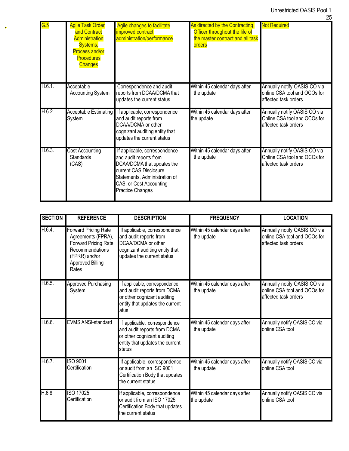|        |                                                                                                                                       |                                                                                                                                                                                                        |                                                                                                                | ∠∪                                                                                   |
|--------|---------------------------------------------------------------------------------------------------------------------------------------|--------------------------------------------------------------------------------------------------------------------------------------------------------------------------------------------------------|----------------------------------------------------------------------------------------------------------------|--------------------------------------------------------------------------------------|
| G.5    | <b>Agile Task Order</b><br>and Contract<br><b>Administration</b><br>Systems,<br>Process and/or<br><b>Procedures</b><br><b>Changes</b> | Agile changes to facilitate<br>improved contract<br>administration/performance                                                                                                                         | As directed by the Contracting<br>Officer throughout the life of<br>the master contract and all task<br>orders | <b>Not Required</b>                                                                  |
| H.6.1. | Acceptable<br><b>Accounting System</b>                                                                                                | Correspondence and audit<br>reports from DCAA/DCMA that<br>updates the current status                                                                                                                  | Within 45 calendar days after<br>the update                                                                    | Annually notify OASIS CO via<br>online CSA tool and OCOs for<br>affected task orders |
| H.6.2. | Acceptable Estimating<br>System                                                                                                       | If applicable, correspondence<br>and audit reports from<br>DCAA/DCMA or other<br>cognizant auditing entity that<br>updates the current status                                                          | Within 45 calendar days after<br>the update                                                                    | Annually notify OASIS CO via<br>Online CSA tool and OCOs for<br>affected task orders |
| H.6.3. | Cost Accounting<br><b>Standards</b><br>(CAS)                                                                                          | If applicable, correspondence<br>and audit reports from<br>DCAA/DCMA that updates the<br>current CAS Disclosure<br>Statements, Administration of<br>CAS, or Cost Accounting<br><b>Practice Changes</b> | Within 45 calendar days after<br>the update                                                                    | Annually notify OASIS CO via<br>Online CSA tool and OCOs for<br>affected task orders |

 $\hat{\mathbf{a}}$ 

| <b>SECTION</b> | <b>REFERENCE</b>                                                                                                                                  | <b>DESCRIPTION</b>                                                                                                                            | <b>FREQUENCY</b>                            | <b>LOCATION</b>                                                                      |
|----------------|---------------------------------------------------------------------------------------------------------------------------------------------------|-----------------------------------------------------------------------------------------------------------------------------------------------|---------------------------------------------|--------------------------------------------------------------------------------------|
| H.6.4.         | <b>Forward Pricing Rate</b><br>Agreements (FPRA),<br>Forward Pricing Rate<br>Recommendations<br>(FPRR) and/or<br><b>Approved Billing</b><br>Rates | If applicable, correspondence<br>and audit reports from<br>DCAA/DCMA or other<br>cognizant auditing entity that<br>updates the current status | Within 45 calendar days after<br>the update | Annually notify OASIS CO via<br>online CSA tool and OCOs for<br>affected task orders |
| H.6.5.         | Approved Purchasing<br>System                                                                                                                     | If applicable, correspondence<br>and audit reports from DCMA<br>or other cognizant auditing<br>entity that updates the current<br>latus       | Within 45 calendar days after<br>the update | Annually notify OASIS CO via<br>online CSA tool and OCOs for<br>affected task orders |
| H.6.6.         | <b>EVMS ANSI-standard</b>                                                                                                                         | If applicable, correspondence<br>and audit reports from DCMA<br>or other cognizant auditing<br>entity that updates the current<br>status      | Within 45 calendar days after<br>the update | Annually notify OASIS CO via<br>online CSA tool                                      |
| H.6.7.         | <b>ISO 9001</b><br>Certification                                                                                                                  | If applicable, correspondence<br>or audit from an ISO 9001<br>Certification Body that updates<br>the current status                           | Within 45 calendar days after<br>the update | Annually notify OASIS CO via<br>online CSA tool                                      |
| H.6.8.         | ISO 17025<br>Certification                                                                                                                        | If applicable, correspondence<br>or audit from an ISO 17025<br>Certification Body that updates<br>the current status                          | Within 45 calendar days after<br>the update | Annually notify OASIS CO via<br>online CSA tool                                      |

25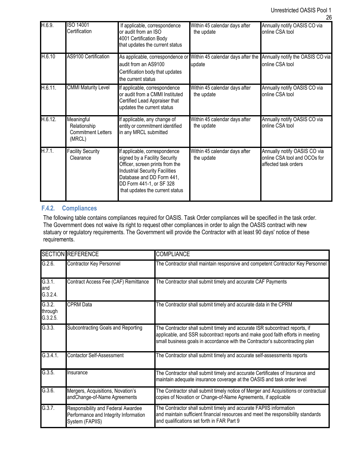|         |                                                                   |                                                                                                                                                                                                                                        |                                                                              | ZÜ.                                                                                  |
|---------|-------------------------------------------------------------------|----------------------------------------------------------------------------------------------------------------------------------------------------------------------------------------------------------------------------------------|------------------------------------------------------------------------------|--------------------------------------------------------------------------------------|
| H.6.9.  | <b>ISO 14001</b><br>Certification                                 | If applicable, correspondence<br>or audit from an ISO<br>4001 Certification Body<br>that updates the current status                                                                                                                    | Within 45 calendar days after<br>the update                                  | Annually notify OASIS CO via<br>online CSA tool                                      |
| H.6.10  | <b>AS9100 Certification</b>                                       | audit from an AS9100<br>Certification body that updates<br>the current status                                                                                                                                                          | As applicable, correspondence or Within 45 calendar days after the<br>update | Annually notify the OASIS CO via<br>online CSA tool                                  |
| H.6.11. | <b>CMMI Maturity Level</b>                                        | If applicable, correspondence<br>or audit from a CMMI Instituted<br>Certified Lead Appraiser that<br>updates the current status                                                                                                        | Within 45 calendar days after<br>the update                                  | Annually notify OASIS CO via<br>online CSA tool                                      |
| H.6.12. | Meaningful<br>Relationship<br><b>Commitment Letters</b><br>(MRCL) | If applicable, any change of<br>entity or commitment identified<br>in any MRCL submitted                                                                                                                                               | Within 45 calendar days after<br>the update                                  | Annually notify OASIS CO via<br>online CSA tool                                      |
| H.7.1.  | <b>Facility Security</b><br>Clearance                             | If applicable, correspondence<br>signed by a Facility Security<br>Officer, screen prints from the<br><b>Industrial Security Facilities</b><br>Database and DD Form 441,<br>DD Form 441-1, or SF 328<br>that updates the current status | Within 45 calendar days after<br>the update                                  | Annually notify OASIS CO via<br>online CSA tool and OCOs for<br>affected task orders |

#### **F.4.2. Compliances**

The following table contains compliances required for OASIS. Task Order compliances will be specified in the task order. The Government does not waive its right to request other compliances in order to align the OASIS contract with new statuary or regulatory requirements. The Government will provide the Contractor with at least 90 days' notice of these requirements.

|                               | <b>SECTION REFERENCE</b>                                                                       | <b>COMPLIANCE</b>                                                                                                                                                                                                                             |
|-------------------------------|------------------------------------------------------------------------------------------------|-----------------------------------------------------------------------------------------------------------------------------------------------------------------------------------------------------------------------------------------------|
| G.2.6.                        | <b>Contractor Key Personnel</b>                                                                | The Contractor shall maintain responsive and competent Contractor Key Personnel                                                                                                                                                               |
| G.3.1.<br>and<br>G.3.2.4.     | Contract Access Fee (CAF) Remittance                                                           | The Contractor shall submit timely and accurate CAF Payments                                                                                                                                                                                  |
| G.3.2.<br>through<br>G.3.2.5. | <b>CPRM</b> Data                                                                               | The Contractor shall submit timely and accurate data in the CPRM                                                                                                                                                                              |
| G.3.3.                        | Subcontracting Goals and Reporting                                                             | The Contractor shall submit timely and accurate ISR subcontract reports, if<br>applicable, and SSR subcontract reports and make good faith efforts in meeting<br>small business goals in accordance with the Contractor's subcontracting plan |
| G.3.4.1.                      | <b>Contactor Self-Assessment</b>                                                               | The Contractor shall submit timely and accurate self-assessments reports                                                                                                                                                                      |
| G.3.5.                        | Insurance                                                                                      | The Contractor shall submit timely and accurate Certificates of Insurance and<br>maintain adequate insurance coverage at the OASIS and task order level                                                                                       |
| G.3.6.                        | Mergers, Acquisitions, Novation's<br>andChange-of-Name Agreements                              | The Contractor shall submit timely notice of Merger and Acquisitions or contractual<br>copies of Novation or Change-of-Name Agreements, if applicable                                                                                         |
| G.3.7.                        | Responsibility and Federal Awardee<br>Performance and Integrity Information<br>System (FAPIIS) | The Contractor shall submit timely and accurate FAPIIS information<br>and maintain sufficient financial resources and meet the responsibility standards<br>and qualifications set forth in FAR Part 9                                         |

 $\sim$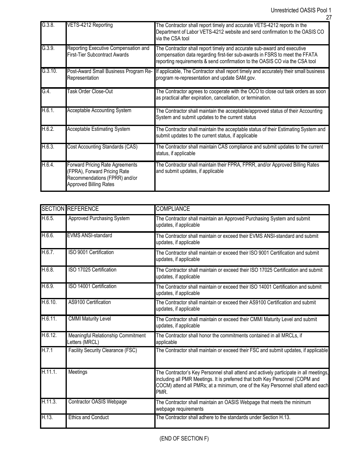|         |                                                                                                                                   | 27                                                                                                                                                                                                                                    |
|---------|-----------------------------------------------------------------------------------------------------------------------------------|---------------------------------------------------------------------------------------------------------------------------------------------------------------------------------------------------------------------------------------|
| G.3.8.  | VETS-4212 Reporting                                                                                                               | The Contractor shall report timely and accurate VETS-4212 reports in the<br>Department of Labor VETS-4212 website and send confirmation to the OASIS CO<br>via the CSA tool                                                           |
| G.3.9.  | Reporting Executive Compensation and<br><b>First-Tier Subcontract Awards</b>                                                      | The Contractor shall report timely and accurate sub-award and executive<br>compensation data regarding first-tier sub-awards in FSRS to meet the FFATA<br>reporting requirements & send confirmation to the OASIS CO via the CSA tool |
| G.3.10. | Post-Award Small Business Program Re-<br>Representation                                                                           | If applicable, The Contractor shall report timely and accurately their small business<br>program re-representation and update SAM.gov.                                                                                                |
| G.4.    | ask Order Close-Out                                                                                                               | The Contractor agrees to cooperate with the OCO to close out task orders as soon<br>as practical after expiration, cancellation, or termination.                                                                                      |
| H.6.1.  | Acceptable Accounting System                                                                                                      | The Contractor shall maintain the acceptable/approved status of their Accounting<br>System and submit updates to the current status                                                                                                   |
| H.6.2.  | <b>Acceptable Estimating System</b>                                                                                               | The Contractor shall maintain the acceptable status of their Estimating System and<br>submit updates to the current status, if applicable                                                                                             |
| H.6.3.  | Cost Accounting Standards (CAS)                                                                                                   | The Contractor shall maintain CAS compliance and submit updates to the current<br>status, if applicable                                                                                                                               |
| H.6.4.  | Forward Pricing Rate Agreements<br>(FPRA), Forward Pricing Rate<br>Recommendations (FPRR) and/or<br><b>Approved Billing Rates</b> | The Contractor shall maintain their FPRA, FPRR, and/or Approved Billing Rates<br>and submit updates, if applicable                                                                                                                    |

|         | <b>SECTION REFERENCE</b>                             | <b>COMPLIANCE</b>                                                                                                                                                                                                                                                 |
|---------|------------------------------------------------------|-------------------------------------------------------------------------------------------------------------------------------------------------------------------------------------------------------------------------------------------------------------------|
| H.6.5.  | Approved Purchasing System                           | The Contractor shall maintain an Approved Purchasing System and submit<br>updates, if applicable                                                                                                                                                                  |
| H.6.6.  | <b>EVMS ANSI-standard</b>                            | The Contractor shall maintain or exceed their EVMS ANSI-standard and submit<br>updates, if applicable                                                                                                                                                             |
| H.6.7.  | ISO 9001 Certification                               | The Contractor shall maintain or exceed their ISO 9001 Certification and submit<br>updates, if applicable                                                                                                                                                         |
| H.6.8.  | ISO 17025 Certification                              | The Contractor shall maintain or exceed their ISO 17025 Certification and submit<br>updates, if applicable                                                                                                                                                        |
| H.6.9.  | ISO 14001 Certification                              | The Contractor shall maintain or exceed their ISO 14001 Certification and submit<br>updates, if applicable                                                                                                                                                        |
| H.6.10. | AS9100 Certification                                 | The Contractor shall maintain or exceed their AS9100 Certification and submit<br>updates, if applicable                                                                                                                                                           |
| H.6.11. | <b>CMMI Maturity Level</b>                           | The Contractor shall maintain or exceed their CMMI Maturity Level and submit<br>updates, if applicable                                                                                                                                                            |
| H.6.12. | Meaningful Relationship Commitment<br>Letters (MRCL) | The Contractor shall honor the commitments contained in all MRCLs, if<br>applicable                                                                                                                                                                               |
| H.7.1   | <b>Facility Security Clearance (FSC)</b>             | The Contractor shall maintain or exceed their FSC and submit updates, if applicable                                                                                                                                                                               |
| H.11.1. | Meetings                                             | The Contractor's Key Personnel shall attend and actively participate in all meetings,<br>including all PMR Meetings. It is preferred that both Key Personnel (COPM and<br>COCM) attend all PMRs; at a minimum, one of the Key Personnel shall attend each<br>PMR. |
| H.11.3. | Contractor OASIS Webpage                             | The Contractor shall maintain an OASIS Webpage that meets the minimum<br>webpage requirements                                                                                                                                                                     |
| H.13.   | <b>Ethics and Conduct</b>                            | The Contractor shall adhere to the standards under Section H.13.                                                                                                                                                                                                  |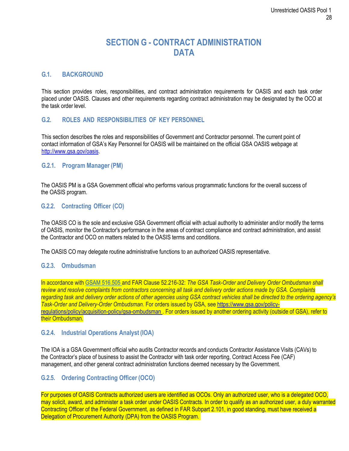## **SECTION G - CONTRACT ADMINISTRATION DATA**

#### **G.1. BACKGROUND**

This section provides roles, responsibilities, and contract administration requirements for OASIS and each task order placed under OASIS. Clauses and other requirements regarding contract administration may be designated by the OCO at the task order level.

#### **G.2. ROLES AND RESPONSIBILITIES OF KEY PERSONNEL**

This section describes the roles and responsibilities of Government and Contractor personnel. The current point of contact information of GSA's Key Personnel for OASIS will be maintained on the official GSA OASIS webpage at [http://www.gsa.gov/oasis.](http://www.gsa.gov/oasis)

#### **G.2.1. Program Manager (PM)**

The OASIS PM is a GSA Government official who performs various programmatic functions for the overall success of the OASIS program.

#### **G.2.2. Contracting Officer (CO)**

The OASIS CO is the sole and exclusive GSA Government official with actual authority to administer and/or modify the terms of OASIS, monitor the Contractor's performance in the areas of contract compliance and contract administration, and assist the Contractor and OCO on matters related to the OASIS terms and conditions.

The OASIS CO may delegate routine administrative functions to an authorized OASIS representative.

#### **G.2.3. Ombudsman**

In accordance with GSAM 516.505 and FAR Clause 52.216-32: *The GSA Task-Order and Delivery Order Ombudsman shall* review and resolve complaints from contractors concerning all task and delivery order actions made by GSA. Complaints *regarding task and delivery order actions of other agencies using GSA contract vehicles shall be directed to the ordering agency's Task-Order and Delivery-Order Ombudsman.* For orders issued by GSA, see https:[//www.gsa.gov/policy](http://www.gsa.gov/policy-)regulations/policy/acquisition-policy/gsa-ombudsman . For orders issued by another ordering activity (outside of GSA), refer to their Ombudsman.

#### **G.2.4. Industrial Operations Analyst (IOA)**

The IOA is a GSA Government official who audits Contractor records and conducts Contractor Assistance Visits (CAVs) to the Contractor's place of business to assist the Contractor with task order reporting, Contract Access Fee (CAF) management, and other general contract administration functions deemed necessary by the Government.

#### **G.2.5. Ordering Contracting Officer (OCO)**

For purposes of OASIS Contracts authorized users are identified as OCOs. Only an authorized user, who is a delegated OCO, may solicit, award, and administer a task order under OASIS Contracts. In order to qualify as an authorized user, a duly warranted Contracting Officer of the Federal Government, as defined in FAR Subpart 2.101, in good standing, must have received a Delegation of Procurement Authority (DPA) from the OASIS Program.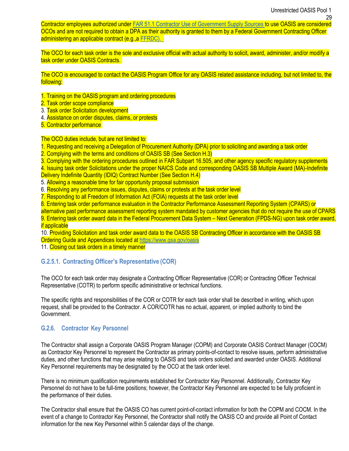29

Contractor employees authorized under FAR 51.1 Contractor Use of Government Supply Sources to use OASIS are considered OCOs and are not required to obtain a DPA as their authority is granted to them by a Federal Government Contracting Officer administering an applicable contract (e.g.,a FFRDC).

The OCO for each task order is the sole and exclusive official with actual authority to solicit, award, administer, and/or modify a task order under OASIS Contracts.

#### The OCO is encouraged to contact the OASIS Program Office for any OASIS related assistance including, but not limited to, the following:

1. Training on the OASIS program and ordering procedures

- 2. Task order scope compliance
- 3. Task order Solicitation development
- 4. Assistance on order disputes, claims, or protests
- 5. Contractor performance

The OCO duties include, but are not limited to:

- 1. Requesting and receiving a Delegation of Procurement Authority (DPA) prior to soliciting and awarding a task order
- 2. Complying with the terms and conditions of OASIS SB (See Section H.3)
- 3. Complying with the ordering procedures outlined in FAR Subpart 16.505, and other agency specific regulatory supplements

4. Issuing task order Solicitations under the proper NAICS Code and corresponding OASIS SB Multiple Award (MA)-Indefinite

- Delivery Indefinite Quantity (IDIQ) Contract Number (See Section H.4)
- 5. Allowing a reasonable time for fair opportunity proposal submission
- 6. Resolving any performance issues, disputes, claims or protests at the task order level
- 7. Responding to all Freedom of Information Act (FOIA) requests at the task order level
- 8. Entering task order performance evaluation in the Contractor Performance Assessment Reporting System (CPARS) or

alternative past performance assessment reporting system mandated by customer agencies that do not require the use of CPARS 9. Entering task order award data in the Federal Procurement Data System – Next Generation (FPDS-NG) upon task order award, if applicable

10. Providing Solicitation and task order award data to the OASIS SB Contracting Officer in accordance with the OASIS SB Ordering Guide and Appendices located at https:/[/www.gsa.gov/oasis](http://www.gsa.gov/oasis)

11. Closing out task orders in a timely manner

#### **G.2.5.1. Contracting Officer's Representative (COR)**

The OCO for each task order may designate a Contracting Officer Representative (COR) or Contracting Officer Technical Representative (COTR) to perform specific administrative or technical functions.

The specific rights and responsibilities of the COR or COTR for each task order shall be described in writing, which upon request, shall be provided to the Contractor. A COR/COTR has no actual, apparent, or implied authority to bind the Government.

#### **G.2.6. Contractor Key Personnel**

The Contractor shall assign a Corporate OASIS Program Manager (COPM) and Corporate OASIS Contract Manager (COCM) as Contractor Key Personnel to represent the Contractor as primary points-of-contact to resolve issues, perform administrative duties, and other functions that may arise relating to OASIS and task orders solicited and awarded under OASIS. Additional Key Personnel requirements may be designated by the OCO at the task order level.

There is no minimum qualification requirements established for Contractor Key Personnel. Additionally, Contractor Key Personnel do not have to be full-time positions; however, the Contractor Key Personnel are expected to be fully proficient in the performance of their duties.

The Contractor shall ensure that the OASIS CO has current point-of-contact information for both the COPM and COCM. In the event of a change to Contractor Key Personnel, the Contractor shall notify the OASIS CO and provide all Point of Contact information for the new Key Personnel within 5 calendar days of the change.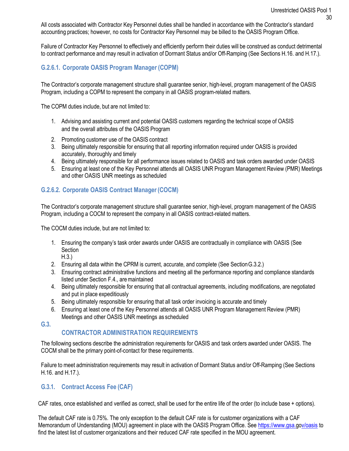All costs associated with Contractor Key Personnel duties shall be handled in accordance with the Contractor's standard accounting practices; however, no costs for Contractor Key Personnel may be billed to the OASIS Program Office.

Failure of Contractor Key Personnel to effectively and efficiently perform their duties will be construed as conduct detrimental to contract performance and may result in activation of Dormant Status and/or Off-Ramping (See Sections H.16. and H.17.).

#### **G.2.6.1. Corporate OASIS Program Manager (COPM)**

The Contractor's corporate management structure shall guarantee senior, high-level, program management of the OASIS Program, including a COPM to represent the company in all OASIS program-related matters.

The COPM duties include, but are not limited to:

- 1. Advising and assisting current and potential OASIS customers regarding the technical scope of OASIS and the overall attributes of the OASIS Program
- 2. Promoting customer use of the OASIS contract
- 3. Being ultimately responsible for ensuring that all reporting information required under OASIS is provided accurately, thoroughly and timely
- 4. Being ultimately responsible for all performance issues related to OASIS and task orders awarded under OASIS
- 5. Ensuring at least one of the Key Personnel attends all OASIS UNR Program Management Review (PMR) Meetings and other OASIS UNR meetings as scheduled

#### **G.2.6.2. Corporate OASIS Contract Manager(COCM)**

The Contractor's corporate management structure shall guarantee senior, high-level, program management of the OASIS Program, including a COCM to represent the company in all OASIS contract-related matters.

The COCM duties include, but are not limited to:

- 1. Ensuring the company's task order awards under OASIS are contractually in compliance with OASIS (See Section
	- H.3.)
- 2. Ensuring all data within the CPRM is current, accurate, and complete (See SectionG.3.2.)
- 3. Ensuring contract administrative functions and meeting all the performance reporting and compliance standards listed under Section F.4., aremaintained
- 4. Being ultimately responsible for ensuring that all contractual agreements, including modifications, are negotiated and put in place expeditiously
- 5. Being ultimately responsible for ensuring that all task order invoicing is accurate and timely
- 6. Ensuring at least one of the Key Personnel attends all OASIS UNR Program Management Review (PMR) Meetings and other OASIS UNR meetings as scheduled

**G.3.**

#### **CONTRACTOR ADMINISTRATION REQUIREMENTS**

The following sections describe the administration requirements for OASIS and task orders awarded under OASIS. The COCM shall be the primary point-of-contact for these requirements.

Failure to meet administration requirements may result in activation of Dormant Status and/or Off-Ramping (See Sections H.16. and H.17.).

#### **G.3.1. Contract Access Fee (CAF)**

CAF rates, once established and verified as correct, shall be used for the entire life of the order (to include base + options).

The default CAF rate is 0.75%. The only exception to the default CAF rate is for customer organizations with a CAF Memorandum of Understanding (MOU) agreement in place with the OASIS Program Office. See https:/[/www.gsa.gov/oasis](http://www.gsa.gov/oasis) to find the latest list of customer organizations and their reduced CAF rate specified in the MOU agreement.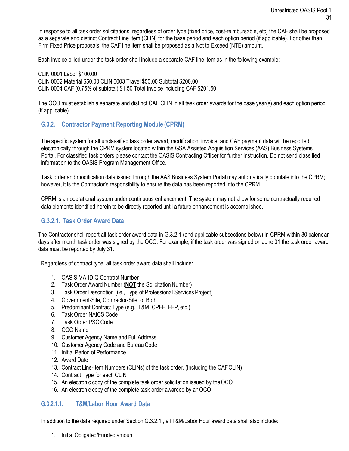In response to all task order solicitations, regardless of order type (fixed price, cost-reimbursable, etc) the CAF shall be proposed as a separate and distinct Contract Line Item (CLIN) for the base period and each option period (if applicable). For other than Firm Fixed Price proposals, the CAF line item shall be proposed as a Not to Exceed (NTE) amount.

Each invoice billed under the task order shall include a separate CAF line item as in the following example:

CLIN 0001 Labor \$100.00 CLIN 0002 Material \$50.00 CLIN 0003 Travel \$50.00 Subtotal \$200.00 CLIN 0004 CAF (0.75% of subtotal) \$1.50 Total Invoice including CAF \$201.50

The OCO must establish a separate and distinct CAF CLIN in all task order awards for the base year(s) and each option period (if applicable).

#### **G.3.2. Contractor Payment Reporting Module (CPRM)**

The specific system for all unclassified task order award, modification, invoice, and CAF payment data will be reported electronically through the CPRM system located within the GSA Assisted Acquisition Services (AAS) Business Systems Portal. For classified task orders please contact the OASIS Contracting Officer for further instruction. Do not send classified information to the OASIS Program Management Office.

Task order and modification data issued through the AAS Business System Portal may automatically populate into the CPRM; however, it is the Contractor's responsibility to ensure the data has been reported into the CPRM.

CPRM is an operational system under continuous enhancement. The system may not allow for some contractually required data elements identified herein to be directly reported until a future enhancement is accomplished.

#### **G.3.2.1. Task Order Award Data**

The Contractor shall report all task order award data in G.3.2.1 (and applicable subsections below) in CPRM within 30 calendar days after month task order was signed by the OCO. For example, if the task order was signed on June 01 the task order award data must be reported by July 31.

Regardless of contract type, all task order award data shall include:

- 1. OASIS MA-IDIQ Contract Number
- 2. Task Order Award Number (**NOT** the Solicitation Number)
- 3. Task Order Description (i.e., Type of Professional Services Project)
- 4. Government-Site, Contractor-Site, or Both
- 5. Predominant Contract Type (e.g., T&M, CPFF, FFP, etc.)
- 6. Task Order NAICS Code
- 7. Task Order PSC Code
- 8. OCO Name
- 9. Customer Agency Name and Full Address
- 10. Customer Agency Code and Bureau Code
- 11. Initial Period of Performance
- 12. Award Date
- 13. Contract Line-Item Numbers (CLINs) of the task order. (Including the CAFCLIN)
- 14. Contract Type for each CLIN
- 15. An electronic copy of the complete task order solicitation issued by theOCO
- 16. An electronic copy of the complete task order awarded by anOCO

#### **G.3.2.1.1. T&M/Labor Hour Award Data**

In addition to the data required under Section G.3.2.1., all T&M/Labor Hour award data shall also include:

1. Initial Obligated/Funded amount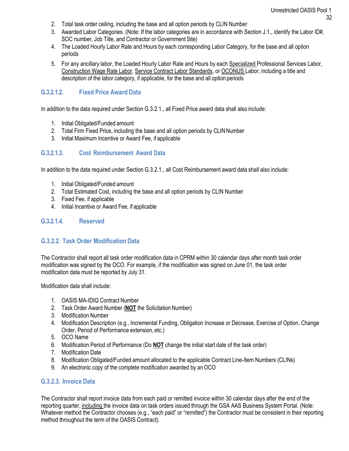- 2. Total task order ceiling, including the base and all option periods by CLIN Number
- 3. Awarded Labor Categories. (Note: If the labor categories are in accordance with Section J.1., identify the Labor ID#, SOC number, Job Title, and Contractor or Government Site)
- 4. The Loaded Hourly Labor Rate and Hours by each corresponding Labor Category, for the base and all option periods
- 5. For any ancillary labor, the Loaded Hourly Labor Rate and Hours by each Specialized Professional Services Labor, Construction Wage Rate Labor, Service Contract Labor Standards, or OCONUS Labor, including a title and description of the labor category, if applicable, for the base and all option periods

#### **G.3.2.1.2. Fixed Price Award Data**

In addition to the data required under Section G.3.2.1., all Fixed Price award data shall also include:

- 1. Initial Obligated/Funded amount
- 2. Total Firm Fixed Price, including the base and all option periods by CLIN Number
- 3. Initial Maximum Incentive or Award Fee, if applicable

#### **G.3.2.1.3. Cost Reimbursement Award Data**

In addition to the data required under Section G.3.2.1., all Cost Reimbursement award data shall also include:

- 1. Initial Obligated/Funded amount
- 2. Total Estimated Cost, including the base and all option periods by CLIN Number
- 3. Fixed Fee, if applicable
- 4. Initial Incentive or Award Fee, if applicable

#### **G.3.2.1.4. Reserved**

#### **G.3.2.2. Task Order Modification Data**

The Contractor shall report all task order modification data in CPRM within 30 calendar days after month task order modification was signed by the OCO. For example, if the modification was signed on June 01, the task order modification data must be reported by July 31.

Modification data shall include:

- 1. OASIS MA-IDIQ Contract Number
- 2. Task Order Award Number (**NOT** the Solicitation Number)
- 3. Modification Number
- 4. Modification Description (e.g., Incremental Funding, Obligation Increase or Decrease, Exercise of Option, Change Order, Period of Performance extension, etc.)
- 5. OCO Name
- 6. Modification Period of Performance (Do **NOT** change the initial start date of the task order)
- 7. Modification Date
- 8. Modification Obligated/Funded amount allocated to the applicable Contract Line-Item Numbers (CLINs)
- 9. An electronic copy of the complete modification awarded by an OCO

#### **G.3.2.3. Invoice Data**

The Contractor shall report invoice data from each paid or remitted invoice within 30 calendar days after the end of the reporting quarter, including the invoice data on task orders issued through the GSA AAS Business System Portal. (Note: Whatever method the Contractor chooses (e.g., "each paid" or "remitted") the Contractor must be consistent in their reporting method throughout the term of the OASIS Contract).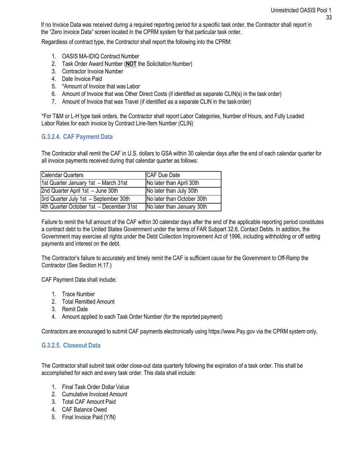If no Invoice Data was received during a required reporting period for a specific task order, the Contractor shall report in the "Zero Invoice Data" screen located in the CPRM system for that particular task order.

Regardless of contract type, the Contractor shall report the following into the CPRM:

- 1. OASIS MA-IDIQ Contract Number
- 2. Task Order Award Number (**NOT** the Solicitation Number)
- 3. Contractor Invoice Number
- 4. Date Invoice Paid
- 5. \*Amount of Invoice that was Labor
- 6. Amount of Invoice that was Other Direct Costs (if identified as separate CLIN(s) in the task order)
- 7. Amount of Invoice that was Travel (if identified as a separate CLIN in the task order)

\*For T&M or L-H type task orders, the Contractor shall report Labor Categories, Number of Hours, and Fully Loaded Labor Rates for each invoice by Contract Line-Item Number (CLIN)

#### **G.3.2.4. CAF Payment Data**

The Contractor shall remit the CAF in U.S. dollars to GSA within 30 calendar days after the end of each calendar quarter for all invoice payments received during that calendar quarter as follows:

| <b>Calendar Quarters</b>                | <b>CAF Due Date</b>        |
|-----------------------------------------|----------------------------|
| 1st Quarter January 1st - March 31st    | No later than April 30th   |
| 2nd Quarter April 1st - June 30th       | No later than July 30th    |
| 3rd Quarter July 1st - September 30th   | No later than October 30th |
| 4th Quarter October 1st - December 31st | No later than January 30th |

Failure to remit the full amount of the CAF within 30 calendar days after the end of the applicable reporting period constitutes a contract debt to the United States Government under the terms of FAR Subpart 32.6, Contact Debts. In addition, the Government may exercise all rights under the Debt Collection Improvement Act of 1996, including withholding or off setting payments and interest on the debt.

The Contractor's failure to accurately and timely remit the CAF is sufficient cause for the Government to Off-Ramp the Contractor (See Section H.17.)

CAF Payment Data shall include:

- 1. Trace Number
- 2. Total Remitted Amount
- 3. Remit Date
- 4. Amount applied to each Task Order Number (for the reported payment)

Contractors are encouraged to submit CAF payments electronically using https:/[/www.Pay.gov](http://www.pay.gov/) via the CPRM system only,

#### **G.3.2.5. Closeout Data**

The Contractor shall submit task order close-out data quarterly following the expiration of a task order. This shall be accomplished for each and every task order. This data shall include:

- 1. Final Task Order Dollar Value
- 2. Cumulative Invoiced Amount
- 3. Total CAF Amount Paid
- 4. CAF Balance Owed
- 5. Final Invoice Paid (Y/N)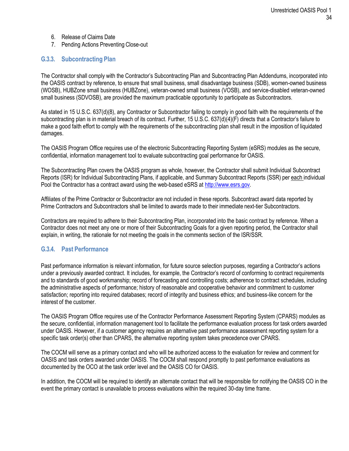- 6. Release of Claims Date
- 7. Pending Actions Preventing Close-out

#### **G.3.3. Subcontracting Plan**

The Contractor shall comply with the Contractor's Subcontracting Plan and Subcontracting Plan Addendums, incorporated into the OASIS contract by reference, to ensure that small business, small disadvantage business (SDB), women-owned business (WOSB), HUBZone small business (HUBZone), veteran-owned small business (VOSB), and service-disabled veteran-owned small business (SDVOSB), are provided the maximum practicable opportunity to participate as Subcontractors.

As stated in 15 U.S.C. 637(d)(8), any Contractor or Subcontractor failing to comply in good faith with the requirements of the subcontracting plan is in material breach of its contract. Further, 15 U.S.C. 637(d)(4)(F) directs that a Contractor's failure to make a good faith effort to comply with the requirements of the subcontracting plan shall result in the imposition of liquidated damages.

The OASIS Program Office requires use of the electronic Subcontracting Reporting System (eSRS) modules as the secure, confidential, information management tool to evaluate subcontracting goal performance for OASIS.

The Subcontracting Plan covers the OASIS program as whole, however, the Contractor shall submit Individual Subcontract Reports (ISR) for Individual Subcontracting Plans, if applicable, and Summary Subcontract Reports (SSR) per each individual Pool the Contractor has a contract award using the web-based eSRS at [http://www.esrs.gov](http://www.esrs.gov/)*.*

Affiliates of the Prime Contractor or Subcontractor are not included in these reports. Subcontract award data reported by Prime Contractors and Subcontractors shall be limited to awards made to their immediate next-tier Subcontractors.

Contractors are required to adhere to their Subcontracting Plan, incorporated into the basic contract by reference. When a Contractor does not meet any one or more of their Subcontracting Goals for a given reporting period, the Contractor shall explain, in writing, the rationale for not meeting the goals in the comments section of the ISR/SSR.

#### **G.3.4. Past Performance**

Past performance information is relevant information, for future source selection purposes, regarding a Contractor's actions under a previously awarded contract. It includes, for example, the Contractor's record of conforming to contract requirements and to standards of good workmanship; record of forecasting and controlling costs; adherence to contract schedules, including the administrative aspects of performance; history of reasonable and cooperative behavior and commitment to customer satisfaction; reporting into required databases; record of integrity and business ethics; and business-like concern for the interest of the customer.

The OASIS Program Office requires use of the Contractor Performance Assessment Reporting System (CPARS) modules as the secure, confidential, information management tool to facilitate the performance evaluation process for task orders awarded under OASIS. However, if a customer agency requires an alternative past performance assessment reporting system for a specific task order(s) other than CPARS, the alternative reporting system takes precedence over CPARS.

The COCM will serve as a primary contact and who will be authorized access to the evaluation for review and comment for OASIS and task orders awarded under OASIS. The COCM shall respond promptly to past performance evaluations as documented by the OCO at the task order level and the OASIS CO for OASIS.

In addition, the COCM will be required to identify an alternate contact that will be responsible for notifying the OASIS CO in the event the primary contact is unavailable to process evaluations within the required 30-day time frame.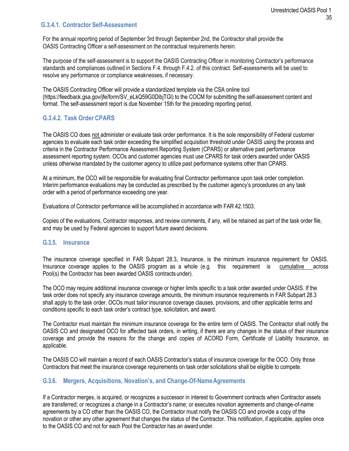#### **G.3.4.1. Contractor Self-Assessment**

For the annual reporting period of September 3rd through September 2nd, the Contractor shall provide the OASIS Contracting Officer a self-assessment on the contractual requirements herein.

The purpose of the self-assessment is to support the OASIS Contracting Officer in monitoring Contractor's performance standards and compliances outlined in Sections F.4. through F.4.2. of this contract. Self-assessments will be used to resolve any performance or compliance weaknesses, if necessary.

The OASIS Contracting Officer will provide a standardized template via the CSA online tool (https://feedback.gsa.gov/jfe/form/SV\_eLkQ59G0DibjTGl) to the COCM for submitting the self-assessment content and format. The self-assessment report is due November 15th for the preceding reporting period.

#### **G.3.4.2. Task Order CPARS**

The OASIS CO does not administer or evaluate task order performance. It is the sole responsibility of Federal customer agencies to evaluate each task order exceeding the simplified acquisition threshold under OASIS using the process and criteria in the Contractor Performance Assessment Reporting System (CPARS) or alternative past performance assessment reporting system. OCOs and customer agencies must use CPARS for task orders awarded under OASIS unless otherwise mandated by the customer agency to utilize past performance systems other than CPARS.

At a minimum, the OCO will be responsible for evaluating final Contractor performance upon task order completion. Interim performance evaluations may be conducted as prescribed by the customer agency's procedures on any task order with a period of performance exceeding one year.

Evaluations of Contractor performance will be accomplished in accordance with FAR 42.1503.

Copies of the evaluations, Contractor responses, and review comments, if any, will be retained as part of the task order file, and may be used by Federal agencies to support future award decisions.

#### **G.3.5. Insurance**

The insurance coverage specified in FAR Subpart 28.3, Insurance, is the minimum insurance requirement for OASIS. Insurance coverage applies to the OASIS program as a whole (e.g. this requirement is cumulative across Pool(s) the Contractor has been awarded OASIS contracts under).

The OCO may require additional insurance coverage or higher limits specific to a task order awarded under OASIS. If the task order does not specify any insurance coverage amounts, the minimum insurance requirements in FAR Subpart 28.3 shall apply to the task order. OCOs must tailor insurance coverage clauses, provisions, and other applicable terms and conditions specific to each task order's contract type, solicitation, and award.

The Contractor must maintain the minimum insurance coverage for the entire term of OASIS. The Contractor shall notify the OASIS CO and designated OCO for affected task orders, in writing, if there are any changes in the status of their insurance coverage and provide the reasons for the change and copies of ACORD Form, Certificate of Liability Insurance, as applicable.

The OASIS CO will maintain a record of each OASIS Contractor's status of insurance coverage for the OCO. Only those Contractors that meet the insurance coverage requirements on task order solicitations shall be eligible to compete.

#### **G.3.6. Mergers, Acquisitions, Novation's, and Change-Of-NameAgreements**

If a Contractor merges, is acquired, or recognizes a successor in interest to Government contracts when Contractor assets are transferred; or recognizes a change in a Contractor's name; or executes novation agreements and change-of-name agreements by a CO other than the OASIS CO, the Contractor must notify the OASIS CO and provide a copy of the novation or other any other agreement that changes the status of the Contractor. This notification, if applicable, applies once to the OASIS CO and not for each Pool the Contractor has an award under.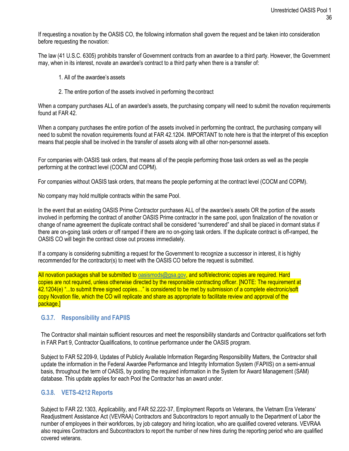If requesting a novation by the OASIS CO, the following information shall govern the request and be taken into consideration before requesting the novation:

The law (41 U.S.C. 6305) prohibits transfer of Government contracts from an awardee to a third party. However, the Government may, when in its interest, novate an awardee's contract to a third party when there is a transfer of:

- 1. All of the awardee's assets
- 2. The entire portion of the assets involved in performing the contract

When a company purchases ALL of an awardee's assets, the purchasing company will need to submit the novation requirements found at FAR 42.

When a company purchases the entire portion of the assets involved in performing the contract, the purchasing company will need to submit the novation requirements found at FAR 42.1204. IMPORTANT to note here is that the interpret of this exception means that people shall be involved in the transfer of assets along with all other non-personnel assets.

For companies with OASIS task orders, that means all of the people performing those task orders as well as the people performing at the contract level (COCM and COPM).

For companies without OASIS task orders, that means the people performing at the contract level (COCM and COPM).

No company may hold multiple contracts within the same Pool.

In the event that an existing OASIS Prime Contractor purchases ALL of the awardee's assets OR the portion of the assets involved in performing the contract of another OASIS Prime contractor in the same pool, upon finalization of the novation or change of name agreement the duplicate contract shall be considered "surrendered" and shall be placed in dormant status if there are on-going task orders or off ramped if there are no on-going task orders. If the duplicate contract is off-ramped, the OASIS CO will begin the contract close out process immediately.

If a company is considering submitting a request for the Government to recognize a successor in interest, it is highly recommended for the contractor(s) to meet with the OASIS CO before the request is submitted.

All novation packages shall be submitted to oasismods@gsa.gov, and soft/electronic copies are required. Hard copies are not required, unless otherwise directed by the responsible contracting officer. [NOTE: The requirement at 42.1204(e) "...to submit three signed copies..." is considered to be met by submission of a complete electronic/soft copy Novation file, which the CO will replicate and share as appropriate to facilitate review and approval of the package.]

#### **G.3.7. Responsibility and FAPIIS**

The Contractor shall maintain sufficient resources and meet the responsibility standards and Contractor qualifications set forth in FAR Part 9, Contractor Qualifications, to continue performance under the OASIS program.

Subject to FAR 52.209-9, Updates of Publicly Available Information Regarding Responsibility Matters, the Contractor shall update the information in the Federal Awardee Performance and Integrity Information System (FAPIIS) on a semi-annual basis, throughout the term of OASIS, by posting the required information in the System for Award Management (SAM) database. This update applies for each Pool the Contractor has an award under.

#### **G.3.8. VETS-4212 Reports**

Subject to FAR 22.1303, Applicability, and FAR 52.222-37, Employment Reports on Veterans, the Vietnam Era Veterans' Readjustment Assistance Act (VEVRAA) Contractors and Subcontractors to report annually to the Department of Labor the number of employees in their workforces, by job category and hiring location, who are qualified covered veterans. VEVRAA also requires Contractors and Subcontractors to report the number of new hires during the reporting period who are qualified covered veterans.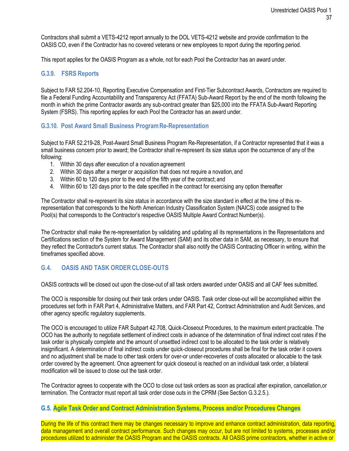Contractors shall submit a VETS-4212 report annually to the DOL VETS-4212 website and provide confirmation to the OASIS CO, even if the Contractor has no covered veterans or new employees to report during the reporting period.

This report applies for the OASIS Program as a whole, not for each Pool the Contractor has an award under.

#### **G.3.9. FSRS Reports**

Subject to FAR 52.204-10, Reporting Executive Compensation and First-Tier Subcontract Awards, Contractors are required to file a Federal Funding Accountability and Transparency Act (FFATA) Sub-Award Report by the end of the month following the month in which the prime Contractor awards any sub-contract greater than \$25,000 into the FFATA Sub-Award Reporting System (FSRS). This reporting applies for each Pool the Contractor has an award under.

#### **G.3.10. Post Award Small Business ProgramRe-Representation**

Subject to FAR 52.219-28, Post-Award Small Business Program Re-Representation, if a Contractor represented that it was a small business concern prior to award; the Contractor shall re-represent its size status upon the occurrence of any of the following:

- 1. Within 30 days after execution of a novation agreement
- 2. Within 30 days after a merger or acquisition that does not require a novation,and
- 3. Within 60 to 120 days prior to the end of the fifth year of the contract; and
- 4. Within 60 to 120 days prior to the date specified in the contract for exercising any option thereafter

The Contractor shall re-represent its size status in accordance with the size standard in effect at the time of this rerepresentation that corresponds to the North American Industry Classification System (NAICS) code assigned to the Pool(s) that corresponds to the Contractor's respective OASIS Multiple Award Contract Number(s).

The Contractor shall make the re-representation by validating and updating all its representations in the Representations and Certifications section of the System for Award Management (SAM) and its other data in SAM, as necessary, to ensure that they reflect the Contractor's current status. The Contractor shall also notify the OASIS Contracting Officer in writing, within the timeframes specified above.

#### **G.4. OASIS AND TASK ORDERCLOSE-OUTS**

OASIS contracts will be closed out upon the close-out of all task orders awarded under OASIS and all CAF fees submitted.

The OCO is responsible for closing out their task orders under OASIS. Task order close-out will be accomplished within the procedures set forth in FAR Part 4, Administrative Matters, and FAR Part 42, Contract Administration and Audit Services, and other agency specific regulatory supplements.

The OCO is encouraged to utilize FAR Subpart 42.708, Quick-Closeout Procedures, to the maximum extent practicable. The OCO has the authority to negotiate settlement of indirect costs in advance of the determination of final indirect cost rates if the task order is physically complete and the amount of unsettled indirect cost to be allocated to the task order is relatively insignificant. A determination of final indirect costs under quick-closeout procedures shall be final for the task order it covers and no adjustment shall be made to other task orders for over-or under-recoveries of costs allocated or allocable to the task order covered by the agreement. Once agreement for quick closeout is reached on an individual task order, a bilateral modification will be issued to close out the task order.

The Contractor agrees to cooperate with the OCO to close out task orders as soon as practical after expiration, cancellation,or termination. The Contractor must report all task order close outs in the CPRM (See Section G.3.2.5.).

#### **G.5. Agile Task Order and Contract Administration Systems, Process and/or Procedures Changes**

During the life of this contract there may be changes necessary to improve and enhance contract administration, data reporting, data management and overall contract performance. Such changes may occur, but are not limited to systems, processes and/or procedures utilized to administer the OASIS Program and the OASIS contracts. All OASIS prime contractors, whether in active or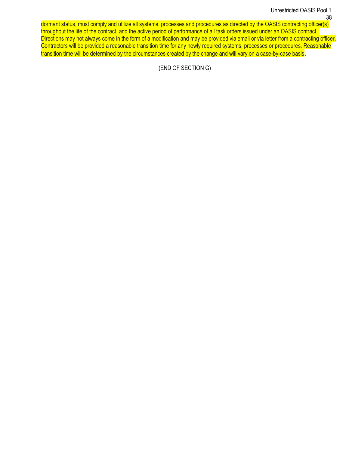dormant status, must comply and utilize all systems, processes and procedures as directed by the OASIS contracting officer(s) throughout the life of the contract, and the active period of performance of all task orders issued under an OASIS contract. Directions may not always come in the form of a modification and may be provided via email or via letter from a contracting officer. Contractors will be provided a reasonable transition time for any newly required systems, processes or procedures. Reasonable transition time will be determined by the circumstances created by the change and will vary on a case-by-case basis.

(END OF SECTION G)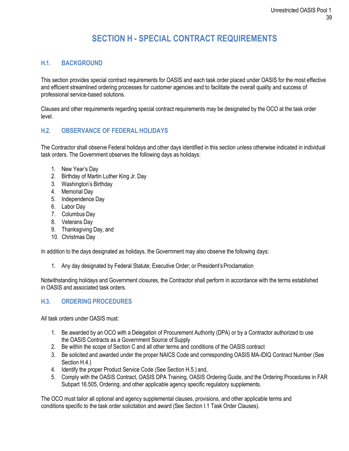## **SECTION H - SPECIAL CONTRACT REQUIREMENTS**

#### **H.1. BACKGROUND**

This section provides special contract requirements for OASIS and each task order placed under OASIS for the most effective and efficient streamlined ordering processes for customer agencies and to facilitate the overall quality and success of professional service-based solutions.

Clauses and other requirements regarding special contract requirements may be designated by the OCO at the task order level.

#### **H.2. OBSERVANCE OF FEDERAL HOLIDAYS**

The Contractor shall observe Federal holidays and other days identified in this section unless otherwise indicated in individual task orders. The Government observes the following days as holidays:

- 1. New Year's Day
- 2. Birthday of Martin Luther King Jr. Day
- 3. Washington's Birthday
- 4. Memorial Day
- 5. Independence Day
- 6. Labor Day
- 7. Columbus Day
- 8. Veterans Day
- 9. Thanksgiving Day, and
- 10. Christmas Day

In addition to the days designated as holidays, the Government may also observe the following days:

1. Any day designated by Federal Statute; Executive Order; or President's Proclamation

Notwithstanding holidays and Government closures, the Contractor shall perform in accordance with the terms established in OASIS and associated task orders.

#### **H.3. ORDERING PROCEDURES**

All task orders under OASIS must:

- 1. Be awarded by an OCO with a Delegation of Procurement Authority (DPA) or by a Contractor authorized to use the OASIS Contracts as a Government Source of Supply
- 2. Be within the scope of Section C and all other terms and conditions of the OASIS contract
- 3. Be solicited and awarded under the proper NAICS Code and corresponding OASIS MA-IDIQ Contract Number (See Section H.4.)
- 4. Identify the proper Product Service Code (See Section H.5.) and,
- 5. Comply with the OASIS Contract, OASIS DPA Training, OASIS Ordering Guide, and the Ordering Procedures in FAR Subpart 16.505, Ordering, and other applicable agency specific regulatory supplements.

The OCO must tailor all optional and agency supplemental clauses, provisions, and other applicable terms and conditions specific to the task order solicitation and award (See Section I.1 Task Order Clauses).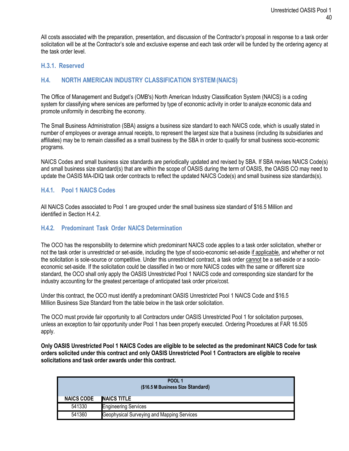All costs associated with the preparation, presentation, and discussion of the Contractor's proposal in response to a task order solicitation will be at the Contractor's sole and exclusive expense and each task order will be funded by the ordering agency at the task order level.

#### **H.3.1. Reserved**

#### **H.4. NORTH AMERICAN INDUSTRY CLASSIFICATION SYSTEM(NAICS)**

The Office of Management and Budget's (OMB's) North American Industry Classification System (NAICS) is a coding system for classifying where services are performed by type of economic activity in order to analyze economic data and promote uniformity in describing the economy.

The Small Business Administration (SBA) assigns a business size standard to each NAICS code, which is usually stated in number of employees or average annual receipts, to represent the largest size that a business (including its subsidiaries and affiliates) may be to remain classified as a small business by the SBA in order to qualify for small business socio-economic programs.

NAICS Codes and small business size standards are periodically updated and revised by SBA. If SBA revises NAICS Code(s) and small business size standard(s) that are within the scope of OASIS during the term of OASIS, the OASIS CO may need to update the OASIS MA-IDIQ task order contracts to reflect the updated NAICS Code(s) and small business size standards(s).

#### **H.4.1. Pool 1 NAICS Codes**

All NAICS Codes associated to Pool 1 are grouped under the small business size standard of \$16.5 Million and identified in Section H.4.2.

#### **H.4.2. Predominant Task Order NAICS Determination**

The OCO has the responsibility to determine which predominant NAICS code applies to a task order solicitation, whether or not the task order is unrestricted or set-aside, including the type of socio-economic set-aside if applicable, and whether or not the solicitation is sole-source or competitive. Under this unrestricted contract, a task order cannot be a set-aside or a socioeconomic set-aside. If the solicitation could be classified in two or more NAICS codes with the same or different size standard, the OCO shall only apply the OASIS Unrestricted Pool 1 NAICS code and corresponding size standard for the industry accounting for the greatest percentage of anticipated task order price/cost.

Under this contract, the OCO must identify a predominant OASIS Unrestricted Pool 1 NAICS Code and \$16.5 Million Business Size Standard from the table below in the task order solicitation.

The OCO must provide fair opportunity to all Contractors under OASIS Unrestricted Pool 1 for solicitation purposes, unless an exception to fair opportunity under Pool 1 has been properly executed. Ordering Procedures at FAR 16.505 apply.

Only OASIS Unrestricted Pool 1 NAICS Codes are eligible to be selected as the predominant NAICS Code for task **orders solicited under this contract and only OASIS Unrestricted Pool 1 Contractors are eligible to receive solicitations and task order awards under this contract.**

| POOL 1<br>(\$16.5 M Business Size Standard) |                                            |  |
|---------------------------------------------|--------------------------------------------|--|
| <b>NAICS CODE</b>                           | <b>INAICS TITLE</b>                        |  |
| 541330                                      | <b>Engineering Services</b>                |  |
| 541360                                      | Geophysical Surveying and Mapping Services |  |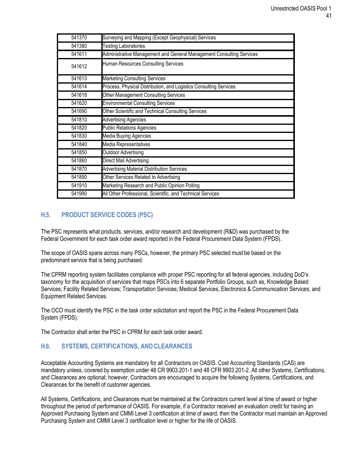| 541370 | Surveying and Mapping (Except Geophysical) Services                  |
|--------|----------------------------------------------------------------------|
| 541380 | <b>Testing Laboratories</b>                                          |
| 541611 | Administrative Management and General Management Consulting Services |
| 541612 | Human Resources Consulting Services                                  |
| 541613 | <b>Marketing Consulting Services</b>                                 |
| 541614 | Process, Physical Distribution, and Logistics Consulting Services    |
| 541618 | <b>Other Management Consulting Services</b>                          |
| 541620 | <b>Environmental Consulting Services</b>                             |
| 541690 | Other Scientific and Technical Consulting Services                   |
| 541810 | <b>Advertising Agencies</b>                                          |
| 541820 | <b>Public Relations Agencies</b>                                     |
| 541830 | Media Buying Agencies                                                |
| 541840 | Media Representatives                                                |
| 541850 | <b>Outdoor Advertising</b>                                           |
| 541860 | <b>Direct Mail Advertising</b>                                       |
| 541870 | <b>Advertising Material Distribution Services</b>                    |
| 541890 | Other Services Related to Advertising                                |
| 541910 | Marketing Research and Public Opinion Polling                        |
| 541990 | All Other Professional, Scientific, and Technical Services           |

#### **H.5. PRODUCT SERVICE CODES (PSC)**

The PSC represents what products, services, and/or research and development (R&D) was purchased by the Federal Government for each task order award reported in the Federal Procurement Data System (FPDS).

The scope of OASIS spans across many PSCs, however, the primary PSC selected must be based on the predominant service that is being purchased.

The CPRM reporting system facilitates compliance with proper PSC reporting for all federal agencies, including DoD's taxonomy for the acquisition of services that maps PSCs into 6 separate Portfolio Groups, such as, Knowledge Based Services; Facility Related Services; Transportation Services; Medical Services, Electronics & Communication Services; and Equipment Related Services.

The OCO must identify the PSC in the task order solicitation and report the PSC in the Federal Procurement Data System (FPDS).

The Contractor shall enter the PSC in CPRM for each task order award.

#### **H.6. SYSTEMS, CERTIFICATIONS, ANDCLEARANCES**

Acceptable Accounting Systems are mandatory for all Contractors on OASIS. Cost Accounting Standards (CAS) are mandatory unless, covered by exemption under 48 CR 9903.201-1 and 48 CFR 9903.201-2. All other Systems, Certifications, and Clearances are optional; however, Contractors are encouraged to acquire the following Systems, Certifications, and Clearances for the benefit of customer agencies.

All Systems, Certifications, and Clearances must be maintained at the Contractors current level at time of award or higher throughout the period of performance of OASIS. For example, if a Contractor received an evaluation credit for having an Approved Purchasing System and CMMI Level 3 certification at time of award, then the Contractor must maintain an Approved Purchasing System and CMMI Level 3 certification level or higher for the life of OASIS.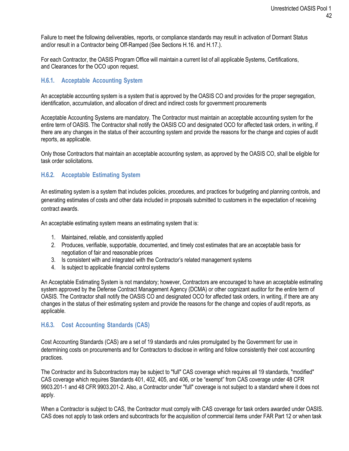Failure to meet the following deliverables, reports, or compliance standards may result in activation of Dormant Status and/or result in a Contractor being Off-Ramped (See Sections H.16. and H.17.).

For each Contractor, the OASIS Program Office will maintain a current list of all applicable Systems, Certifications, and Clearances for the OCO upon request.

#### **H.6.1. Acceptable Accounting System**

An acceptable accounting system is a system that is approved by the OASIS CO and provides for the proper segregation, identification, accumulation, and allocation of direct and indirect costs for government procurements

Acceptable Accounting Systems are mandatory. The Contractor must maintain an acceptable accounting system for the entire term of OASIS. The Contractor shall notify the OASIS CO and designated OCO for affected task orders, in writing, if there are any changes in the status of their accounting system and provide the reasons for the change and copies of audit reports, as applicable.

Only those Contractors that maintain an acceptable accounting system, as approved by the OASIS CO, shall be eligible for task order solicitations.

#### **H.6.2. Acceptable Estimating System**

An estimating system is a system that includes policies, procedures, and practices for budgeting and planning controls, and generating estimates of costs and other data included in proposals submitted to customers in the expectation of receiving contract awards.

An acceptable estimating system means an estimating system that is:

- 1. Maintained, reliable, and consistently applied
- 2. Produces, verifiable, supportable, documented, and timely cost estimates that are an acceptable basis for negotiation of fair and reasonable prices
- 3. Is consistent with and integrated with the Contractor's related management systems
- 4. Is subject to applicable financial control systems

An Acceptable Estimating System is not mandatory; however, Contractors are encouraged to have an acceptable estimating system approved by the Defense Contract Management Agency (DCMA) or other cognizant auditor for the entire term of OASIS. The Contractor shall notify the OASIS CO and designated OCO for affected task orders, in writing, if there are any changes in the status of their estimating system and provide the reasons for the change and copies of audit reports, as applicable.

#### **H.6.3. Cost Accounting Standards (CAS)**

Cost Accounting Standards (CAS) are a set of 19 standards and rules promulgated by the Government for use in determining costs on procurements and for Contractors to disclose in writing and follow consistently their cost accounting practices.

The Contractor and its Subcontractors may be subject to "full" CAS coverage which requires all 19 standards, "modified" CAS coverage which requires Standards 401, 402, 405, and 406, or be "exempt" from CAS coverage under 48 CFR 9903.201-1 and 48 CFR 9903.201-2. Also, a Contractor under "full" coverage is not subject to a standard where it does not apply.

When a Contractor is subject to CAS, the Contractor must comply with CAS coverage for task orders awarded under OASIS. CAS does not apply to task orders and subcontracts for the acquisition of commercial items under FAR Part 12 or when task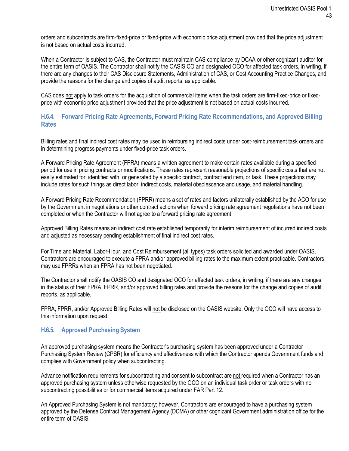orders and subcontracts are firm-fixed-price or fixed-price with economic price adjustment provided that the price adjustment is not based on actual costs incurred.

When a Contractor is subject to CAS, the Contractor must maintain CAS compliance by DCAA or other cognizant auditor for the entire term of OASIS. The Contractor shall notify the OASIS CO and designated OCO for affected task orders, in writing, if there are any changes to their CAS Disclosure Statements, Administration of CAS, or Cost Accounting Practice Changes, and provide the reasons for the change and copies of audit reports, as applicable.

CAS does not apply to task orders for the acquisition of commercial items when the task orders are firm-fixed-price or fixedprice with economic price adjustment provided that the price adjustment is not based on actual costs incurred.

#### **H.6.4. Forward Pricing Rate Agreements, Forward Pricing Rate Recommendations, and Approved Billing Rates**

Billing rates and final indirect cost rates may be used in reimbursing indirect costs under cost-reimbursement task orders and in determining progress payments under fixed-price task orders.

A Forward Pricing Rate Agreement (FPRA) means a written agreement to make certain rates available during a specified period for use in pricing contracts or modifications. These rates represent reasonable projections of specific costs that are not easily estimated for, identified with, or generated by a specific contract, contract end item, or task. These projections may include rates for such things as direct labor, indirect costs, material obsolescence and usage, and material handling.

A Forward Pricing Rate Recommendation (FPRR) means a set of rates and factors unilaterally established by the ACO for use by the Government in negotiations or other contract actions when forward pricing rate agreement negotiations have not been completed or when the Contractor will not agree to a forward pricing rate agreement.

Approved Billing Rates means an indirect cost rate established temporarily for interim reimbursement of incurred indirect costs and adjusted as necessary pending establishment of final indirect cost rates.

For Time and Material, Labor-Hour, and Cost Reimbursement (all types) task orders solicited and awarded under OASIS, Contractors are encouraged to execute a FPRA and/or approved billing rates to the maximum extent practicable. Contractors may use FPRRs when an FPRA has not been negotiated.

The Contractor shall notify the OASIS CO and designated OCO for affected task orders, in writing, if there are any changes in the status of their FPRA, FPRR, and/or approved billing rates and provide the reasons for the change and copies of audit reports, as applicable.

FPRA, FPRR, and/or Approved Billing Rates will not be disclosed on the OASIS website. Only the OCO will have access to this information upon request.

#### **H.6.5. Approved Purchasing System**

An approved purchasing system means the Contractor's purchasing system has been approved under a Contractor Purchasing System Review (CPSR) for efficiency and effectiveness with which the Contractor spends Government funds and complies with Government policy when subcontracting.

Advance notification requirements for subcontracting and consent to subcontract are not required when a Contractor has an approved purchasing system unless otherwise requested by the OCO on an individual task order or task orders with no subcontracting possibilities or for commercial items acquired under FAR Part 12.

An Approved Purchasing System is not mandatory; however, Contractors are encouraged to have a purchasing system approved by the Defense Contract Management Agency (DCMA) or other cognizant Government administration office for the entire term of OASIS.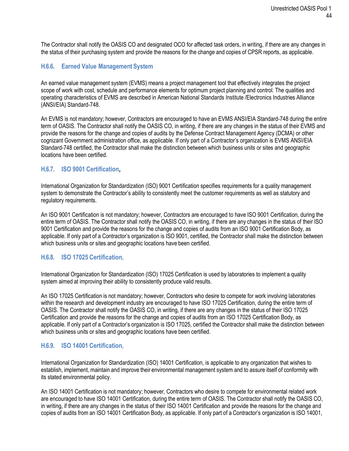The Contractor shall notify the OASIS CO and designated OCO for affected task orders, in writing, if there are any changes in the status of their purchasing system and provide the reasons for the change and copies of CPSR reports, as applicable.

#### **H.6.6. Earned Value Management System**

An earned value management system (EVMS) means a project management tool that effectively integrates the project scope of work with cost, schedule and performance elements for optimum project planning and control. The qualities and operating characteristics of EVMS are described in American National Standards Institute /Electronics Industries Alliance (ANSI/EIA) Standard-748.

An EVMS is not mandatory; however, Contractors are encouraged to have an EVMS ANSI/EIA Standard-748 during the entire term of OASIS. The Contractor shall notify the OASIS CO, in writing, if there are any changes in the status of their EVMS and provide the reasons for the change and copies of audits by the Defense Contract Management Agency (DCMA) or other cognizant Government administration office, as applicable. If only part of a Contractor's organization is EVMS ANSI/EIA Standard-748 certified, the Contractor shall make the distinction between which business units or sites and geographic locations have been certified.

#### **H.6.7. ISO 9001 Certification,**

International Organization for Standardization (ISO) 9001 Certification specifies requirements for a quality management system to demonstrate the Contractor's ability to consistently meet the customer requirements as well as statutory and regulatory requirements.

An ISO 9001 Certification is not mandatory; however, Contractors are encouraged to have ISO 9001 Certification, during the entire term of OASIS. The Contractor shall notify the OASIS CO, in writing, if there are any changes in the status of their ISO 9001 Certification and provide the reasons for the change and copies of audits from an ISO 9001 Certification Body, as applicable. If only part of a Contractor's organization is ISO 9001, certified, the Contractor shall make the distinction between which business units or sites and geographic locations have been certified.

#### **H.6.8. ISO 17025 Certification,**

International Organization for Standardization (ISO) 17025 Certification is used by laboratories to implement a quality system aimed at improving their ability to consistently produce valid results.

An ISO 17025 Certification is not mandatory; however, Contractors who desire to compete for work involving laboratories within the research and development industry are encouraged to have ISO 17025 Certification, during the entire term of OASIS. The Contractor shall notify the OASIS CO, in writing, if there are any changes in the status of their ISO 17025 Certification and provide the reasons for the change and copies of audits from an ISO 17025 Certification Body, as applicable. If only part of a Contractor's organization is ISO 17025, certified the Contractor shall make the distinction between which business units or sites and geographic locations have been certified.

#### **H.6.9. ISO 14001 Certification,**

International Organization for Standardization (ISO) 14001 Certification, is applicable to any organization that wishes to establish, implement, maintain and improve their environmental management system and to assure itself of conformity with its stated environmental policy.

An ISO 14001 Certification is not mandatory; however, Contractors who desire to compete for environmental related work are encouraged to have ISO 14001 Certification, during the entire term of OASIS. The Contractor shall notify the OASIS CO, in writing, if there are any changes in the status of their ISO 14001 Certification and provide the reasons for the change and copies of audits from an ISO 14001 Certification Body, as applicable. If only part of a Contractor's organization is ISO 14001,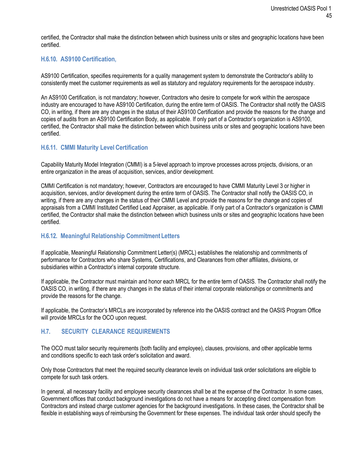certified, the Contractor shall make the distinction between which business units or sites and geographic locations have been certified.

#### **H.6.10. AS9100 Certification,**

AS9100 Certification, specifies requirements for a quality management system to demonstrate the Contractor's ability to consistently meet the customer requirements as well as statutory and regulatory requirements for the aerospace industry.

An AS9100 Certification, is not mandatory; however, Contractors who desire to compete for work within the aerospace industry are encouraged to have AS9100 Certification, during the entire term of OASIS. The Contractor shall notify the OASIS CO, in writing, if there are any changes in the status of their AS9100 Certification and provide the reasons for the change and copies of audits from an AS9100 Certification Body, as applicable. If only part of a Contractor's organization is AS9100, certified, the Contractor shall make the distinction between which business units or sites and geographic locations have been certified.

#### **H.6.11. CMMI Maturity Level Certification**

Capability Maturity Model Integration (CMMI) is a 5-level approach to improve processes across projects, divisions, or an entire organization in the areas of acquisition, services, and/or development.

CMMI Certification is not mandatory; however, Contractors are encouraged to have CMMI Maturity Level 3 or higher in acquisition, services, and/or development during the entire term of OASIS. The Contractor shall notify the OASIS CO, in writing, if there are any changes in the status of their CMMI Level and provide the reasons for the change and copies of appraisals from a CMMI Instituted Certified Lead Appraiser, as applicable. If only part of a Contractor's organization is CMMI certified, the Contractor shall make the distinction between which business units or sites and geographic locations have been certified.

#### **H.6.12. Meaningful Relationship Commitment Letters**

If applicable, Meaningful Relationship Commitment Letter(s) (MRCL) establishes the relationship and commitments of performance for Contractors who share Systems, Certifications, and Clearances from other affiliates, divisions, or subsidiaries within a Contractor's internal corporate structure.

If applicable, the Contractor must maintain and honor each MRCL for the entire term of OASIS. The Contractor shall notify the OASIS CO, in writing, if there are any changes in the status of their internal corporate relationships or commitments and provide the reasons for the change.

If applicable, the Contractor's MRCLs are incorporated by reference into the OASIS contract and the OASIS Program Office will provide MRCLs for the OCO upon request.

#### **H.7. SECURITY CLEARANCE REQUIREMENTS**

The OCO must tailor security requirements (both facility and employee), clauses, provisions, and other applicable terms and conditions specific to each task order's solicitation and award.

Only those Contractors that meet the required security clearance levels on individual task order solicitations are eligible to compete for such task orders.

In general, all necessary facility and employee security clearances shall be at the expense of the Contractor. In some cases, Government offices that conduct background investigations do not have a means for accepting direct compensation from Contractors and instead charge customer agencies for the background investigations. In these cases, the Contractor shall be flexible in establishing ways of reimbursing the Government for these expenses. The individual task order should specify the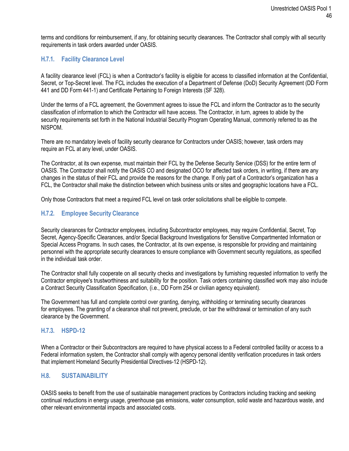terms and conditions for reimbursement, if any, for obtaining security clearances. The Contractor shall comply with all security requirements in task orders awarded under OASIS.

#### **H.7.1. Facility Clearance Level**

A facility clearance level (FCL) is when a Contractor's facility is eligible for access to classified information at the Confidential, Secret, or Top-Secret level. The FCL includes the execution of a Department of Defense (DoD) Security Agreement (DD Form 441 and DD Form 441-1) and Certificate Pertaining to Foreign Interests (SF 328).

Under the terms of a FCL agreement, the Government agrees to issue the FCL and inform the Contractor as to the security classification of information to which the Contractor will have access. The Contractor, in turn, agrees to abide by the security requirements set forth in the National Industrial Security Program Operating Manual, commonly referred to as the NISPOM.

There are no mandatory levels of facility security clearance for Contractors under OASIS; however, task orders may require an FCL at any level, under OASIS.

The Contractor, at its own expense, must maintain their FCL by the Defense Security Service (DSS) for the entire term of OASIS. The Contractor shall notify the OASIS CO and designated OCO for affected task orders, in writing, if there are any changes in the status of their FCL and provide the reasons for the change. If only part of a Contractor's organization has a FCL, the Contractor shall make the distinction between which business units or sites and geographic locations have a FCL.

Only those Contractors that meet a required FCL level on task order solicitations shall be eligible to compete.

#### **H.7.2. Employee Security Clearance**

Security clearances for Contractor employees, including Subcontractor employees, may require Confidential, Secret, Top Secret, Agency-Specific Clearances, and/or Special Background Investigations for Sensitive Compartmented Information or Special Access Programs. In such cases, the Contractor, at its own expense, is responsible for providing and maintaining personnel with the appropriate security clearances to ensure compliance with Government security regulations, as specified in the individual task order.

The Contractor shall fully cooperate on all security checks and investigations by furnishing requested information to verify the Contractor employee's trustworthiness and suitability for the position. Task orders containing classified work may also include a Contract Security Classification Specification, (i.e., DD Form 254 or civilian agency equivalent).

The Government has full and complete control over granting, denying, withholding or terminating security clearances for employees. The granting of a clearance shall not prevent, preclude, or bar the withdrawal or termination of any such clearance by the Government.

#### **H.7.3. HSPD-12**

When a Contractor or their Subcontractors are required to have physical access to a Federal controlled facility or access to a Federal information system, the Contractor shall comply with agency personal identity verification procedures in task orders that implement Homeland Security Presidential Directives-12 (HSPD-12).

#### **H.8. SUSTAINABILITY**

OASIS seeks to benefit from the use of sustainable management practices by Contractors including tracking and seeking continual reductions in energy usage, greenhouse gas emissions, water consumption, solid waste and hazardous waste, and other relevant environmental impacts and associated costs.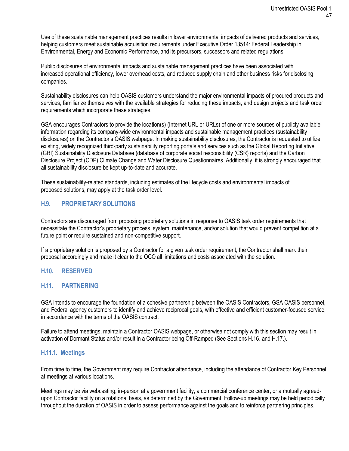Use of these sustainable management practices results in lower environmental impacts of delivered products and services, helping customers meet sustainable acquisition requirements under Executive Order 13514: Federal Leadership in Environmental, Energy and Economic Performance, and its precursors, successors and related regulations.

Public disclosures of environmental impacts and sustainable management practices have been associated with increased operational efficiency, lower overhead costs, and reduced supply chain and other business risks for disclosing companies.

Sustainability disclosures can help OASIS customers understand the major environmental impacts of procured products and services, familiarize themselves with the available strategies for reducing these impacts, and design projects and task order requirements which incorporate these strategies.

GSA encourages Contractors to provide the location(s) (Internet URL or URLs) of one or more sources of publicly available information regarding its company-wide environmental impacts and sustainable management practices (sustainability disclosures) on the Contractor's OASIS webpage. In making sustainability disclosures, the Contractor is requested to utilize existing, widely recognized third-party sustainability reporting portals and services such as the Global Reporting Initiative (GRI) Sustainability Disclosure Database (database of corporate social responsibility (CSR) reports) and the Carbon Disclosure Project (CDP) Climate Change and Water Disclosure Questionnaires. Additionally, it is strongly encouraged that all sustainability disclosure be kept up-to-date and accurate.

These sustainability-related standards, including estimates of the lifecycle costs and environmental impacts of proposed solutions, may apply at the task order level.

#### **H.9. PROPRIETARY SOLUTIONS**

Contractors are discouraged from proposing proprietary solutions in response to OASIS task order requirements that necessitate the Contractor's proprietary process, system, maintenance, and/or solution that would prevent competition at a future point or require sustained and non-competitive support.

If a proprietary solution is proposed by a Contractor for a given task order requirement, the Contractor shall mark their proposal accordingly and make it clear to the OCO all limitations and costs associated with the solution.

#### **H.10. RESERVED**

#### **H.11. PARTNERING**

GSA intends to encourage the foundation of a cohesive partnership between the OASIS Contractors, GSA OASIS personnel, and Federal agency customers to identify and achieve reciprocal goals, with effective and efficient customer-focused service, in accordance with the terms of the OASIS contract.

Failure to attend meetings, maintain a Contractor OASIS webpage, or otherwise not comply with this section may result in activation of Dormant Status and/or result in a Contractor being Off-Ramped (See Sections H.16. and H.17.).

#### **H.11.1. Meetings**

From time to time, the Government may require Contractor attendance, including the attendance of Contractor Key Personnel, at meetings at various locations.

Meetings may be via webcasting, in-person at a government facility, a commercial conference center, or a mutually agreedupon Contractor facility on a rotational basis, as determined by the Government. Follow-up meetings may be held periodically throughout the duration of OASIS in order to assess performance against the goals and to reinforce partnering principles.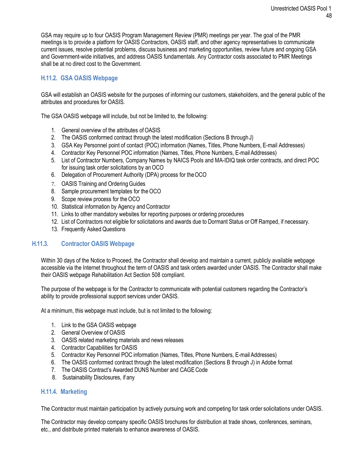GSA may require up to four OASIS Program Management Review (PMR) meetings per year. The goal of the PMR meetings is to provide a platform for OASIS Contractors, OASIS staff, and other agency representatives to communicate current issues, resolve potential problems, discuss business and marketing opportunities, review future and ongoing GSA and Government-wide initiatives, and address OASIS fundamentals. Any Contractor costs associated to PMR Meetings shall be at no direct cost to the Government.

#### **H.11.2. GSA OASIS Webpage**

GSA will establish an OASIS website for the purposes of informing our customers, stakeholders, and the general public of the attributes and procedures for OASIS.

The GSA OASIS webpage will include, but not be limited to, the following:

- 1. General overview of the attributes of OASIS
- 2. The OASIS conformed contract through the latest modification (Sections B through J)
- 3. GSA Key Personnel point of contact (POC) information (Names, Titles, Phone Numbers, E-mail Addresses)
- 4. Contractor Key Personnel POC information (Names, Titles, Phone Numbers, E-mailAddresses)
- 5. List of Contractor Numbers, Company Names by NAICS Pools and MA-IDIQ task order contracts, and direct POC for issuing task order solicitations by an OCO
- 6. Delegation of Procurement Authority (DPA) process for theOCO
- 7. OASIS Training and Ordering Guides
- 8. Sample procurement templates for the OCO
- 9. Scope review process for the OCO
- 10. Statistical information by Agency and Contractor
- 11. Links to other mandatory websites for reporting purposes or ordering procedures
- 12. List of Contractors not eligible for solicitations and awards due to Dormant Status or Off Ramped, if necessary.
- 13. Frequently Asked Questions

#### **H.11.3. Contractor OASIS Webpage**

Within 30 days of the Notice to Proceed, the Contractor shall develop and maintain a current, publicly available webpage accessible via the Internet throughout the term of OASIS and task orders awarded under OASIS. The Contractor shall make their OASIS webpage Rehabilitation Act Section 508 compliant.

The purpose of the webpage is for the Contractor to communicate with potential customers regarding the Contractor's ability to provide professional support services under OASIS.

At a minimum, this webpage must include, but is not limited to the following:

- 1. Link to the GSA OASIS webpage
- 2. General Overview of OASIS
- 3. OASIS related marketing materials and news releases
- 4. Contractor Capabilities for OASIS
- 5. Contractor Key Personnel POC information (Names, Titles, Phone Numbers, E-mailAddresses)
- 6. The OASIS conformed contract through the latest modification (Sections B through J) in Adobe format
- 7. The OASIS Contract's Awarded DUNS Number and CAGECode
- 8. Sustainability Disclosures, if any

#### **H.11.4. Marketing**

The Contractor must maintain participation by actively pursuing work and competing for task order solicitations under OASIS.

The Contractor may develop company specific OASIS brochures for distribution at trade shows, conferences, seminars, etc., and distribute printed materials to enhance awareness of OASIS.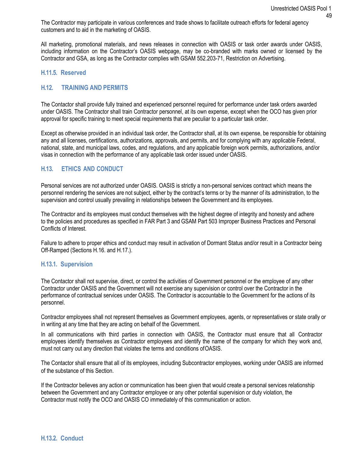The Contractor may participate in various conferences and trade shows to facilitate outreach efforts for federal agency customers and to aid in the marketing of OASIS.

All marketing, promotional materials, and news releases in connection with OASIS or task order awards under OASIS, including information on the Contractor's OASIS webpage, may be co-branded with marks owned or licensed by the Contractor and GSA, as long as the Contractor complies with GSAM 552.203-71, Restriction on Advertising.

#### **H.11.5. Reserved**

#### **H.12. TRAINING AND PERMITS**

The Contactor shall provide fully trained and experienced personnel required for performance under task orders awarded under OASIS. The Contractor shall train Contractor personnel, at its own expense, except when the OCO has given prior approval for specific training to meet special requirements that are peculiar to a particular task order.

Except as otherwise provided in an individual task order, the Contractor shall, at its own expense, be responsible for obtaining any and all licenses, certifications, authorizations, approvals, and permits, and for complying with any applicable Federal, national, state, and municipal laws, codes, and regulations, and any applicable foreign work permits, authorizations, and/or visas in connection with the performance of any applicable task order issued under OASIS.

#### **H.13. ETHICS AND CONDUCT**

Personal services are not authorized under OASIS. OASIS is strictly a non-personal services contract which means the personnel rendering the services are not subject, either by the contract's terms or by the manner of its administration, to the supervision and control usually prevailing in relationships between the Government and its employees.

The Contractor and its employees must conduct themselves with the highest degree of integrity and honesty and adhere to the policies and procedures as specified in FAR Part 3 and GSAM Part 503 Improper Business Practices and Personal Conflicts of Interest.

Failure to adhere to proper ethics and conduct may result in activation of Dormant Status and/or result in a Contractor being Off-Ramped (Sections H.16. and H.17.).

#### **H.13.1. Supervision**

The Contactor shall not supervise, direct, or control the activities of Government personnel or the employee of any other Contractor under OASIS and the Government will not exercise any supervision or control over the Contractor in the performance of contractual services under OASIS. The Contractor is accountable to the Government for the actions of its personnel.

Contractor employees shall not represent themselves as Government employees, agents, or representatives or state orally or in writing at any time that they are acting on behalf of the Government.

In all communications with third parties in connection with OASIS, the Contractor must ensure that all Contractor employees identify themselves as Contractor employees and identify the name of the company for which they work and, must not carry out any direction that violates the terms and conditions ofOASIS.

The Contactor shall ensure that all of its employees, including Subcontractor employees, working under OASIS are informed of the substance of this Section.

If the Contractor believes any action or communication has been given that would create a personal services relationship between the Government and any Contractor employee or any other potential supervision or duty violation, the Contractor must notify the OCO and OASIS CO immediately of this communication or action.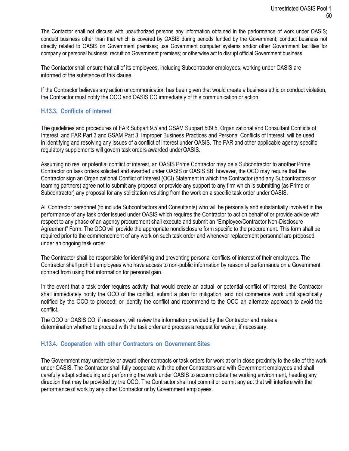The Contactor shall not discuss with unauthorized persons any information obtained in the performance of work under OASIS; conduct business other than that which is covered by OASIS during periods funded by the Government; conduct business not directly related to OASIS on Government premises; use Government computer systems and/or other Government facilities for company or personal business; recruit on Government premises; or otherwise act to disrupt official Government business.

The Contactor shall ensure that all of its employees, including Subcontractor employees, working under OASIS are informed of the substance of this clause.

If the Contractor believes any action or communication has been given that would create a business ethic or conduct violation, the Contractor must notify the OCO and OASIS CO immediately of this communication or action.

#### **H.13.3. Conflicts of Interest**

The guidelines and procedures of FAR Subpart 9.5 and GSAM Subpart 509.5, Organizational and Consultant Conflicts of Interest, and FAR Part 3 and GSAM Part 3, Improper Business Practices and Personal Conflicts of Interest, will be used in identifying and resolving any issues of a conflict of interest under OASIS. The FAR and other applicable agency specific regulatory supplements will govern task orders awarded under OASIS.

Assuming no real or potential conflict of interest, an OASIS Prime Contractor may be a Subcontractor to another Prime Contractor on task orders solicited and awarded under OASIS or OASIS SB; however, the OCO may require that the Contractor sign an Organizational Conflict of Interest (OCI) Statement in which the Contractor (and any Subcontractors or teaming partners) agree not to submit any proposal or provide any support to any firm which is submitting (as Prime or Subcontractor) any proposal for any solicitation resulting from the work on a specific task order under OASIS.

All Contractor personnel (to include Subcontractors and Consultants) who will be personally and substantially involved in the performance of any task order issued under OASIS which requires the Contractor to act on behalf of or provide advice with respect to any phase of an agency procurement shall execute and submit an "Employee/Contractor Non-Disclosure Agreement" Form. The OCO will provide the appropriate nondisclosure form specific to the procurement. This form shall be required prior to the commencement of any work on such task order and whenever replacement personnel are proposed under an ongoing task order.

The Contractor shall be responsible for identifying and preventing personal conflicts of interest of their employees. The Contractor shall prohibit employees who have access to non-public information by reason of performance on a Government contract from using that information for personal gain.

In the event that a task order requires activity that would create an actual or potential conflict of interest, the Contractor shall immediately notify the OCO of the conflict, submit a plan for mitigation, and not commence work until specifically notified by the OCO to proceed; or identify the conflict and recommend to the OCO an alternate approach to avoid the conflict.

The OCO or OASIS CO, if necessary, will review the information provided by the Contractor and make a determination whether to proceed with the task order and process a request for waiver, if necessary.

#### **H.13.4. Cooperation with other Contractors on Government Sites**

The Government may undertake or award other contracts or task orders for work at or in close proximity to the site of the work under OASIS. The Contractor shall fully cooperate with the other Contractors and with Government employees and shall carefully adapt scheduling and performing the work under OASIS to accommodate the working environment, heeding any direction that may be provided by the OCO. The Contractor shall not commit or permit any act that will interfere with the performance of work by any other Contractor or by Government employees.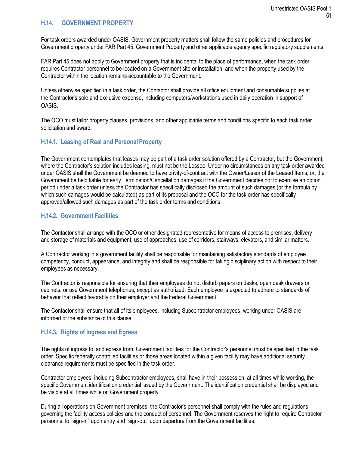#### **H.14. GOVERNMENT PROPERTY**

For task orders awarded under OASIS, Government property matters shall follow the same policies and procedures for Government property under FAR Part 45, Government Property and other applicable agency specific regulatory supplements.

FAR Part 45 does not apply to Government property that is incidental to the place of performance, when the task order requires Contractor personnel to be located on a Government site or installation, and when the property used by the Contractor within the location remains accountable to the Government.

Unless otherwise specified in a task order, the Contactor shall provide all office equipment and consumable supplies at the Contractor's sole and exclusive expense, including computers/workstations used in daily operation in support of OASIS.

The OCO must tailor property clauses, provisions, and other applicable terms and conditions specific to each task order solicitation and award.

#### **H.14.1. Leasing of Real and Personal Property**

The Government contemplates that leases may be part of a task order solution offered by a Contractor, but the Government, where the Contractor's solution includes leasing, must not be the Lessee. Under no circumstances on any task order awarded under OASIS shall the Government be deemed to have privity-of-contract with the Owner/Lessor of the Leased Items; or, the Government be held liable for early Termination/Cancellation damages if the Government decides not to exercise an option period under a task order unless the Contractor has specifically disclosed the amount of such damages (or the formula by which such damages would be calculated) as part of its proposal and the OCO for the task order has specifically approved/allowed such damages as part of the task order terms and conditions.

#### **H.14.2. Government Facilities**

The Contactor shall arrange with the OCO or other designated representative for means of access to premises, delivery and storage of materials and equipment, use of approaches, use of corridors, stairways, elevators, and similar matters.

A Contractor working in a government facility shall be responsible for maintaining satisfactory standards of employee competency, conduct, appearance, and integrity and shall be responsible for taking disciplinary action with respect to their employees as necessary.

The Contractor is responsible for ensuring that their employees do not disturb papers on desks, open desk drawers or cabinets, or use Government telephones, except as authorized. Each employee is expected to adhere to standards of behavior that reflect favorably on their employer and the Federal Government.

The Contactor shall ensure that all of its employees, including Subcontractor employees, working under OASIS are informed of the substance of this clause.

#### **H.14.3. Rights of Ingress and Egress**

The rights of ingress to, and egress from, Government facilities for the Contractor's personnel must be specified in the task order. Specific federally controlled facilities or those areas located within a given facility may have additional security clearance requirements must be specified in the task order.

Contractor employees, including Subcontractor employees, shall have in their possession, at all times while working, the specific Government identification credential issued by the Government. The identification credential shall be displayed and be visible at all times while on Government property.

During all operations on Government premises, the Contractor's personnel shall comply with the rules and regulations governing the facility access policies and the conduct of personnel. The Government reserves the right to require Contractor personnel to "sign-in" upon entry and "sign-out" upon departure from the Government facilities.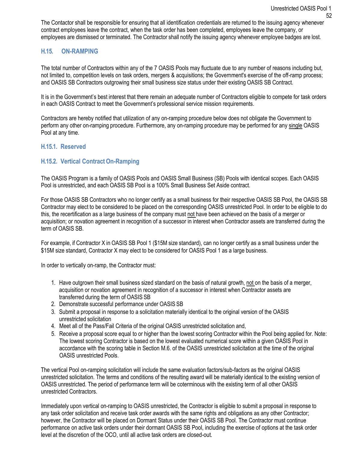The Contactor shall be responsible for ensuring that all identification credentials are returned to the issuing agency whenever contract employees leave the contract, when the task order has been completed, employees leave the company, or employees are dismissed or terminated. The Contractor shall notify the issuing agency whenever employee badges are lost.

#### **H.15. ON-RAMPING**

The total number of Contractors within any of the 7 OASIS Pools may fluctuate due to any number of reasons including but, not limited to, competition levels on task orders, mergers & acquisitions; the Government's exercise of the off-ramp process; and OASIS SB Contractors outgrowing their small business size status under their existing OASIS SB Contract.

It is in the Government's best interest that there remain an adequate number of Contractors eligible to compete for task orders in each OASIS Contract to meet the Government's professional service mission requirements.

Contractors are hereby notified that utilization of any on-ramping procedure below does not obligate the Government to perform any other on-ramping procedure. Furthermore, any on-ramping procedure may be performed for any single OASIS Pool at any time.

#### **H.15.1. Reserved**

#### **H.15.2. Vertical ContractOn-Ramping**

The OASIS Program is a family of OASIS Pools and OASIS Small Business (SB) Pools with identical scopes. Each OASIS Pool is unrestricted, and each OASIS SB Pool is a 100% Small Business Set Aside contract.

For those OASIS SB Contractors who no longer certify as a small business for their respective OASIS SB Pool, the OASIS SB Contractor may elect to be considered to be placed on the corresponding OASIS unrestricted Pool. In order to be eligible to do this, the recertification as a large business of the company must not have been achieved on the basis of a merger or acquisition; or novation agreement in recognition of a successor in interest when Contractor assets are transferred during the term of OASIS SB.

For example, if Contractor X in OASIS SB Pool 1 (\$15M size standard), can no longer certify as a small business under the \$15M size standard, Contractor X may elect to be considered for OASIS Pool 1 as a large business.

In order to vertically on-ramp, the Contractor must:

- 1. Have outgrown their small business sized standard on the basis of natural growth, not on the basis of a merger, acquisition or novation agreement in recognition of a successor in interest when Contractor assets are transferred during the term of OASIS SB
- 2. Demonstrate successful performance under OASIS SB
- 3. Submit a proposal in response to a solicitation materially identical to the original version of the OASIS unrestricted solicitation
- 4. Meet all of the Pass/Fail Criteria of the original OASIS unrestricted solicitation and,
- 5. Receive a proposal score equal to or higher than the lowest scoring Contractor within the Pool being applied for. Note: The lowest scoring Contractor is based on the lowest evaluated numerical score within a given OASIS Pool in accordance with the scoring table in Section M.6. of the OASIS unrestricted solicitation at the time of the original OASIS unrestricted Pools.

The vertical Pool on-ramping solicitation will include the same evaluation factors/sub-factors as the original OASIS unrestricted solicitation. The terms and conditions of the resulting award will be materially identical to the existing version of OASIS unrestricted. The period of performance term will be coterminous with the existing term of all other OASIS unrestricted Contractors.

Immediately upon vertical on-ramping to OASIS unrestricted, the Contractor is eligible to submit a proposal in response to any task order solicitation and receive task order awards with the same rights and obligations as any other Contractor; however, the Contractor will be placed on Dormant Status under their OASIS SB Pool. The Contractor must continue performance on active task orders under their dormant OASIS SB Pool, including the exercise of options at the task order level at the discretion of the OCO, until all active task orders are closed-out.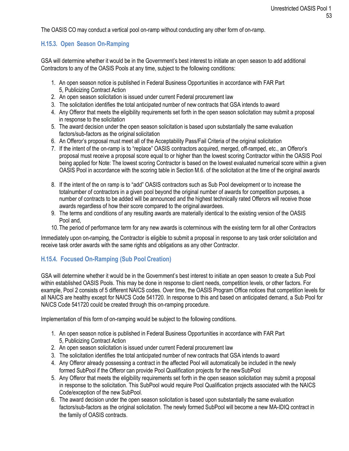The OASIS CO may conduct a vertical pool on-ramp without conducting any other form of on-ramp.

#### **H.15.3. Open Season On-Ramping**

GSA will determine whether it would be in the Government's best interest to initiate an open season to add additional Contractors to any of the OASIS Pools at any time, subject to the following conditions:

- 1. An open season notice is published in Federal Business Opportunities in accordance with FAR Part 5, Publicizing Contract Action
- 2. An open season solicitation is issued under current Federal procurement law
- 3. The solicitation identifies the total anticipated number of new contracts that GSA intends to award
- 4. Any Offeror that meets the eligibility requirements set forth in the open season solicitation may submit a proposal in response to the solicitation
- 5. The award decision under the open season solicitation is based upon substantially the same evaluation factors/sub-factors as the original solicitation
- 6. An Offeror's proposal must meet all of the Acceptability Pass/Fail Criteria of the original solicitation
- 7. If the intent of the on-ramp is to "replace" OASIS contractors acquired, merged, off-ramped, etc., an Offeror's proposal must receive a proposal score equal to or higher than the lowest scoring Contractor within the OASIS Pool being applied for Note: The lowest scoring Contractor is based on the lowest evaluated numerical score within a given OASIS Pool in accordance with the scoring table in Section M.6. of the solicitation at the time of the original awards
- 8. If the intent of the on ramp is to "add" OASIS contractors such as Sub Pool development or to increase the totalnumber of contractors in a given pool beyond the original number of awards for competition purposes, a number of contracts to be added will be announced and the highest technically rated Offerors will receive those awards regardless of how their score compared to the original awardees.
- 9. The terms and conditions of any resulting awards are materially identical to the existing version of the OASIS Pool and,
- 10. The period of performance term for any new awards is coterminous with the existing term for all other Contractors

Immediately upon on-ramping, the Contractor is eligible to submit a proposal in response to any task order solicitation and receive task order awards with the same rights and obligations as any other Contractor.

#### **H.15.4. Focused On-Ramping (Sub Pool Creation)**

GSA will determine whether it would be in the Government's best interest to initiate an open season to create a Sub Pool within established OASIS Pools. This may be done in response to client needs, competition levels, or other factors. For example, Pool 2 consists of 5 different NAICS codes. Over time, the OASIS Program Office notices that competition levels for all NAICS are healthy except for NAICS Code 541720. In response to this and based on anticipated demand, a Sub Pool for NAICS Code 541720 could be created through this on-ramping procedure.

Implementation of this form of on-ramping would be subject to the following conditions.

- 1. An open season notice is published in Federal Business Opportunities in accordance with FAR Part 5, Publicizing Contract Action
- 2. An open season solicitation is issued under current Federal procurement law
- 3. The solicitation identifies the total anticipated number of new contracts that GSA intends to award
- 4. Any Offeror already possessing a contract in the affected Pool will automatically be included in the newly formed SubPool if the Offeror can provide Pool Qualification projects for the newSubPool
- 5. Any Offeror that meets the eligibility requirements set forth in the open season solicitation may submit a proposal in response to the solicitation. This SubPool would require Pool Qualification projects associated with the NAICS Code/exception of the new SubPool.
- 6. The award decision under the open season solicitation is based upon substantially the same evaluation factors/sub-factors as the original solicitation. The newly formed SubPool will become a new MA-IDIQ contract in the family of OASIS contracts.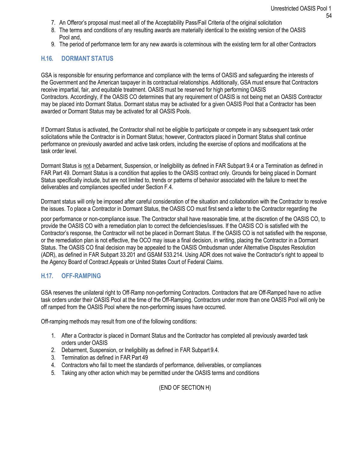- 7. An Offeror's proposal must meet all of the Acceptability Pass/Fail Criteria of the original solicitation
- 8. The terms and conditions of any resulting awards are materially identical to the existing version of the OASIS Pool and,
- 9. The period of performance term for any new awards is coterminous with the existing term for all other Contractors

#### **H.16. DORMANT STATUS**

GSA is responsible for ensuring performance and compliance with the terms of OASIS and safeguarding the interests of the Government and the American taxpayer in its contractual relationships. Additionally, GSA must ensure that Contractors receive impartial, fair, and equitable treatment. OASIS must be reserved for high performing OASIS Contractors. Accordingly, if the OASIS CO determines that any requirement of OASIS is not being met an OASIS Contractor may be placed into Dormant Status. Dormant status may be activated for a given OASIS Pool that a Contractor has been awarded or Dormant Status may be activated for all OASIS Pools.

If Dormant Status is activated, the Contractor shall not be eligible to participate or compete in any subsequent task order solicitations while the Contractor is in Dormant Status; however, Contractors placed in Dormant Status shall continue performance on previously awarded and active task orders, including the exercise of options and modifications at the task order level.

Dormant Status is not a Debarment, Suspension, or Ineligibility as defined in FAR Subpart 9.4 or a Termination as defined in FAR Part 49. Dormant Status is a condition that applies to the OASIS contract only. Grounds for being placed in Dormant Status specifically include, but are not limited to, trends or patterns of behavior associated with the failure to meet the deliverables and compliances specified under Section F.4.

Dormant status will only be imposed after careful consideration of the situation and collaboration with the Contractor to resolve the issues. To place a Contractor in Dormant Status, the OASIS CO must first send a letter to the Contractor regarding the

poor performance or non-compliance issue. The Contractor shall have reasonable time, at the discretion of the OASIS CO, to provide the OASIS CO with a remediation plan to correct the deficiencies/issues. If the OASIS CO is satisfied with the Contractor's response, the Contractor will not be placed in Dormant Status. If the OASIS CO is not satisfied with the response, or the remediation plan is not effective, the OCO may issue a final decision, in writing, placing the Contractor in a Dormant Status. The OASIS CO final decision may be appealed to the OASIS Ombudsman under Alternative Disputes Resolution (ADR), as defined in FAR Subpart 33.201 and GSAM 533.214. Using ADR does not waive the Contractor's right to appeal to the Agency Board of Contract Appeals or United States Court of Federal Claims.

#### **H.17. OFF-RAMPING**

GSA reserves the unilateral right to Off-Ramp non-performing Contractors. Contractors that are Off-Ramped have no active task orders under their OASIS Pool at the time of the Off-Ramping. Contractors under more than one OASIS Pool will only be off ramped from the OASIS Pool where the non-performing issues have occurred.

Off-ramping methods may result from one of the following conditions:

- 1. After a Contractor is placed in Dormant Status and the Contractor has completed all previously awarded task orders under OASIS
- 2. Debarment, Suspension, or Ineligibility as defined in FAR Subpart 9.4.
- 3. Termination as defined in FAR Part 49
- 4. Contractors who fail to meet the standards of performance, deliverables, or compliances
- 5. Taking any other action which may be permitted under the OASIS terms and conditions

(END OF SECTION H)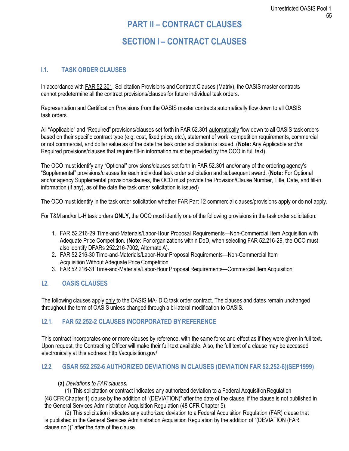# **PART II – CONTRACT CLAUSES**

## **SECTION I – CONTRACT CLAUSES**

#### **I.1. TASK ORDER CLAUSES**

In accordance with FAR 52.301, Solicitation Provisions and Contract Clauses (Matrix), the OASIS master contracts cannot predetermine all the contract provisions/clauses for future individual task orders.

Representation and Certification Provisions from the OASIS master contracts automatically flow down to all OASIS task orders.

All "Applicable" and "Required" provisions/clauses set forth in FAR 52.301 automatically flow down to all OASIS task orders based on their specific contract type (e.g. cost, fixed price, etc.), statement of work, competition requirements, commercial or not commercial, and dollar value as of the date the task order solicitation is issued. (**Note:** Any Applicable and/or Required provisions/clauses that require fill-in information must be provided by the OCO in full text).

The OCO must identify any "Optional" provisions/clauses set forth in FAR 52.301 and/or any of the ordering agency's "Supplemental" provisions/clauses for each individual task order solicitation and subsequent award. (**Note:** For Optional and/or agency Supplemental provisions/clauses, the OCO must provide the Provision/Clause Number, Title, Date, and fill-in information (if any), as of the date the task order solicitation is issued)

The OCO must identify in the task order solicitation whether FAR Part 12 commercial clauses/provisions apply or do not apply.

For T&M and/or L-H task orders **ONLY**, the OCO must identify one of the following provisions in the task order solicitation:

- 1. FAR 52.216-29 Time-and-Materials/Labor-Hour Proposal Requirements—Non-Commercial Item Acquisition with Adequate Price Competition. (**Note:** For organizations within DoD, when selecting FAR 52.216-29, the OCO must also identify DFARs 252.216-7002, Alternate A).
- 2. FAR 52.216-30 Time-and-Materials/Labor-Hour Proposal Requirements—Non-Commercial Item Acquisition Without Adequate Price Competition
- 3. FAR 52.216-31 Time-and-Materials/Labor-Hour Proposal Requirements—Commercial Item Acquisition

#### **I.2. OASIS CLAUSES**

The following clauses apply only to the OASIS MA-IDIQ task order contract. The clauses and dates remain unchanged throughout the term of OASIS unless changed through a bi-lateral modification to OASIS.

#### **I.2.1. FAR 52.252-2 CLAUSES INCORPORATED BYREFERENCE**

This contract incorporates one or more clauses by reference, with the same force and effect as if they were given in full text. Upon request, the Contracting Officer will make their full text available. Also, the full text of a clause may be accessed electronically at this address: <http://acquisition.gov/>

#### **I.2.2. GSAR 552.252-6 AUTHORIZED DEVIATIONS IN CLAUSES (DEVIATION FAR 52.252-6)(SEP1999)**

#### **(a)** *Deviations to FAR clauses***.**

(1) This solicitation or contract indicates any authorized deviation to a Federal AcquisitionRegulation (48 CFR Chapter 1) clause by the addition of "(DEVIATION)" after the date of the clause, if the clause is not published in the General Services Administration Acquisition Regulation (48 CFR Chapter 5).

(2) This solicitation indicates any authorized deviation to a Federal Acquisition Regulation (FAR) clause that is published in the General Services Administration Acquisition Regulation by the addition of "(DEVIATION (FAR clause no.))" after the date of the clause.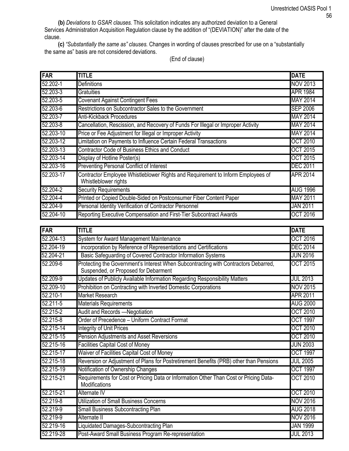**(b)** *Deviations to GSAR clauses.* This solicitation indicates any authorized deviation to a General Services Administration Acquisition Regulation clause by the addition of "(DEVIATION)" after the date of the clause.

**(c)** *"Substantially the same as" clauses.* Changes in wording of clauses prescribed for use on a "substantially the same as" basis are not considered deviations.

| <b>FAR</b> | <b>TITLE</b>                                                                                            | <b>DATE</b>     |
|------------|---------------------------------------------------------------------------------------------------------|-----------------|
| 52.202-1   | <b>Definitions</b>                                                                                      | <b>NOV 2013</b> |
| 52.203-3   | Gratuities                                                                                              | <b>APR 1984</b> |
| 52.203-5   | <b>Covenant Against Contingent Fees</b>                                                                 | <b>MAY 2014</b> |
| 52.203-6   | Restrictions on Subcontractor Sales to the Government                                                   | <b>SEP 2006</b> |
| 52.203-7   | Anti-Kickback Procedures                                                                                | <b>MAY 2014</b> |
| 52.203-8   | Cancellation, Rescission, and Recovery of Funds For Illegal or Improper Activity                        | <b>MAY 2014</b> |
| 52.203-10  | Price or Fee Adjustment for Illegal or Improper Activity                                                | <b>MAY 2014</b> |
| 52.203-12  | Limitation on Payments to Influence Certain Federal Transactions                                        | <b>OCT 2010</b> |
| 52.203-13  | <b>Contractor Code of Business Ethics and Conduct</b>                                                   | <b>OCT 2015</b> |
| 52.203-14  | Display of Hotline Poster(s)                                                                            | <b>OCT 2015</b> |
| 52.203-16  | Preventing Personal Conflict of Interest                                                                | <b>DEC 2011</b> |
| 52.203-17  | Contractor Employee Whistleblower Rights and Requirement to Inform Employees of<br>Whistleblower rights | <b>APR 2014</b> |
| 52.204-2   | <b>Security Requirements</b>                                                                            | <b>AUG 1996</b> |
| 52.204-4   | Printed or Copied Double-Sided on Postconsumer Fiber Content Paper                                      | <b>MAY 2011</b> |
| 52.204-9   | Personal Identity Verification of Contractor Personnel                                                  | <b>JAN 2011</b> |
| 52.204-10  | Reporting Executive Compensation and First-Tier Subcontract Awards                                      | <b>OCT 2016</b> |

(End of clause)

| <b>FAR</b>              | <b>TITLE</b>                                                                                                                | <b>DATE</b>     |
|-------------------------|-----------------------------------------------------------------------------------------------------------------------------|-----------------|
| 52.204-13               | <b>System for Award Management Maintenance</b>                                                                              | OCT 2016        |
| 52.204-19               | incorporation by Reference of Representations and Certifications                                                            | <b>DEC 2014</b> |
| 52.204-21               | Basic Safeguarding of Covered Contractor Information Systems                                                                | <b>JUN 2016</b> |
| 52.209-6                | Protecting the Government's Interest When Subcontracting with Contractors Debarred,<br>Suspended, or Proposed for Debarment | <b>OCT 2015</b> |
| 52.209-9                | Updates of Publicly Available Information Regarding Responsibility Matters                                                  | <b>JUL 2013</b> |
| 52.209-10               | Prohibition on Contracting with Inverted Domestic Corporations                                                              | <b>NOV 2015</b> |
| 52.210-1                | <b>Market Research</b>                                                                                                      | <b>APR 2011</b> |
| 52.211-5                | <b>Materials Requirements</b>                                                                                               | <b>AUG 2000</b> |
| 52.215-2                | Audit and Records -Negotiation                                                                                              | <b>OCT 2010</b> |
| $52.215 - 8$            | Order of Precedence - Uniform Contract Format                                                                               | <b>OCT 1997</b> |
| 52.215-14               | <b>Integrity of Unit Prices</b>                                                                                             | <b>OCT 2010</b> |
| 52.215-15               | Pension Adjustments and Asset Reversions                                                                                    | <b>OCT 2010</b> |
| 52.215-16               | <b>Facilities Capital Cost of Money</b>                                                                                     | <b>JUN 2003</b> |
| 52.215-17               | Waiver of Facilities Capital Cost of Money                                                                                  | <b>OCT 1997</b> |
| 52.215-18               | Reversion or Adjustment of Plans for Postretirement Benefits (PRB) other than Pensions                                      | <b>JUL 2005</b> |
| 52.215-19               | Notification of Ownership Changes                                                                                           | <b>OCT 1997</b> |
| $\overline{52}$ .215-21 | Requirements for Cost or Pricing Data or Information Other Than Cost or Pricing Data-<br>Modifications                      | <b>OCT 2010</b> |
| 52.215-21               | <b>Alternate IV</b>                                                                                                         | <b>OCT 2010</b> |
| 52.219-8                | <b>Utilization of Small Business Concerns</b>                                                                               | <b>NOV 2016</b> |
| 52.219-9                | <b>Small Business Subcontracting Plan</b>                                                                                   | <b>AUG 2018</b> |
| 52.219-9                | <b>Alternate II</b>                                                                                                         | <b>NOV 2016</b> |
| 52.219-16               | Liquidated Damages-Subcontracting Plan                                                                                      | <b>JAN 1999</b> |
| 52.219-28               | Post-Award Small Business Program Re-representation                                                                         | <b>JUL 2013</b> |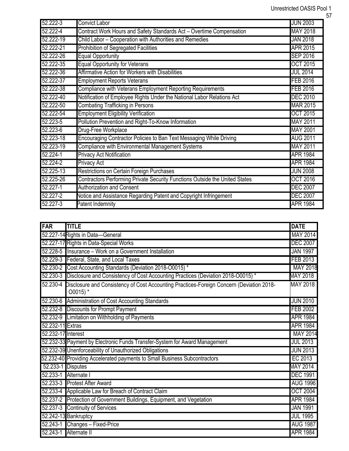| e v<br>I<br>×<br>I<br>×<br>×<br>۰. |  |
|------------------------------------|--|
|                                    |  |

| $52.222 - 3$ | <b>Convict Labor</b>                                                        | <b>JUN 2003</b> |
|--------------|-----------------------------------------------------------------------------|-----------------|
| 52.222-4     | Contract Work Hours and Safety Standards Act - Overtime Compensation        | <b>MAY 2018</b> |
| 52.222-19    | Child Labor - Cooperation with Authorities and Remedies                     | <b>JAN 2018</b> |
| 52.222-21    | <b>Prohibition of Segregated Facilities</b>                                 | <b>APR 2015</b> |
| 52.222-26    | <b>Equal Opportunity</b>                                                    | <b>SEP 2016</b> |
| 52.222-35    | <b>Equal Opportunity for Veterans</b>                                       | <b>OCT 2015</b> |
| 52.222-36    | Affirmative Action for Workers with Disabilities                            | <b>JUL 2014</b> |
| 52.222-37    | <b>Employment Reports Veterans</b>                                          | <b>FEB 2016</b> |
| 52.222-38    | Compliance with Veterans Employment Reporting Requirements                  | <b>FEB 2016</b> |
| 52.222-40    | Notification of Employee Rights Under the National Labor Relations Act      | <b>DEC 2010</b> |
| 52.222-50    | <b>Combating Trafficking in Persons</b>                                     | <b>MAR 2015</b> |
| 52.222-54    | <b>Employment Eligibility Verification</b>                                  | <b>OCT 2015</b> |
| 52.223-5     | Pollution Prevention and Right-To-Know Information                          | <b>MAY 2011</b> |
| 52.223-6     | Drug-Free Workplace                                                         | <b>MAY 2001</b> |
| 52.223-18    | Encouraging Contractor Policies to Ban Text Messaging While Driving         | <b>AUG 2011</b> |
| 52.223-19    | Compliance with Environmental Management Systems                            | <b>MAY 2011</b> |
| $52.224 - 1$ | <b>Privacy Act Notification</b>                                             | <b>APR 1984</b> |
| 52.224-2     | <b>Privacy Act</b>                                                          | <b>APR 1984</b> |
| 52.225-13    | Restrictions on Certain Foreign Purchases                                   | <b>JUN 2008</b> |
| 52.225-26    | Contractors Performing Private Security Functions Outside the United States | <b>OCT 2016</b> |
| $52.227 - 1$ | <b>Authorization and Consent</b>                                            | <b>DEC 2007</b> |
| $52.227 - 2$ | Notice and Assistance Regarding Patent and Copyright Infringement           | <b>DEC 2007</b> |
| 52.227-3     | Patent Indemnity                                                            | <b>APR 1984</b> |

| <b>FAR</b>         | <b>TITLE</b>                                                                                                  | <b>DATE</b>     |
|--------------------|---------------------------------------------------------------------------------------------------------------|-----------------|
|                    | 52.227-14 Rights in Data-General                                                                              | <b>MAY 2014</b> |
|                    | 52.227-17 Rights in Data-Special Works                                                                        | <b>DEC 2007</b> |
|                    | 52.228-5 Insurance - Work on a Government Installation                                                        | <b>JAN 1997</b> |
|                    | 52.229-3 Federal, State, and Local Taxes                                                                      | <b>FEB 2013</b> |
|                    | 52.230-2 Cost Accounting Standards (Deviation 2018-00015) *                                                   | <b>MAY 2018</b> |
|                    | 52.230-3 Disclosure and Consistency of Cost Accounting Practices (Deviation 2018-O0015) *                     | MAY 2018        |
|                    | 52.230-4 Disclosure and Consistency of Cost Accounting Practices-Foreign Concern (Deviation 2018-<br>O0015) * | <b>MAY 2018</b> |
|                    | 52.230-6 Administration of Cost Accounting Standards                                                          | <b>JUN 2010</b> |
|                    | 52.232-8 Discounts for Prompt Payment                                                                         | <b>FEB 2002</b> |
|                    | 52.232-9 Limitation on Withholding of Payments                                                                | <b>APR 1984</b> |
| 52.232-11 Extras   |                                                                                                               | <b>APR 1984</b> |
| 52.232-17 Interest |                                                                                                               | <b>MAY 2014</b> |
|                    | 52.232-33 Payment by Electronic Funds Transfer-System for Award Management                                    | <b>JUL 2013</b> |
|                    | 52.232-39 Unenforceability of Unauthorized Obligations                                                        | <b>JUN 2013</b> |
|                    | 52.232-40 Providing Accelerated payments to Small Business Subcontractors                                     | EC 2013         |
| 52.233-1 Disputes  |                                                                                                               | <b>MAY 2014</b> |
|                    | 52.233-1 Alternate I                                                                                          | <b>DEC 1991</b> |
|                    | 52.233-3 Protest After Award                                                                                  | <b>AUG 1996</b> |
|                    | 52.233-4 Applicable Law for Breach of Contract Claim                                                          | <b>OCT 2004</b> |
| 52.237-2           | Protection of Government Buildings, Equipment, and Vegetation                                                 | <b>APR 1984</b> |
| $52.237 - 3$       | <b>Continuity of Services</b>                                                                                 | <b>JAN 1991</b> |
|                    | 52.242-13 Bankruptcy                                                                                          | <b>JUL 1995</b> |
| 52.243-1           | Changes - Fixed-Price                                                                                         | <b>AUG 1987</b> |
|                    | 52.243-1 Alternate II                                                                                         | <b>APR 1984</b> |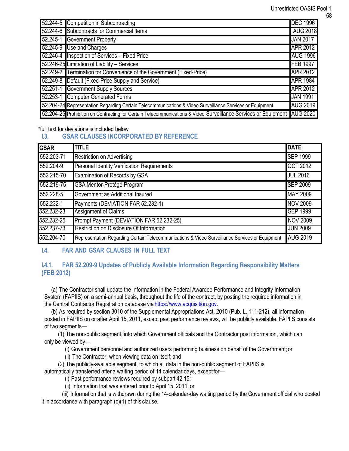|          | 52.244-5 Competition in Subcontracting                                                                                  | <b>DEC 1996</b> |
|----------|-------------------------------------------------------------------------------------------------------------------------|-----------------|
|          | 52.244-6 Subcontracts for Commercial Items                                                                              | <b>AUG 2018</b> |
|          | 52.245-1 Government Property                                                                                            | <b>JAN 2017</b> |
| 52.245-9 | Use and Charges                                                                                                         | APR 2012        |
|          | 52.246-4 Inspection of Services - Fixed Price                                                                           | <b>AUG 1996</b> |
|          | 52.246-25 Limitation of Liability - Services                                                                            | <b>FEB 1997</b> |
|          | 52.249-2 Termination for Convenience of the Government (Fixed-Price)                                                    | <b>APR 2012</b> |
|          | 52.249-8 Default (Fixed-Price Supply and Service)                                                                       | <b>APR 1984</b> |
|          | 52.251-1 Government Supply Sources                                                                                      | <b>APR 2012</b> |
|          | 52.253-1 Computer Generated Forms                                                                                       | <b>JAN 1991</b> |
|          | 52.204-24 Representation Regarding Certain Telecommunications & Video Surveillance Services or Equipment                | <b>AUG 2019</b> |
|          | 52.204-25 Prohibition on Contracting for Certain Telecommunications & Video Surveillance Services or Equipment AUG 2020 |                 |

\*full text for deviations is included below

#### **I.3. GSAR CLAUSES INCORPORATED BY REFERENCE**

| <b>GSAR</b> | <b>TITLE</b>                                                                                   | <b>DATE</b>     |
|-------------|------------------------------------------------------------------------------------------------|-----------------|
| 552.203-71  | Restriction on Advertising                                                                     | <b>SEP 1999</b> |
| 552.204-9   | <b>Personal Identity Verification Requirements</b>                                             | <b>OCT 2012</b> |
| 552.215-70  | <b>Examination of Records by GSA</b>                                                           | <b>JUL 2016</b> |
| 552.219-75  | GSA Mentor-Protégé Program                                                                     | <b>SEP 2009</b> |
| 552.228-5   | Government as Additional Insured                                                               | MAY 2009        |
| 552.232-1   | Payments (DEVIATION FAR 52.232-1)                                                              | <b>NOV 2009</b> |
| 552.232-23  | <b>Assignment of Claims</b>                                                                    | <b>SEP 1999</b> |
| 552.232-25  | Prompt Payment (DEVIATION FAR 52.232-25)                                                       | <b>NOV 2009</b> |
| 552.237-73  | Restriction on Disclosure Of Information                                                       | <b>JUN 2009</b> |
| 552.204-70  | Representation Regarding Certain Telecommunications & Video Surveillance Services or Equipment | <b>AUG 2019</b> |

**I.4. FAR AND GSAR CLAUSES IN FULL TEXT**

#### **I.4.1. FAR 52.209-9 Updates of Publicly Available Information Regarding Responsibility Matters (FEB 2012)**

(a) The Contractor shall update the information in the Federal Awardee Performance and Integrity Information System (FAPIIS) on a semi-annual basis, throughout the life of the contract, by posting the required information in the Central Contractor Registration database via https:[//www.acquisition.gov.](http://www.acquisition.gov/)

(b) As required by section 3010 of the Supplemental Appropriations Act, 2010 (Pub. L. 111-212), all information posted in FAPIIS on or after April 15, 2011, except past performance reviews, will be publicly available. FAPIIS consists of two segments—

(1) The non-public segment, into which Government officials and the Contractor post information, which can only be viewed by—

(i) Government personnel and authorized users performing business on behalf of the Government;or

(ii) The Contractor, when viewing data on itself; and

(2) The publicly-available segment, to which all data in the non-public segment of FAPIIS is automatically transferred after a waiting period of 14 calendar days, except for—

(i) Past performance reviews required by subpart 42.15;

(ii) Information that was entered prior to April 15, 2011; or

(iii) Information that is withdrawn during the 14-calendar-day waiting period by the Government official who posted it in accordance with paragraph (c)(1) of this clause.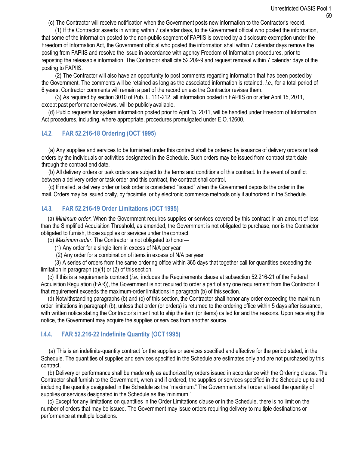(c) The Contractor will receive notification when the Government posts new information to the Contractor's record.

(1) If the Contractor asserts in writing within 7 calendar days, to the Government official who posted the information, that some of the information posted to the non-public segment of FAPIIS is covered by a disclosure exemption under the Freedom of Information Act, the Government official who posted the information shall within 7 calendar days remove the posting from FAPIIS and resolve the issue in accordance with agency Freedom of Information procedures, prior to reposting the releasable information. The Contractor shall cite 52.209-9 and request removal within 7 calendar days of the posting to FAPIIS.

(2) The Contractor will also have an opportunity to post comments regarding information that has been posted by the Government. The comments will be retained as long as the associated information is retained, *i.e.*, for a total period of 6 years. Contractor comments will remain a part of the record unless the Contractor revises them.

(3) As required by section 3010 of Pub. L. 111-212, all information posted in FAPIIS on or after April 15, 2011, except past performance reviews, will be publicly available.

(d) Public requests for system information posted prior to April 15, 2011, will be handled under Freedom of Information Act procedures, including, where appropriate, procedures promulgated under E.O.12600.

#### **I.4.2. FAR 52.216-18 Ordering (OCT 1995)**

(a) Any supplies and services to be furnished under this contract shall be ordered by issuance of delivery orders or task orders by the individuals or activities designated in the Schedule. Such orders may be issued from contract start date through the contract end date.

(b) All delivery orders or task orders are subject to the terms and conditions of this contract. In the event of conflict between a delivery order or task order and this contract, the contract shall control.

(c) If mailed, a delivery order or task order is considered "issued" when the Government deposits the order in the mail. Orders may be issued orally, by facsimile, or by electronic commerce methods only if authorized in the Schedule.

#### **I.4.3. FAR 52.216-19 Order Limitations (OCT 1995)**

(a) *Minimum order*. When the Government requires supplies or services covered by this contract in an amount of less than the Simplified Acquisition Threshold, as amended, the Government is not obligated to purchase, nor is the Contractor obligated to furnish, those supplies or services under the contract.

(b) *Maximum order*. The Contractor is not obligated to honor—

(1) Any order for a single item in excess of N/A per year

(2) Any order for a combination of items in excess of N/A per year

(3) A series of orders from the same ordering office within 365 days that together call for quantities exceeding the limitation in paragraph (b)(1) or (2) of this section.

(c) If this is a requirements contract (*i.e.,* includes the Requirements clause at subsection 52.216-21 of the Federal Acquisition Regulation (FAR)), the Government is not required to order a part of any one requirement from the Contractor if that requirement exceeds the maximum-order limitations in paragraph (b) of thissection.

(d) Notwithstanding paragraphs (b) and (c) of this section, the Contractor shall honor any order exceeding the maximum order limitations in paragraph (b), unless that order (or orders) is returned to the ordering office within 5 days after issuance, with written notice stating the Contractor's intent not to ship the item (or items) called for and the reasons. Upon receiving this notice, the Government may acquire the supplies or services from another source.

#### **I.4.4. FAR 52.216-22 Indefinite Quantity (OCT 1995)**

(a) This is an indefinite-quantity contract for the supplies or services specified and effective for the period stated, in the Schedule. The quantities of supplies and services specified in the Schedule are estimates only and are not purchased by this contract.

(b) Delivery or performance shall be made only as authorized by orders issued in accordance with the Ordering clause. The Contractor shall furnish to the Government, when and if ordered, the supplies or services specified in the Schedule up to and including the quantity designated in the Schedule as the "maximum." The Government shall order at least the quantity of supplies or services designated in the Schedule as the "minimum."

(c) Except for any limitations on quantities in the Order Limitations clause or in the Schedule, there is no limit on the number of orders that may be issued. The Government may issue orders requiring delivery to multiple destinations or performance at multiple locations.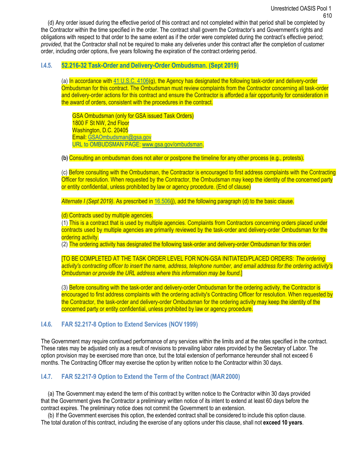(d) Any order issued during the effective period of this contract and not completed within that period shall be completed by the Contractor within the time specified in the order. The contract shall govern the Contractor's and Government's rights and obligations with respect to that order to the same extent as if the order were completed during the contract's effective period; *provided*, that the Contractor shall not be required to make any deliveries under this contract after the completion of customer order, including order options, five years following the expiration of the contract ordering period.

#### **I.4.5. 52.216-32 Task-Order and Delivery-Order Ombudsman. (Sept 2019)**

(a) In accordance with 41 U.S.C. 4106(g), the Agency has designated the following task-order and delivery-order Ombudsman for this contract. The Ombudsman must review complaints from the Contractor concerning all task-order and delivery-order actions for this contract and ensure the Contractor is afforded a fair opportunity for consideration in the award of orders, consistent with the procedures in the contract.

GSA Ombudsman (only for GSA issued Task Orders) 1800 F St NW, 2nd Floor Washington, D.C. 20405 Email: [GSAOmbudsman@gsa.gov](mailto:GSAOmbudsman@gsa.gov) URL to OMBUDSMAN PAGE: [www.gsa.gov/ombudsman.](http://www.gsa.gov/ombudsman)

**(b)** Consulting an ombudsman does not alter or postpone the timeline for any other process (e.g., protests).

(c) Before consulting with the Ombudsman, the Contractor is encouraged to first address complaints with the Contracting Officer for resolution. When requested by the Contractor, the Ombudsman may keep the identity of the concerned party or entity confidential, unless prohibited by law or agency procedure. (End of clause)

*Alternate I (Sept 2019)*. As prescribed in 16.506(j), add the following paragraph (d) to the basic clause.

(d) Contracts used by multiple agencies.

(1) This is a contract that is used by multiple agencies. Complaints from Contractors concerning orders placed under contracts used by multiple agencies are primarily reviewed by the task-order and delivery-order Ombudsman for the ordering activity.

(2) The ordering activity has designated the following task-order and delivery-order Ombudsman for this order:

[TO BE COMPLETED AT THE TASK ORDER LEVEL FOR NON-GSA INITIATED/PLACED ORDERS: *The ordering activity's contracting officer to insert the name, address, telephone number, and email address for the ordering activity's Ombudsman or provide the URL address where this information may be found.*]

(3) Before consulting with the task-order and delivery-order Ombudsman for the ordering activity, the Contractor is encouraged to first address complaints with the ordering activity's Contracting Officer for resolution. When requested by the Contractor, the task-order and delivery-order Ombudsman for the ordering activity may keep the identity of the concerned party or entity confidential, unless prohibited by law or agency procedure.

#### **I.4.6. FAR 52.217-8 Option to Extend Services (NOV1999)**

The Government may require continued performance of any services within the limits and at the rates specified in the contract. These rates may be adjusted only as a result of revisions to prevailing labor rates provided by the Secretary of Labor. The option provision may be exercised more than once, but the total extension of performance hereunder shall not exceed 6 months. The Contracting Officer may exercise the option by written notice to the Contractor within 30 days.

#### **I.4.7. FAR 52.217-9 Option to Extend the Term of the Contract (MAR2000)**

(a) The Government may extend the term of this contract by written notice to the Contractor within 30 days provided that the Government gives the Contractor a preliminary written notice of its intent to extend at least 60 days before the contract expires. The preliminary notice does not commit the Government to an extension.

(b) If the Government exercises this option, the extended contract shall be considered to include this option clause. The total duration of this contract, including the exercise of any options under this clause, shall not **exceed 10 years**.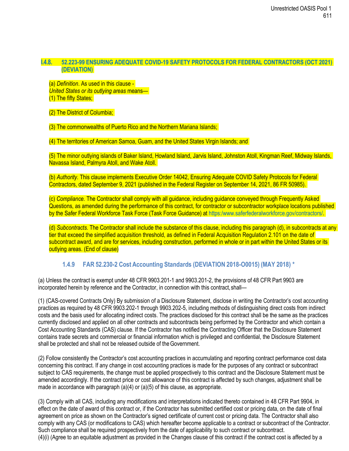#### **I.4.8. 52.223-99 ENSURING ADEQUATE COVID-19 SAFETY PROTOCOLS FOR FEDERAL CONTRACTORS (OCT 2021) (DEVIATION)**

(a) *Definition*. As used in this clause - *United States or its outlying areas* means— (1) The fifty States;

(2) The District of Columbia;

(3) The commonwealths of Puerto Rico and the Northern Mariana Islands;

(4) The territories of American Samoa, Guam, and the United States Virgin Islands; and

(5) The minor outlying islands of Baker Island, Howland Island, Jarvis Island, Johnston Atoll, Kingman Reef, Midway Islands, Navassa Island, Palmyra Atoll, and Wake Atoll.

(b) *Authority.* This clause implements Executive Order 14042, Ensuring Adequate COVID Safety Protocols for Federal Contractors, dated September 9, 2021 (published in the Federal Register on September 14, 2021, 86 FR 50985).

(c) *Compliance.* The Contractor shall comply with all guidance, including guidance conveyed through Frequently Asked Questions, as amended during the performance of this contract, for contractor or subcontractor workplace locations published by the Safer Federal Workforce Task Force (Task Force Guidance) at https:/www.saferfederalworkforce.gov/contractors/

(d) *Subcontracts*. The Contractor shall include the substance of this clause, including this paragraph (d), in subcontracts at any tier that exceed the simplified acquisition threshold, as defined in Federal Acquisition Regulation 2.101 on the date of subcontract award, and are for services, including construction, performed in whole or in part within the United States or its outlying areas. (End of clause)

#### **1.4.9 FAR 52.230-2 Cost Accounting Standards (DEVIATION 2018-O0015) (MAY 2018) \***

(a) Unless the contract is exempt under 48 CFR 9903.201-1 and 9903.201-2, the provisions of 48 CFR Part 9903 are incorporated herein by reference and the Contractor, in connection with this contract, shall-

(1) (CAS-covered Contracts Only) By submission of a Disclosure Statement, disclose in writing the Contractor's cost accounting practices as required by 48 CFR 9903.202-1 through 9903.202-5, including methods of distinguishing direct costs from indirect costs and the basis used for allocating indirect costs. The practices disclosed for this contract shall be the same as the practices currently disclosed and applied on all other contracts and subcontracts being performed by the Contractor and which contain a Cost Accounting Standards (CAS) clause. If the Contractor has notified the Contracting Officer that the Disclosure Statement contains trade secrets and commercial or financial information which is privileged and confidential, the Disclosure Statement shall be protected and shall not be released outside of theGovernment.

(2) Follow consistently the Contractor's cost accounting practices in accumulating and reporting contract performance cost data concerning this contract. If any change in cost accounting practices is made for the purposes of any contract or subcontract subject to CAS requirements, the change must be applied prospectively to this contract and the Disclosure Statement must be amended accordingly. If the contract price or cost allowance of this contract is affected by such changes, adjustment shall be made in accordance with paragraph (a)(4) or (a)(5) of this clause, as appropriate.

(3) Comply with all CAS, including any modifications and interpretations indicated thereto contained in 48 CFR Part 9904, in effect on the date of award of this contract or, if the Contractor has submitted certified cost or pricing data, on the date of final agreement on price as shown on the Contractor's signed certificate of current cost or pricing data. The Contractor shall also comply with any CAS (or modifications to CAS) which hereafter become applicable to a contract or subcontract of the Contractor. Such compliance shall be required prospectively from the date of applicability to such contract or subcontract. (4)(i) (Agree to an equitable adjustment as provided in the Changes clause of this contract if the contract cost is affected by a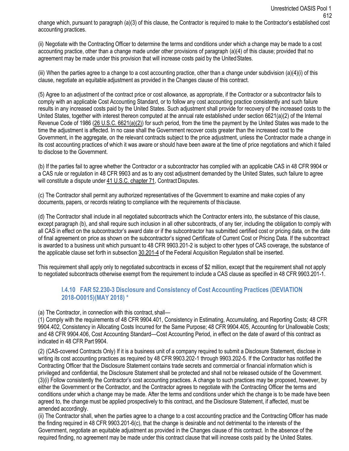change which, pursuant to paragraph (a)(3) of this clause, the Contractor is required to make to the Contractor's established cost accounting practices.

(ii) Negotiate with the Contracting Officer to determine the terms and conditions under which a change may be made to a cost accounting practice, other than a change made under other provisions of paragraph (a)(4) of this clause; provided that no agreement may be made under this provision that will increase costs paid by the United States.

(iii) When the parties agree to a change to a cost accounting practice, other than a change under subdivision (a)(4)(i) of this clause, negotiate an equitable adjustment as provided in the Changes clause of this contract.

(5) Agree to an adjustment of the contract price or cost allowance, as appropriate, if the Contractor or a subcontractor fails to comply with an applicable Cost Accounting Standard, or to follow any cost accounting practice consistently and such failure results in any increased costs paid by the United States. Such adjustment shall provide for recovery of the increased costs to the United States, together with interest thereon computed at the annual rate established under section 6621(a)(2) of the Internal Revenue Code of 1986 (26 U.S.C. 6621(a)(2)) for such period, from the time the payment by the United States was made to the time the adjustment is affected. In no case shall the Government recover costs greater than the increased cost to the Government, in the aggregate, on the relevant contracts subject to the price adjustment, unless the Contractor made a change in its cost accounting practices of which it was aware or should have been aware at the time of price negotiations and which it failed to disclose to the Government.

(b) If the parties fail to agree whether the Contractor or a subcontractor has complied with an applicable CAS in 48 CFR 9904 or a CAS rule or regulation in 48 CFR 9903 and as to any cost adjustment demanded by the United States, such failure to agree will constitute a dispute under 41 U.S.C. chapter 71, Contract Disputes.

(c) The Contractor shall permit any authorized representatives of the Government to examine and make copies of any documents, papers, or records relating to compliance with the requirements of thisclause.

(d) The Contractor shall include in all negotiated subcontracts which the Contractor enters into, the substance of this clause, except paragraph (b), and shall require such inclusion in all other subcontracts, of any tier, including the obligation to comply with all CAS in effect on the subcontractor's award date or if the subcontractor has submitted certified cost or pricing data, on the date of final agreement on price as shown on the subcontractor's signed Certificate of Current Cost or Pricing Data. If the subcontract is awarded to a business unit which pursuant to 48 CFR 9903.201-2 is subject to other types of CAS coverage, the substance of the applicable clause set forth in subsection 30.201-4 of the Federal Acquisition Regulation shall be inserted.

This requirement shall apply only to negotiated subcontracts in excess of \$2 million, except that the requirement shall not apply to negotiated subcontracts otherwise exempt from the requirement to include a CAS clause as specified in 48 CFR 9903.201-1.

#### **I.4.10 FAR 52.230-3 Disclosure and Consistency of Cost Accounting Practices (DEVIATION 2018-O0015)(MAY 2018) \***

(a) The Contractor, in connection with this contract, shall—

(1) Comply with the requirements of 48 CFR 9904.401, Consistency in Estimating, Accumulating, and Reporting Costs; 48 CFR 9904.402, Consistency in Allocating Costs Incurred for the Same Purpose; 48 CFR 9904.405, Accounting for Unallowable Costs; and 48 CFR 9904.406, Cost Accounting Standard—Cost Accounting Period, in effect on the date of award of this contract as indicated in 48 CFR Part 9904.

(2) (CAS-covered Contracts Only) If it is a business unit of a company required to submit a Disclosure Statement, disclose in writing its cost accounting practices as required by 48 CFR 9903.202-1 through 9903.202-5. If the Contractor has notified the Contracting Officer that the Disclosure Statement contains trade secrets and commercial or financial information which is privileged and confidential, the Disclosure Statement shall be protected and shall not be released outside of the Government. (3)(i) Follow consistently the Contractor's cost accounting practices. A change to such practices may be proposed, however, by either the Government or the Contractor, and the Contractor agrees to negotiate with the Contracting Officer the terms and conditions under which a change may be made. After the terms and conditions under which the change is to be made have been agreed to, the change must be applied prospectively to this contract, and the Disclosure Statement, if affected, must be amended accordingly.

(ii) The Contractor shall, when the parties agree to a change to a cost accounting practice and the Contracting Officer has made the finding required in 48 CFR 9903.201-6(c), that the change is desirable and not detrimental to the interests of the Government, negotiate an equitable adjustment as provided in the Changes clause of this contract. In the absence of the required finding, no agreement may be made under this contract clause that will increase costs paid by the United States.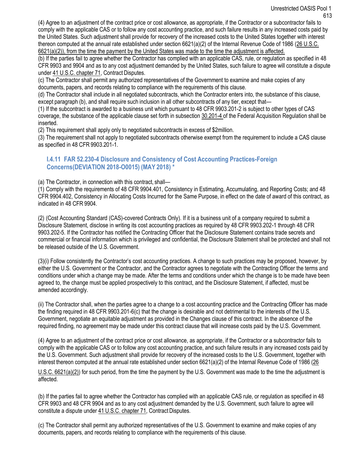(4) Agree to an adjustment of the contract price or cost allowance, as appropriate, if the Contractor or a subcontractor fails to comply with the applicable CAS or to follow any cost accounting practice, and such failure results in any increased costs paid by the United States. Such adjustment shall provide for recovery of the increased costs to the United States together with interest thereon computed at the annual rate established under section 6621(a)(2) of the Internal Revenue Code of 1986 (26 U.S.C. 6621(a)(2)), from the time the payment by the United States was made to the time the adjustment is affected.

(b) If the parties fail to agree whether the Contractor has complied with an applicable CAS, rule, or regulation as specified in 48 CFR 9903 and 9904 and as to any cost adjustment demanded by the United States, such failure to agree will constitute a dispute under 41 U.S.C. chapter 71, Contract Disputes.

(c) The Contractor shall permit any authorized representatives of the Government to examine and make copies of any documents, papers, and records relating to compliance with the requirements of this clause.

(d) The Contractor shall include in all negotiated subcontracts, which the Contractor enters into, the substance of this clause, except paragraph (b), and shall require such inclusion in all other subcontracts of any tier, except that—

(1) If the subcontract is awarded to a business unit which pursuant to 48 CFR 9903.201-2 is subject to other types of CAS coverage, the substance of the applicable clause set forth in subsection 30.201-4 of the Federal Acquisition Regulation shall be inserted.

(2) This requirement shall apply only to negotiated subcontracts in excess of \$2million.

(3) The requirement shall not apply to negotiated subcontracts otherwise exempt from the requirement to include a CAS clause as specified in 48 CFR 9903.201-1.

#### **I.4.11 FAR 52.230-4 Disclosure and Consistency of Cost Accounting Practices-Foreign Concerns(DEVIATION 2018-O0015) (MAY 2018) \***

(a) The Contractor, in connection with this contract, shall—

(1) Comply with the requirements of 48 CFR 9904.401, Consistency in Estimating, Accumulating, and Reporting Costs; and 48 CFR 9904.402, Consistency in Allocating Costs Incurred for the Same Purpose, in effect on the date of award of this contract, as indicated in 48 CFR 9904.

(2) (Cost Accounting Standard (CAS)-covered Contracts Only). If it is a business unit of a company required to submit a Disclosure Statement, disclose in writing its cost accounting practices as required by 48 CFR 9903.202-1 through 48 CFR 9903.202-5. If the Contractor has notified the Contracting Officer that the Disclosure Statement contains trade secrets and commercial or financial information which is privileged and confidential, the Disclosure Statement shall be protected and shall not be released outside of the U.S. Government.

(3)(i) Follow consistently the Contractor's cost accounting practices. A change to such practices may be proposed, however, by either the U.S. Government or the Contractor, and the Contractor agrees to negotiate with the Contracting Officer the terms and conditions under which a change may be made. After the terms and conditions under which the change is to be made have been agreed to, the change must be applied prospectively to this contract, and the Disclosure Statement, if affected, must be amended accordingly.

(ii) The Contractor shall, when the parties agree to a change to a cost accounting practice and the Contracting Officer has made the finding required in 48 CFR 9903.201-6(c) that the change is desirable and not detrimental to the interests of the U.S. Government, negotiate an equitable adjustment as provided in the Changes clause of this contract. In the absence of the required finding, no agreement may be made under this contract clause that will increase costs paid by the U.S. Government.

(4) Agree to an adjustment of the contract price or cost allowance, as appropriate, if the Contractor or a subcontractor fails to comply with the applicable CAS or to follow any cost accounting practice, and such failure results in any increased costs paid by the U.S. Government. Such adjustment shall provide for recovery of the increased costs to the U.S. Government, together with interest thereon computed at the annual rate established under section 6621(a)(2) of the Internal Revenue Code of 1986 (26

 $U.S.C. 6621(a)(2)$  for such period, from the time the payment by the U.S. Government was made to the time the adjustment is affected.

(b) If the parties fail to agree whether the Contractor has complied with an applicable CAS rule, or regulation as specified in 48 CFR 9903 and 48 CFR 9904 and as to any cost adjustment demanded by the U.S. Government, such failure to agree will constitute a dispute under 41 U.S.C. chapter 71, Contract Disputes.

(c) The Contractor shall permit any authorized representatives of the U.S. Government to examine and make copies of any documents, papers, and records relating to compliance with the requirements of this clause.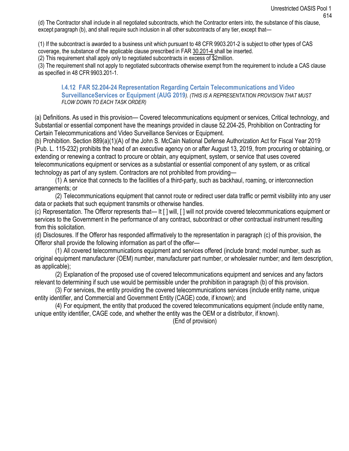(d) The Contractor shall include in all negotiated subcontracts, which the Contractor enters into, the substance of this clause, except paragraph (b), and shall require such inclusion in all other subcontracts of any tier, except that—

(1) If the subcontract is awarded to a business unit which pursuant to 48 CFR 9903.201-2 is subject to other types of CAS coverage, the substance of the applicable clause prescribed in FAR 30.201-4 shall be inserted.

(2) This requirement shall apply only to negotiated subcontracts in excess of \$2million.

(3) The requirement shall not apply to negotiated subcontracts otherwise exempt from the requirement to include a CAS clause as specified in 48 CFR 9903.201-1.

#### **I.4.12 FAR 52.204-24 Representation Regarding Certain Telecommunications and Video SurveillanceServices or Equipment (AUG 2019***). (THIS IS A REPRESENTATION PROVISION THAT MUST FLOW DOWN TO EACH TASK ORDER)*

(a) Definitions. As used in this provision— Covered telecommunications equipment or services, Critical technology, and Substantial or essential component have the meanings provided in clause 52.204-25, Prohibition on Contracting for Certain Telecommunications and Video Surveillance Services or Equipment.

(b) Prohibition. Section 889(a)(1)(A) of the John S. McCain National Defense Authorization Act for Fiscal Year 2019 (Pub. L. 115-232) prohibits the head of an executive agency on or after August 13, 2019, from procuring or obtaining, or extending or renewing a contract to procure or obtain, any equipment, system, or service that uses covered telecommunications equipment or services as a substantial or essential component of any system, or as critical technology as part of any system. Contractors are not prohibited from providing—

(1) A service that connects to the facilities of a third-party, such as backhaul, roaming, or interconnection arrangements; or

(2) Telecommunications equipment that cannot route or redirect user data traffic or permit visibility into any user data or packets that such equipment transmits or otherwise handles.

(c) Representation. The Offeror represents that— It [ ] will, [ ] will not provide covered telecommunications equipment or services to the Government in the performance of any contract, subcontract or other contractual instrument resulting from this solicitation.

(d) Disclosures. If the Offeror has responded affirmatively to the representation in paragraph (c) of this provision, the Offeror shall provide the following information as part of the offer—

(1) All covered telecommunications equipment and services offered (include brand; model number, such as original equipment manufacturer (OEM) number, manufacturer part number, or wholesaler number; and item description, as applicable);

(2) Explanation of the proposed use of covered telecommunications equipment and services and any factors relevant to determining if such use would be permissible under the prohibition in paragraph (b) of this provision.

(3) For services, the entity providing the covered telecommunications services (include entity name, unique entity identifier, and Commercial and Government Entity (CAGE) code, if known); and

(4) For equipment, the entity that produced the covered telecommunications equipment (include entity name, unique entity identifier, CAGE code, and whether the entity was the OEM or a distributor, if known).

(End of provision)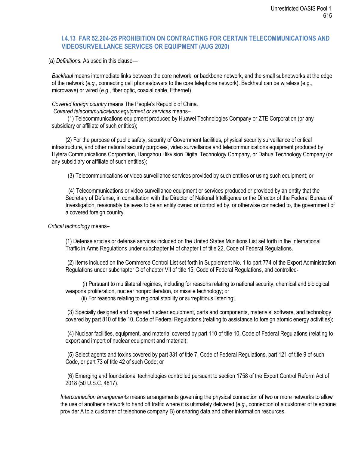#### **I.4.13 FAR 52.204-25 PROHIBITION ON CONTRACTING FOR CERTAIN TELECOMMUNICATIONS AND VIDEOSURVEILLANCE SERVICES OR EQUIPMENT (AUG 2020)**

(a) *Definitions.* As used in this clause—

*Backhaul* means intermediate links between the core network, or backbone network, and the small subnetworks at the edge of the network (*e.g.*, connecting cell phones/towers to the core telephone network). Backhaul can be wireless (e.g., microwave) or wired (*e.g.*, fiber optic, coaxial cable, Ethernet).

*Covered foreign country* means The People's Republic of China.

*Covered telecommunications equipment or services* means–

(1) Telecommunications equipment produced by Huawei Technologies Company or ZTE Corporation (or any subsidiary or affiliate of such entities);

(2) For the purpose of public safety, security of Government facilities, physical security surveillance of critical infrastructure, and other national security purposes, video surveillance and telecommunications equipment produced by Hytera Communications Corporation, Hangzhou Hikvision Digital Technology Company, or Dahua Technology Company (or any subsidiary or affiliate of such entities);

(3) Telecommunications or video surveillance services provided by such entities or using such equipment; or

(4) Telecommunications or video surveillance equipment or services produced or provided by an entity that the Secretary of Defense, in consultation with the Director of National Intelligence or the Director of the Federal Bureau of Investigation, reasonably believes to be an entity owned or controlled by, or otherwise connected to, the government of a covered foreign country.

*Critical technology* means–

(1) Defense articles or defense services included on the United States Munitions List set forth in the International Traffic in Arms Regulations under subchapter M of chapter I of title 22, Code of Federal Regulations.

(2) Items included on the Commerce Control List set forth in Supplement No. 1 to part 774 of the Export Administration Regulations under subchapter C of chapter VII of title 15, Code of Federal Regulations, and controlled-

(i) Pursuant to multilateral regimes, including for reasons relating to national security, chemical and biological weapons proliferation, nuclear nonproliferation, or missile technology; or

(ii) For reasons relating to regional stability or surreptitious listening;

(3) Specially designed and prepared nuclear equipment, parts and components, materials, software, and technology covered by part 810 of title 10, Code of Federal Regulations (relating to assistance to foreign atomic energy activities);

(4) Nuclear facilities, equipment, and material covered by part 110 of title 10, Code of Federal Regulations (relating to export and import of nuclear equipment and material);

(5) Select agents and toxins covered by part 331 of title 7, Code of Federal Regulations, part 121 of title 9 of such Code, or part 73 of title 42 of such Code; or

(6) Emerging and foundational technologies controlled pursuant to section 1758 of the Export Control Reform Act of 2018 (50 U.S.C. 4817).

*Interconnection arrangements* means arrangements governing the physical connection of two or more networks to allow the use of another's network to hand off traffic where it is ultimately delivered (*e.g.*, connection of a customer of telephone provider A to a customer of telephone company B) or sharing data and other information resources.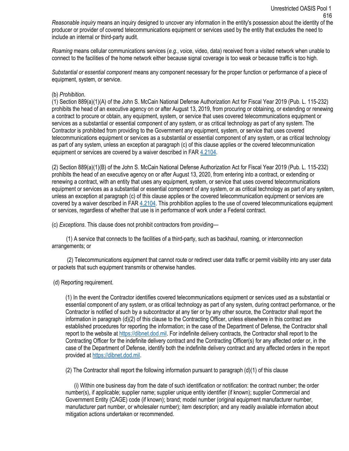*Reasonable inquiry* means an inquiry designed to uncover any information in the entity's possession about the identity of the producer or provider of covered telecommunications equipment or services used by the entity that excludes the need to include an internal or third-party audit.

*Roaming* means cellular communications services (*e.g.*, voice, video, data) received from a visited network when unable to connect to the facilities of the home network either because signal coverage is too weak or because traffic is too high.

*Substantial or essential component* means any component necessary for the proper function or performance of a piece of equipment, system, or service.

(b) *Prohibition*.

(1) Section 889(a)(1)(A) of the John S. McCain National Defense Authorization Act for Fiscal Year 2019 (Pub. L. 115-232) prohibits the head of an executive agency on or after August 13, 2019, from procuring or obtaining, or extending or renewing a contract to procure or obtain, any equipment, system, or service that uses covered telecommunications equipment or services as a substantial or essential component of any system, or as critical technology as part of any system. The Contractor is prohibited from providing to the Government any equipment, system, or service that uses covered telecommunications equipment or services as a substantial or essential component of any system, or as critical technology as part of any system, unless an exception at paragraph (c) of this clause applies or the covered telecommunication equipment or services are covered by a waiver described in FAR 4.2104.

(2) Section 889(a)(1)(B) of the John S. McCain National Defense Authorization Act for Fiscal Year 2019 (Pub. L. 115-232) prohibits the head of an executive agency on or after August 13, 2020, from entering into a contract, or extending or renewing a contract, with an entity that uses any equipment, system, or service that uses covered telecommunications equipment or services as a substantial or essential component of any system, or as critical technology as part of any system, unless an exception at paragraph (c) of this clause applies or the covered telecommunication equipment or services are covered by a waiver described in FAR 4.2104. This prohibition applies to the use of covered telecommunications equipment or services, regardless of whether that use is in performance of work under a Federal contract.

(c) *Exceptions.* This clause does not prohibit contractors from providing—

(1) A service that connects to the facilities of a third-party, such as backhaul, roaming, or interconnection arrangements; or

(2) Telecommunications equipment that cannot route or redirect user data traffic or permit visibility into any user data or packets that such equipment transmits or otherwise handles.

(d) Reporting requirement.

(1) In the event the Contractor identifies covered telecommunications equipment or services used as a substantial or essential component of any system, or as critical technology as part of any system, during contract performance, or the Contractor is notified of such by a subcontractor at any tier or by any other source, the Contractor shall report the information in paragraph (d)(2) of this clause to the Contracting Officer, unless elsewhere in this contract are established procedures for reporting the information; in the case of the Department of Defense, the Contractor shall report to the website at https://dibnet.dod.mil. For indefinite delivery contracts, the Contractor shall report to the Contracting Officer for the indefinite delivery contract and the Contracting Officer(s) for any affected order or, in the case of the Department of Defense, identify both the indefinite delivery contract and any affected orders in the report provided at https://dibnet.dod.mil.

(2) The Contractor shall report the following information pursuant to paragraph  $(d)(1)$  of this clause

(i) Within one business day from the date of such identification or notification: the contract number; the order number(s), if applicable; supplier name; supplier unique entity identifier (if known); supplier Commercial and Government Entity (CAGE) code (if known); brand; model number (original equipment manufacturer number, manufacturer part number, or wholesaler number); item description; and any readily available information about mitigation actions undertaken or recommended.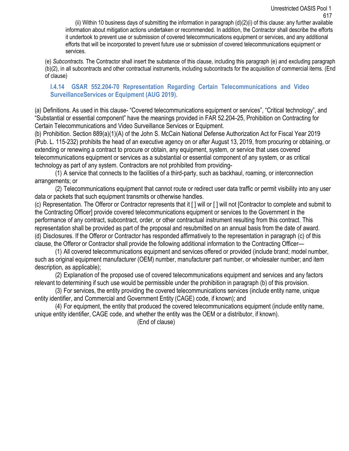(ii) Within 10 business days of submitting the information in paragraph (d)(2)(i) of this clause: any further available information about mitigation actions undertaken or recommended. In addition, the Contractor shall describe the efforts it undertook to prevent use or submission of covered telecommunications equipment or services, and any additional efforts that will be incorporated to prevent future use or submission of covered telecommunications equipment or services.

(e) *Subcontracts.* The Contractor shall insert the substance of this clause, including this paragraph (e) and excluding paragraph (b)(2), in all subcontracts and other contractual instruments, including subcontracts for the acquisition of commercial items. (End of clause)

**I.4.14 GSAR 552.204-70 Representation Regarding Certain Telecommunications and Video SurveillanceServices or Equipment (AUG 2019).**

(a) Definitions. As used in this clause- "Covered telecommunications equipment or services", "Critical technology", and "Substantial or essential component" have the meanings provided in FAR 52.204-25, Prohibition on Contracting for Certain Telecommunications and Video Surveillance Services or Equipment.

(b) Prohibition. Section 889(a)(1)(A) of the John S. McCain National Defense Authorization Act for Fiscal Year 2019 (Pub. L. 115-232) prohibits the head of an executive agency on or after August 13, 2019, from procuring or obtaining, or extending or renewing a contract to procure or obtain, any equipment, system, or service that uses covered telecommunications equipment or services as a substantial or essential component of any system, or as critical technology as part of any system. Contractors are not prohibited from providing-

(1) A service that connects to the facilities of a third-party, such as backhaul, roaming, or interconnection arrangements; or

(2) Telecommunications equipment that cannot route or redirect user data traffic or permit visibility into any user data or packets that such equipment transmits or otherwise handles.

(c) Representation. The Offeror or Contractor represents that it [ ] will or [ ] will not [Contractor to complete and submit to the Contracting Officer] provide covered telecommunications equipment or services to the Government in the performance of any contract, subcontract, order, or other contractual instrument resulting from this contract. This representation shall be provided as part of the proposal and resubmitted on an annual basis from the date of award. (d) Disclosures. If the Offeror or Contractor has responded affirmatively to the representation in paragraph (c) of this clause, the Offeror or Contractor shall provide the following additional information to the Contracting Officer—

(1) All covered telecommunications equipment and services offered or provided (include brand; model number, such as original equipment manufacturer (OEM) number, manufacturer part number, or wholesaler number; and item description, as applicable);

(2) Explanation of the proposed use of covered telecommunications equipment and services and any factors relevant to determining if such use would be permissible under the prohibition in paragraph (b) of this provision.

(3) For services, the entity providing the covered telecommunications services (include entity name, unique entity identifier, and Commercial and Government Entity (CAGE) code, if known); and

(4) For equipment, the entity that produced the covered telecommunications equipment (include entity name, unique entity identifier, CAGE code, and whether the entity was the OEM or a distributor, if known).

(End of clause)